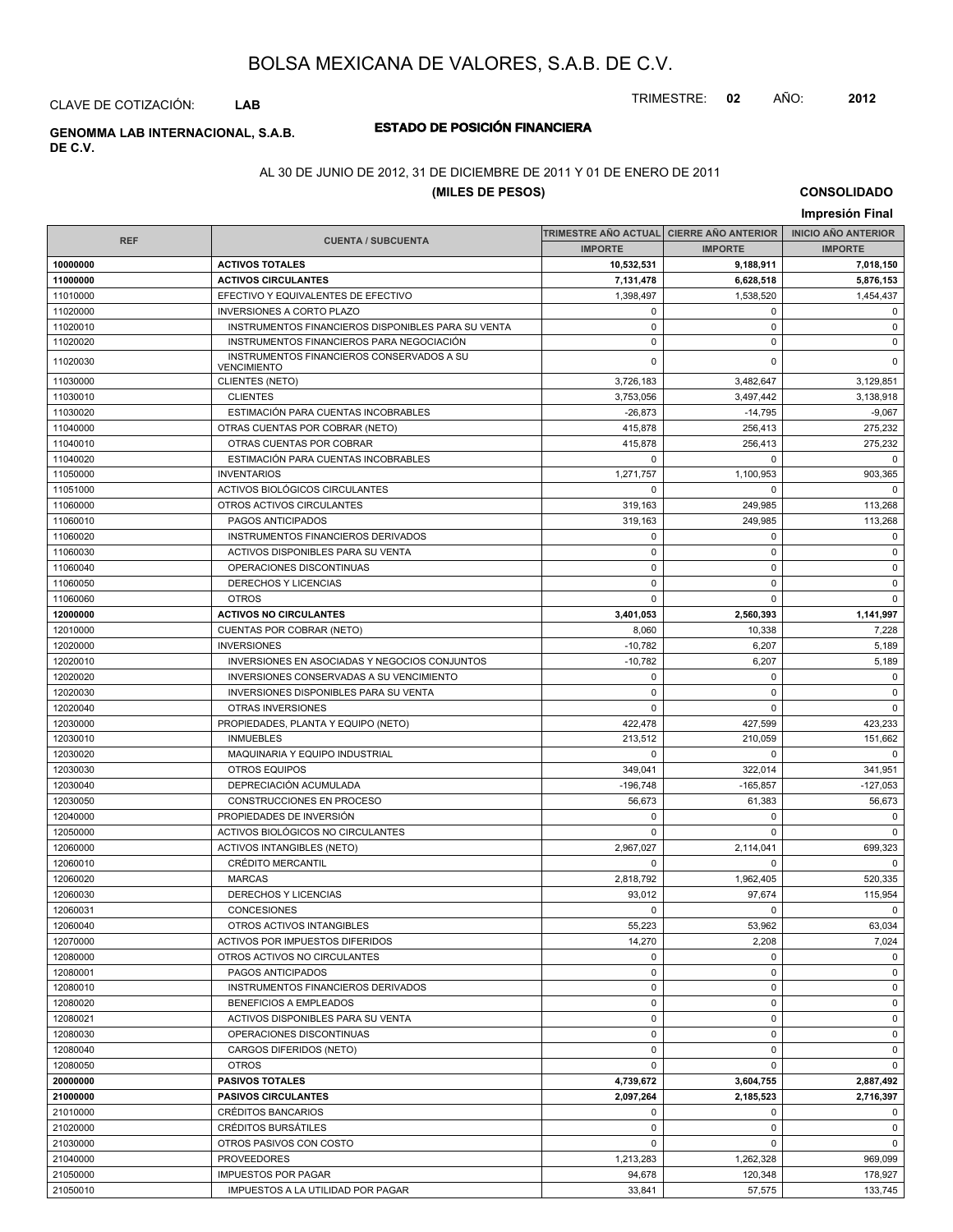TRIMESTRE: **02** AÑO: **2012**

CLAVE DE COTIZACIÓN: **LAB**

## **DE C.V.**

## **ESTADO DE POSICIÓN FINANCIERA GENOMMA LAB INTERNACIONAL, S.A.B.**

### AL 30 DE JUNIO DE 2012, 31 DE DICIEMBRE DE 2011 Y 01 DE ENERO DE 2011

## **(MILES DE PESOS)**

**CONSOLIDADO Impresión Final**

|                      |                                                                     |                        | TRIMESTRE AÑO ACTUAL CIERRE AÑO ANTERIOR | <b>INICIO AÑO ANTERIOR</b> |
|----------------------|---------------------------------------------------------------------|------------------------|------------------------------------------|----------------------------|
| <b>REF</b>           | <b>CUENTA / SUBCUENTA</b>                                           | <b>IMPORTE</b>         | <b>IMPORTE</b>                           | <b>IMPORTE</b>             |
| 10000000             | <b>ACTIVOS TOTALES</b>                                              | 10,532,531             | 9,188,911                                | 7,018,150                  |
| 11000000             | <b>ACTIVOS CIRCULANTES</b>                                          | 7,131,478              | 6,628,518                                | 5,876,153                  |
| 11010000             | EFECTIVO Y EQUIVALENTES DE EFECTIVO                                 | 1,398,497              | 1,538,520                                | 1,454,437                  |
| 11020000             | <b>INVERSIONES A CORTO PLAZO</b>                                    | 0                      | 0                                        | $\mathbf 0$                |
| 11020010             | INSTRUMENTOS FINANCIEROS DISPONIBLES PARA SU VENTA                  | $\pmb{0}$              | $\pmb{0}$                                | $\mathbf 0$                |
| 11020020             | INSTRUMENTOS FINANCIEROS PARA NEGOCIACIÓN                           | $\pmb{0}$              | 0                                        | 0                          |
| 11020030             | INSTRUMENTOS FINANCIEROS CONSERVADOS A SU                           | $\mathbf 0$            | $\Omega$                                 | $\mathbf 0$                |
|                      | <b>VENCIMIENTO</b>                                                  |                        |                                          |                            |
| 11030000             | <b>CLIENTES (NETO)</b>                                              | 3,726,183              | 3,482,647                                | 3,129,851                  |
| 11030010             | <b>CLIENTES</b>                                                     | 3.753.056              | 3,497,442                                | 3,138,918                  |
| 11030020             | ESTIMACIÓN PARA CUENTAS INCOBRABLES                                 | $-26,873$              | $-14,795$                                | $-9,067$                   |
| 11040000             | OTRAS CUENTAS POR COBRAR (NETO)                                     | 415,878                | 256,413                                  | 275,232                    |
| 11040010             | OTRAS CUENTAS POR COBRAR                                            | 415,878                | 256,413                                  | 275,232                    |
| 11040020             | ESTIMACIÓN PARA CUENTAS INCOBRABLES                                 | 0                      | 0                                        | $\mathbf{0}$               |
| 11050000             | <b>INVENTARIOS</b>                                                  | 1,271,757              | 1,100,953                                | 903,365                    |
| 11051000             | ACTIVOS BIOLÓGICOS CIRCULANTES                                      | $\mathbf 0$            | $\mathbf 0$                              | $\mathbf 0$                |
| 11060000             | OTROS ACTIVOS CIRCULANTES                                           | 319,163                | 249,985                                  | 113,268                    |
| 11060010             | PAGOS ANTICIPADOS                                                   | 319,163                | 249,985                                  | 113,268                    |
| 11060020             | INSTRUMENTOS FINANCIEROS DERIVADOS                                  | $\mathbf 0$            | $\mathbf 0$                              | $\mathbf 0$                |
| 11060030             | ACTIVOS DISPONIBLES PARA SU VENTA                                   | 0                      | $\pmb{0}$                                | 0                          |
| 11060040             | OPERACIONES DISCONTINUAS                                            | $\mathbf 0$            | $\pmb{0}$                                | $\mathbf 0$                |
| 11060050             | DERECHOS Y LICENCIAS                                                | $\mathbf 0$            | $\mathbf 0$                              | $\mathbf 0$                |
| 11060060             | <b>OTROS</b>                                                        | 0                      | 0                                        | $\mathbf 0$                |
| 12000000             | <b>ACTIVOS NO CIRCULANTES</b>                                       | 3,401,053              | 2,560,393                                | 1,141,997                  |
| 12010000             | CUENTAS POR COBRAR (NETO)                                           | 8,060                  | 10,338                                   | 7,228                      |
| 12020000             | <b>INVERSIONES</b>                                                  | $-10,782$              | 6,207                                    | 5,189                      |
| 12020010             | INVERSIONES EN ASOCIADAS Y NEGOCIOS CONJUNTOS                       | $-10,782$              | 6,207                                    | 5,189                      |
| 12020020             | INVERSIONES CONSERVADAS A SU VENCIMIENTO                            | $\mathbf 0$            | $\mathbf 0$                              | $\mathbf 0$                |
| 12020030             | INVERSIONES DISPONIBLES PARA SU VENTA                               | 0                      | 0                                        | 0                          |
| 12020040             | OTRAS INVERSIONES                                                   | $\mathbf 0$            | $\Omega$                                 | $\mathbf 0$                |
| 12030000             | PROPIEDADES, PLANTA Y EQUIPO (NETO)                                 | 422,478                | 427,599                                  | 423,233                    |
| 12030010             | <b>INMUEBLES</b>                                                    | 213,512                | 210,059                                  | 151,662                    |
| 12030020             | MAQUINARIA Y EQUIPO INDUSTRIAL                                      | $\mathbf 0$            | $\Omega$                                 | $\mathbf{0}$               |
| 12030030             | <b>OTROS EQUIPOS</b>                                                | 349,041                | 322,014                                  | 341,951                    |
| 12030040             | DEPRECIACIÓN ACUMULADA                                              | $-196,748$             | $-165,857$                               | $-127,053$                 |
| 12030050             | CONSTRUCCIONES EN PROCESO                                           | 56,673                 | 61,383                                   | 56,673                     |
| 12040000             | PROPIEDADES DE INVERSIÓN                                            | $\mathbf 0$            | $\mathbf 0$                              | $\mathbf 0$                |
| 12050000             | ACTIVOS BIOLÓGICOS NO CIRCULANTES                                   | 0                      | $\Omega$                                 | $\mathbf 0$                |
| 12060000             | ACTIVOS INTANGIBLES (NETO)<br><b>CRÉDITO MERCANTIL</b>              | 2,967,027              | 2,114,041                                | 699,323<br>$\mathbf 0$     |
| 12060010             |                                                                     | $\mathbf 0$            | $\mathbf 0$                              |                            |
| 12060020<br>12060030 | <b>MARCAS</b><br>DERECHOS Y LICENCIAS                               | 2,818,792              | 1,962,405                                | 520,335                    |
|                      |                                                                     | 93,012<br>$\mathbf 0$  | 97,674<br>$\mathbf 0$                    | 115,954                    |
| 12060031             | <b>CONCESIONES</b>                                                  |                        |                                          | $\mathbf{0}$               |
| 12060040<br>12070000 | OTROS ACTIVOS INTANGIBLES<br><b>ACTIVOS POR IMPUESTOS DIFERIDOS</b> | 55,223<br>14,270       | 53,962                                   | 63,034<br>7,024            |
| 12080000             | OTROS ACTIVOS NO CIRCULANTES                                        | $\mathbf 0$            | 2,208<br>$\mathbf 0$                     | $\mathbf 0$                |
| 12080001             | PAGOS ANTICIPADOS                                                   | 0                      | 0                                        | $\mathbf 0$                |
| 12080010             | INSTRUMENTOS FINANCIEROS DERIVADOS                                  | $\pmb{0}$              | $\pmb{0}$                                | $\mathbf 0$                |
| 12080020             | <b>BENEFICIOS A EMPLEADOS</b>                                       | 0                      | $\mathbf 0$                              | 0                          |
|                      |                                                                     |                        |                                          |                            |
| 12080021<br>12080030 | ACTIVOS DISPONIBLES PARA SU VENTA<br>OPERACIONES DISCONTINUAS       | 0<br>$\mathbf 0$       | $\pmb{0}$<br>$\pmb{0}$                   | 0<br>$\mathbf 0$           |
| 12080040             |                                                                     | 0                      |                                          |                            |
| 12080050             | CARGOS DIFERIDOS (NETO)                                             |                        | $\mathbf 0$<br>0                         | 0<br>0                     |
| 20000000             | <b>OTROS</b><br><b>PASIVOS TOTALES</b>                              | 0                      |                                          |                            |
| 21000000             | <b>PASIVOS CIRCULANTES</b>                                          | 4,739,672<br>2,097,264 | 3,604,755<br>2,185,523                   | 2,887,492<br>2,716,397     |
| 21010000             | CRÉDITOS BANCARIOS                                                  | 0                      | 0                                        | 0                          |
| 21020000             | CRÉDITOS BURSÁTILES                                                 | $\mathbf 0$            | $\mathbf 0$                              | $\mathbf 0$                |
| 21030000             | OTROS PASIVOS CON COSTO                                             | $\mathbf 0$            | $\mathbf 0$                              | $\mathbf 0$                |
| 21040000             | <b>PROVEEDORES</b>                                                  | 1,213,283              | 1,262,328                                | 969,099                    |
| 21050000             | <b>IMPUESTOS POR PAGAR</b>                                          | 94,678                 | 120,348                                  | 178,927                    |
| 21050010             | IMPUESTOS A LA UTILIDAD POR PAGAR                                   | 33,841                 | 57,575                                   | 133,745                    |
|                      |                                                                     |                        |                                          |                            |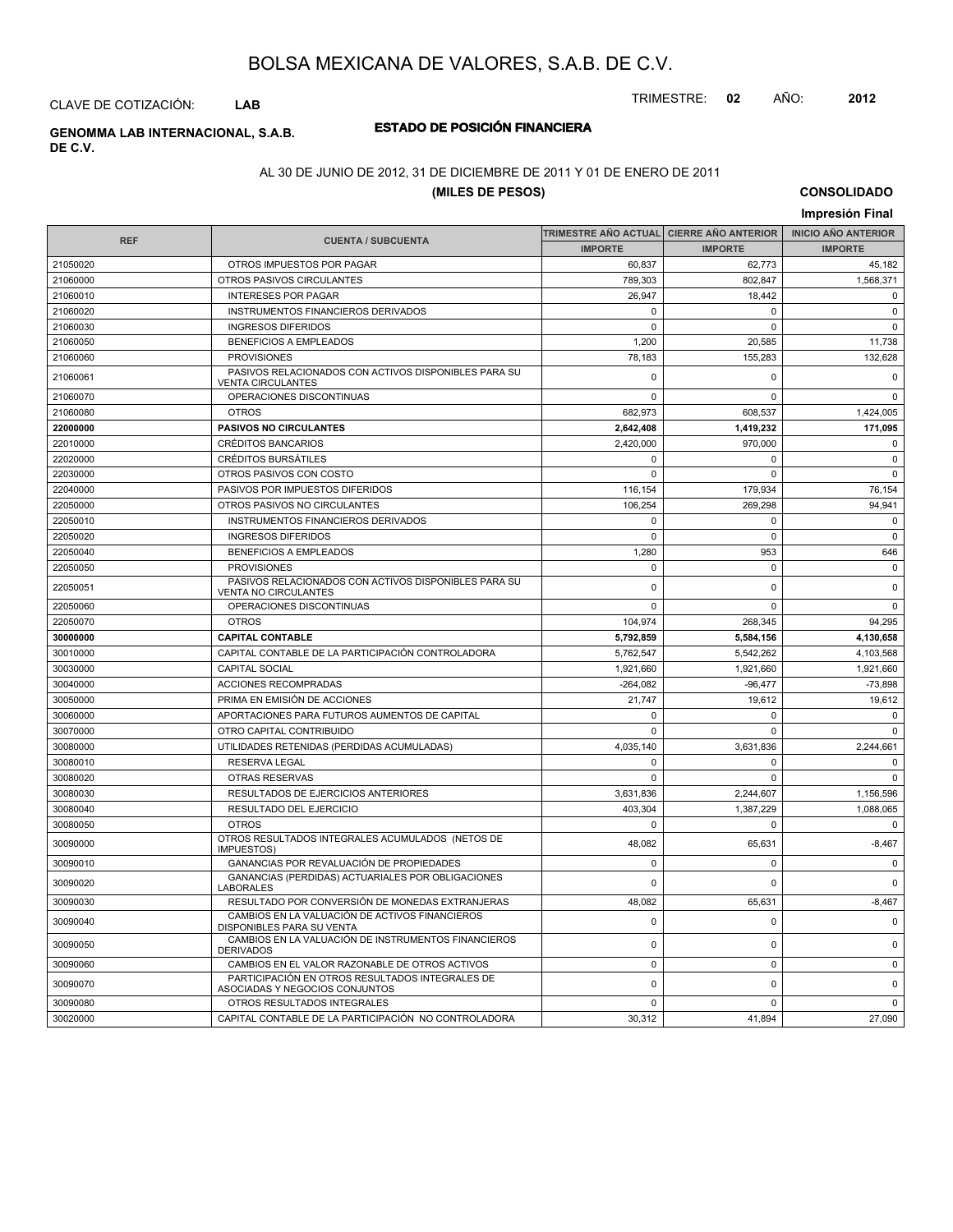CLAVE DE COTIZACIÓN: **LAB**

## **DE C.V.**

## **ESTADO DE POSICIÓN FINANCIERA GENOMMA LAB INTERNACIONAL, S.A.B.**

### AL 30 DE JUNIO DE 2012, 31 DE DICIEMBRE DE 2011 Y 01 DE ENERO DE 2011

## **(MILES DE PESOS)**

**CONSOLIDADO Impresión Final**

| <b>REF</b> | <b>CUENTA / SUBCUENTA</b>                                                           |                | TRIMESTRE AÑO ACTUAL  CIERRE AÑO ANTERIOR | <b>INICIO ANO ANTERIOR</b> |
|------------|-------------------------------------------------------------------------------------|----------------|-------------------------------------------|----------------------------|
|            |                                                                                     | <b>IMPORTE</b> | <b>IMPORTE</b>                            | <b>IMPORTE</b>             |
| 21050020   | OTROS IMPUESTOS POR PAGAR                                                           | 60,837         | 62,773                                    | 45,182                     |
| 21060000   | OTROS PASIVOS CIRCULANTES                                                           | 789,303        | 802,847                                   | 1,568,371                  |
| 21060010   | <b>INTERESES POR PAGAR</b>                                                          | 26,947         | 18,442                                    | $\mathbf 0$                |
| 21060020   | INSTRUMENTOS FINANCIEROS DERIVADOS                                                  | $\Omega$       | $\Omega$                                  | $\Omega$                   |
| 21060030   | <b>INGRESOS DIFERIDOS</b>                                                           | $\mathbf 0$    | $\mathbf 0$                               | $\mathbf 0$                |
| 21060050   | <b>BENEFICIOS A EMPLEADOS</b>                                                       | 1.200          | 20.585                                    | 11.738                     |
| 21060060   | <b>PROVISIONES</b>                                                                  | 78,183         | 155,283                                   | 132,628                    |
| 21060061   | PASIVOS RELACIONADOS CON ACTIVOS DISPONIBLES PARA SU<br><b>VENTA CIRCULANTES</b>    | $\mathbf 0$    | $\mathbf 0$                               | $\mathbf 0$                |
| 21060070   | OPERACIONES DISCONTINUAS                                                            | $\Omega$       | $\Omega$                                  | $\Omega$                   |
| 21060080   | <b>OTROS</b>                                                                        | 682,973        | 608.537                                   | 1,424,005                  |
| 22000000   | <b>PASIVOS NO CIRCULANTES</b>                                                       | 2,642,408      | 1,419,232                                 | 171,095                    |
| 22010000   | <b>CRÉDITOS BANCARIOS</b>                                                           | 2,420,000      | 970,000                                   | $\mathbf 0$                |
| 22020000   | <b>CRÉDITOS BURSÁTILES</b>                                                          | 0              | $\mathbf 0$                               | $\mathbf 0$                |
| 22030000   | OTROS PASIVOS CON COSTO                                                             | $\mathbf 0$    | $\mathbf 0$                               | $\mathbf 0$                |
| 22040000   | PASIVOS POR IMPUESTOS DIFERIDOS                                                     | 116,154        | 179,934                                   | 76.154                     |
| 22050000   | OTROS PASIVOS NO CIRCULANTES                                                        | 106,254        | 269,298                                   | 94,941                     |
| 22050010   | INSTRUMENTOS FINANCIEROS DERIVADOS                                                  | $\mathbf 0$    | $\mathbf 0$                               | $\mathbf 0$                |
| 22050020   | <b>INGRESOS DIFERIDOS</b>                                                           | $\mathsf 0$    | $\mathbf 0$                               | $\mathsf 0$                |
| 22050040   | <b>BENEFICIOS A EMPLEADOS</b>                                                       | 1,280          | 953                                       | 646                        |
| 22050050   | <b>PROVISIONES</b>                                                                  | $\mathbf 0$    | $\mathbf 0$                               | $\mathbf 0$                |
| 22050051   | PASIVOS RELACIONADOS CON ACTIVOS DISPONIBLES PARA SU<br><b>VENTA NO CIRCULANTES</b> | $\mathbf 0$    | $\mathbf 0$                               | $\mathsf 0$                |
| 22050060   | OPERACIONES DISCONTINUAS                                                            | $\mathbf 0$    | $\mathbf 0$                               | $\mathbf 0$                |
| 22050070   | <b>OTROS</b>                                                                        | 104,974        | 268,345                                   | 94,295                     |
| 30000000   | <b>CAPITAL CONTABLE</b>                                                             | 5,792,859      | 5,584,156                                 | 4,130,658                  |
| 30010000   | CAPITAL CONTABLE DE LA PARTICIPACIÓN CONTROLADORA                                   | 5,762,547      | 5.542.262                                 | 4,103,568                  |
| 30030000   | <b>CAPITAL SOCIAL</b>                                                               | 1,921,660      | 1,921,660                                 | 1,921,660                  |
| 30040000   | ACCIONES RECOMPRADAS                                                                | $-264,082$     | $-96,477$                                 | $-73,898$                  |
| 30050000   | PRIMA EN EMISIÓN DE ACCIONES                                                        | 21,747         | 19,612                                    | 19,612                     |
| 30060000   | APORTACIONES PARA FUTUROS AUMENTOS DE CAPITAL                                       | $\Omega$       | $\Omega$                                  | $\Omega$                   |
| 30070000   | OTRO CAPITAL CONTRIBUIDO                                                            | $\Omega$       | $\Omega$                                  | $\Omega$                   |
| 30080000   | UTILIDADES RETENIDAS (PERDIDAS ACUMULADAS)                                          | 4,035,140      | 3,631,836                                 | 2,244,661                  |
| 30080010   | <b>RESERVA LEGAL</b>                                                                | 0              | $\mathbf 0$                               | 0                          |
| 30080020   | OTRAS RESERVAS                                                                      | $\mathbf 0$    | $\mathbf 0$                               | $\mathbf 0$                |
| 30080030   | RESULTADOS DE EJERCICIOS ANTERIORES                                                 | 3,631,836      | 2,244,607                                 | 1,156,596                  |
| 30080040   | RESULTADO DEL EJERCICIO                                                             | 403,304        | 1,387,229                                 | 1,088,065                  |
| 30080050   | <b>OTROS</b>                                                                        | $\mathbf 0$    | $\mathbf 0$                               | $\mathbf 0$                |
| 30090000   | OTROS RESULTADOS INTEGRALES ACUMULADOS (NETOS DE<br><b>IMPUESTOS)</b>               | 48,082         | 65,631                                    | $-8,467$                   |
| 30090010   | GANANCIAS POR REVALUACIÓN DE PROPIEDADES                                            | $\mathbf 0$    | $\mathbf 0$                               | $\mathsf 0$                |
| 30090020   | GANANCIAS (PERDIDAS) ACTUARIALES POR OBLIGACIONES<br><b>LABORALES</b>               | $\mathbf 0$    | $\mathbf 0$                               | $\mathbf 0$                |
| 30090030   | RESULTADO POR CONVERSIÓN DE MONEDAS EXTRANJERAS                                     | 48,082         | 65,631                                    | $-8,467$                   |
| 30090040   | CAMBIOS EN LA VALUACIÓN DE ACTIVOS FINANCIEROS<br>DISPONIBLES PARA SU VENTA         | $\mathbf 0$    | $\mathbf 0$                               | $\mathbf 0$                |
| 30090050   | CAMBIOS EN LA VALUACIÓN DE INSTRUMENTOS FINANCIEROS<br><b>DERIVADOS</b>             | $\mathbf 0$    | $\mathbf 0$                               | $\mathbf 0$                |
| 30090060   | CAMBIOS EN EL VALOR RAZONABLE DE OTROS ACTIVOS                                      | $\mathbf 0$    | $\mathbf 0$                               | $\mathbf 0$                |
| 30090070   | PARTICIPACIÓN EN OTROS RESULTADOS INTEGRALES DE<br>ASOCIADAS Y NEGOCIOS CONJUNTOS   | $\Omega$       | $\mathbf 0$                               | $\mathsf 0$                |
| 30090080   | OTROS RESULTADOS INTEGRALES                                                         | $\mathbf 0$    | $\mathbf 0$                               | 0                          |
| 30020000   | CAPITAL CONTABLE DE LA PARTICIPACIÓN NO CONTROLADORA                                | 30,312         | 41,894                                    | 27,090                     |

TRIMESTRE: **02** AÑO: **2012**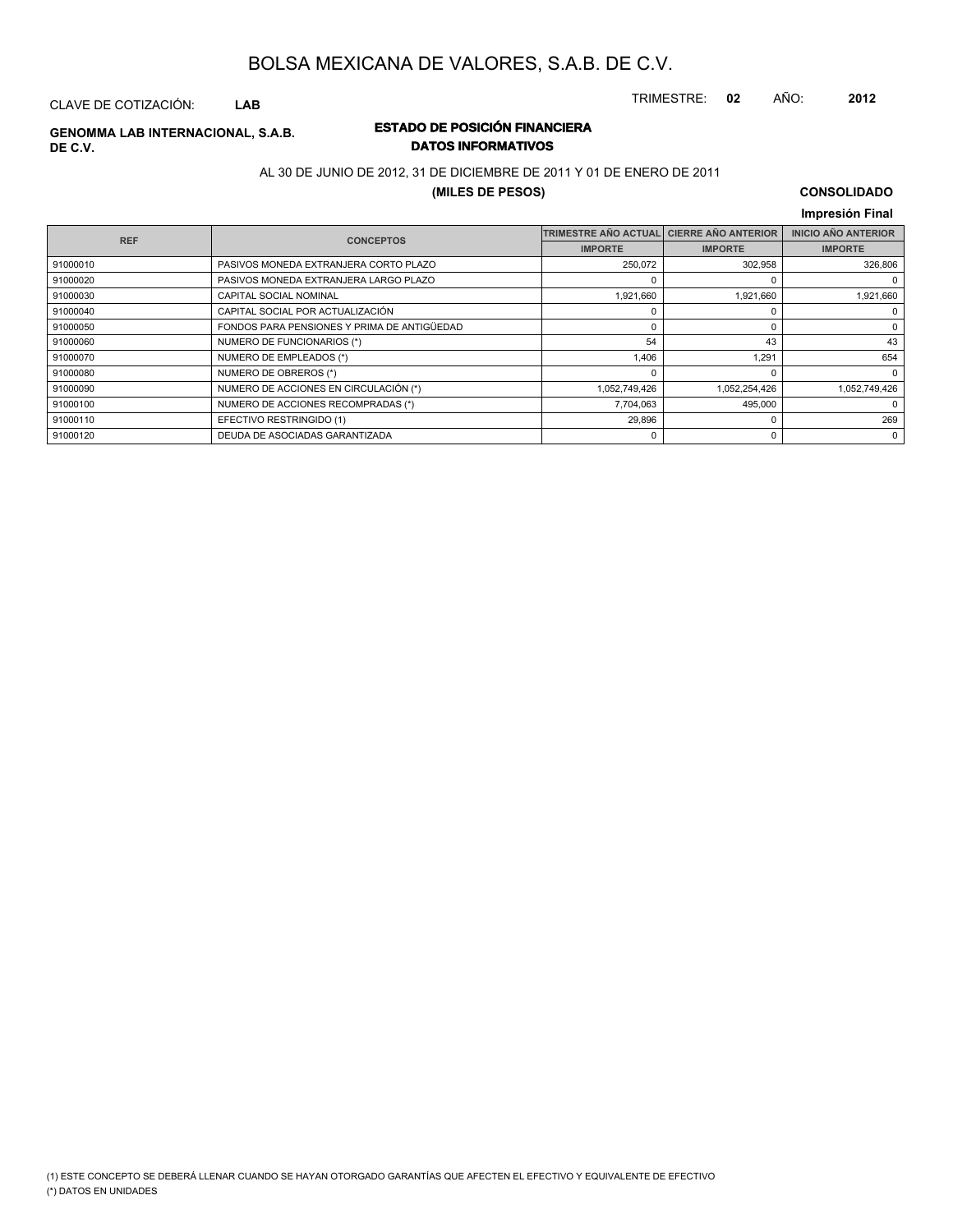TRIMESTRE: **02** AÑO: **2012**

## CLAVE DE COTIZACIÓN: **LAB**

### **ESTADO DE POSICIÓN FINANCIERA GENOMMA LAB INTERNACIONAL, S.A.B. DATOS INFORMATIVOS**

### AL 30 DE JUNIO DE 2012, 31 DE DICIEMBRE DE 2011 Y 01 DE ENERO DE 2011

### **(MILES DE PESOS)**

### **CONSOLIDADO Impresión Final**

| <b>REF</b> | <b>CONCEPTOS</b>                            | <b>TRIMESTRE AÑO ACTUAL</b> | <b>CIERRE AÑO ANTERIOR</b> | <b>INICIO AÑO ANTERIOR</b> |
|------------|---------------------------------------------|-----------------------------|----------------------------|----------------------------|
|            |                                             | <b>IMPORTE</b>              | <b>IMPORTE</b>             | <b>IMPORTE</b>             |
| 91000010   | PASIVOS MONEDA EXTRANJERA CORTO PLAZO       | 250,072                     | 302,958                    | 326,806                    |
| 91000020   | PASIVOS MONEDA EXTRANJERA LARGO PLAZO       |                             | ŋ                          |                            |
| 91000030   | CAPITAL SOCIAL NOMINAL                      | 1,921,660                   | 1,921,660                  | 1,921,660                  |
| 91000040   | CAPITAL SOCIAL POR ACTUALIZACIÓN            |                             | ŋ                          | 0                          |
| 91000050   | FONDOS PARA PENSIONES Y PRIMA DE ANTIGÜEDAD |                             | 0                          | 0                          |
| 91000060   | NUMERO DE FUNCIONARIOS (*)                  | 54                          | 43                         | 43                         |
| 91000070   | NUMERO DE EMPLEADOS (*)                     | 1,406                       | 1.291                      | 654                        |
| 91000080   | NUMERO DE OBREROS (*)                       |                             | ŋ                          | $\mathbf 0$                |
| 91000090   | NUMERO DE ACCIONES EN CIRCULACIÓN (*)       | 1,052,749,426               | 1,052,254,426              | 1,052,749,426              |
| 91000100   | NUMERO DE ACCIONES RECOMPRADAS (*)          | 7,704,063                   | 495,000                    | 0                          |
| 91000110   | EFECTIVO RESTRINGIDO (1)                    | 29,896                      | ŋ                          | 269                        |
| 91000120   | DEUDA DE ASOCIADAS GARANTIZADA              |                             | 0                          | 0                          |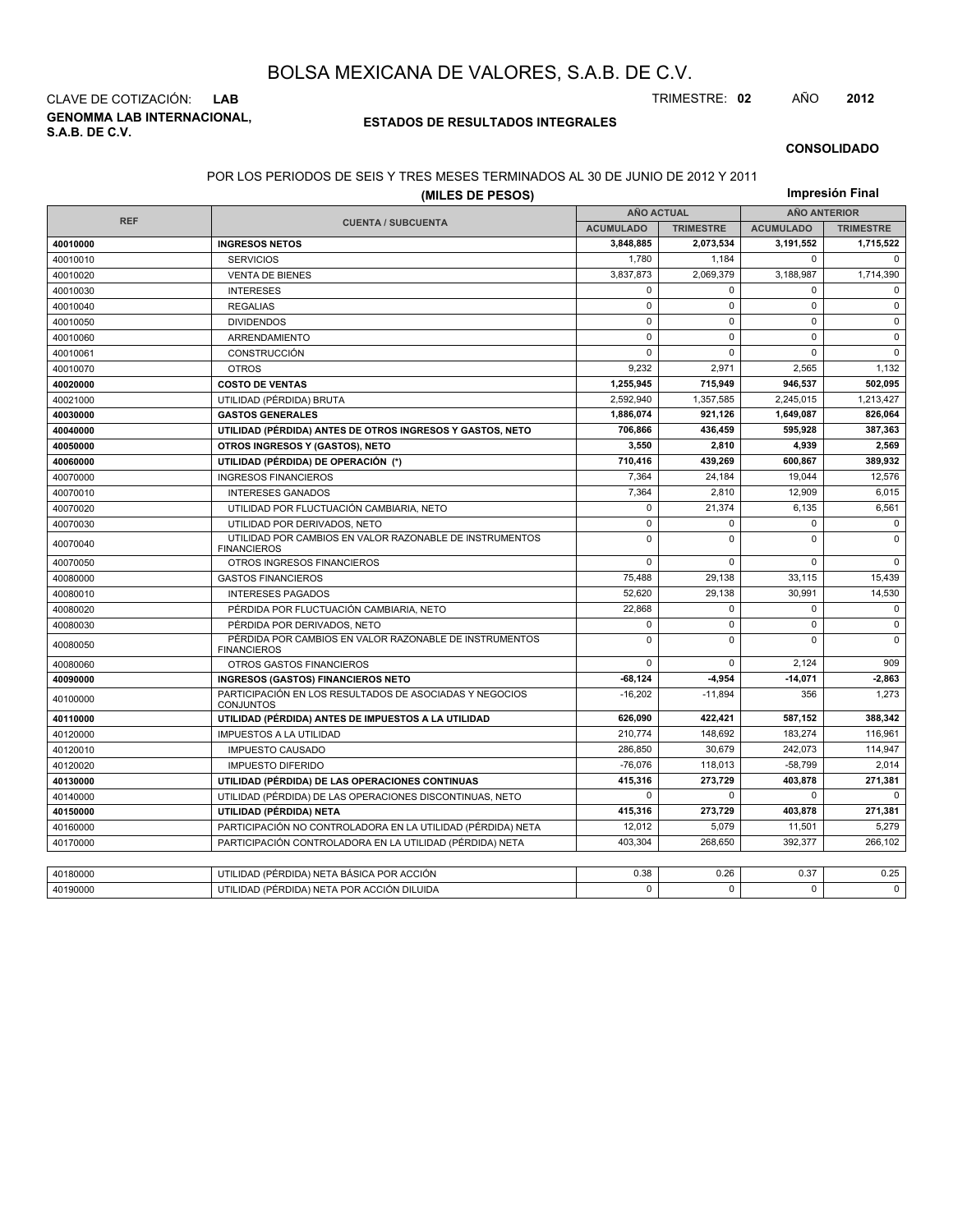**GENOMMA LAB INTERNACIONAL, S.A.B. DE C.V.** CLAVE DE COTIZACIÓN: **LAB** TRIMESTRE: **02** AÑO **2012**

### **ESTADOS DE RESULTADOS INTEGRALES**

#### **CONSOLIDADO**

### POR LOS PERIODOS DE SEIS Y TRES MESES TERMINADOS AL 30 DE JUNIO DE 2012 Y 2011

|            | (MILES DE PESOS)                                                              |                   |                  |                     | Impresión Final  |  |
|------------|-------------------------------------------------------------------------------|-------------------|------------------|---------------------|------------------|--|
|            |                                                                               | <b>AÑO ACTUAL</b> |                  | <b>AÑO ANTERIOR</b> |                  |  |
| <b>REF</b> | <b>CUENTA / SUBCUENTA</b>                                                     | <b>ACUMULADO</b>  | <b>TRIMESTRE</b> | <b>ACUMULADO</b>    | <b>TRIMESTRE</b> |  |
| 40010000   | <b>INGRESOS NETOS</b>                                                         | 3,848,885         | 2,073,534        | 3,191,552           | 1,715,522        |  |
| 40010010   | <b>SERVICIOS</b>                                                              | 1,780             | 1,184            | 0                   | $\Omega$         |  |
| 40010020   | <b>VENTA DE BIENES</b>                                                        | 3,837,873         | 2,069,379        | 3,188,987           | 1,714,390        |  |
| 40010030   | <b>INTERESES</b>                                                              | 0                 | $\mathbf 0$      | 0                   | 0                |  |
| 40010040   | <b>REGALIAS</b>                                                               | $\mathbf 0$       | $\mathbf 0$      | $\mathbf 0$         | $\mathbf 0$      |  |
| 40010050   | <b>DIVIDENDOS</b>                                                             | $\mathbf 0$       | $\mathbf 0$      | $\mathbf 0$         | $\mathbf 0$      |  |
| 40010060   | ARRENDAMIENTO                                                                 | $\mathbf 0$       | $\mathbf 0$      | $\mathbf 0$         | $\mathbf 0$      |  |
| 40010061   | <b>CONSTRUCCIÓN</b>                                                           | 0                 | $\Omega$         | $\mathbf 0$         | $\mathbf 0$      |  |
| 40010070   | <b>OTROS</b>                                                                  | 9.232             | 2.971            | 2.565               | 1,132            |  |
| 40020000   | <b>COSTO DE VENTAS</b>                                                        | 1,255,945         | 715,949          | 946,537             | 502,095          |  |
| 40021000   | UTILIDAD (PÉRDIDA) BRUTA                                                      | 2,592,940         | 1,357,585        | 2,245,015           | 1,213,427        |  |
| 40030000   | <b>GASTOS GENERALES</b>                                                       | 1,886,074         | 921.126          | 1,649,087           | 826,064          |  |
| 40040000   | UTILIDAD (PÉRDIDA) ANTES DE OTROS INGRESOS Y GASTOS, NETO                     | 706,866           | 436,459          | 595,928             | 387,363          |  |
| 40050000   | OTROS INGRESOS Y (GASTOS), NETO                                               | 3,550             | 2,810            | 4,939               | 2,569            |  |
| 40060000   | UTILIDAD (PÉRDIDA) DE OPERACIÓN (*)                                           | 710,416           | 439,269          | 600,867             | 389,932          |  |
| 40070000   | <b>INGRESOS FINANCIEROS</b>                                                   | 7.364             | 24,184           | 19,044              | 12,576           |  |
| 40070010   | <b>INTERESES GANADOS</b>                                                      | 7,364             | 2,810            | 12,909              | 6,015            |  |
| 40070020   | UTILIDAD POR FLUCTUACIÓN CAMBIARIA, NETO                                      | $\mathbf 0$       | 21,374           | 6,135               | 6,561            |  |
| 40070030   | UTILIDAD POR DERIVADOS, NETO                                                  | 0                 | $\Omega$         | $\mathbf 0$         | $\mathbf 0$      |  |
| 40070040   | UTILIDAD POR CAMBIOS EN VALOR RAZONABLE DE INSTRUMENTOS<br><b>FINANCIEROS</b> | $\mathsf 0$       | $\mathbf 0$      | $\mathbf 0$         | $\mathbf 0$      |  |
| 40070050   | OTROS INGRESOS FINANCIEROS                                                    | 0                 | $\mathbf 0$      | $\mathbf 0$         | $\mathbf 0$      |  |
| 40080000   | <b>GASTOS FINANCIEROS</b>                                                     | 75,488            | 29,138           | 33,115              | 15,439           |  |
| 40080010   | <b>INTERESES PAGADOS</b>                                                      | 52,620            | 29,138           | 30,991              | 14,530           |  |
| 40080020   | PÉRDIDA POR FLUCTUACIÓN CAMBIARIA, NETO                                       | 22.868            | $\mathbf 0$      | 0                   | $\mathbf 0$      |  |
| 40080030   | PÉRDIDA POR DERIVADOS, NETO                                                   | 0                 | $\mathbf 0$      | $\pmb{0}$           | $\mathbf 0$      |  |
| 40080050   | PÉRDIDA POR CAMBIOS EN VALOR RAZONABLE DE INSTRUMENTOS<br><b>FINANCIEROS</b>  | 0                 | $\Omega$         | 0                   | $\mathbf 0$      |  |
| 40080060   | <b>OTROS GASTOS FINANCIEROS</b>                                               | 0                 | $\Omega$         | 2.124               | 909              |  |
| 40090000   | <b>INGRESOS (GASTOS) FINANCIEROS NETO</b>                                     | $-68,124$         | -4,954           | $-14,071$           | $-2,863$         |  |
| 40100000   | PARTICIPACIÓN EN LOS RESULTADOS DE ASOCIADAS Y NEGOCIOS<br><b>CONJUNTOS</b>   | $-16,202$         | $-11.894$        | 356                 | 1,273            |  |
| 40110000   | UTILIDAD (PÉRDIDA) ANTES DE IMPUESTOS A LA UTILIDAD                           | 626,090           | 422,421          | 587,152             | 388,342          |  |
| 40120000   | <b>IMPUESTOS A LA UTILIDAD</b>                                                | 210,774           | 148,692          | 183,274             | 116,961          |  |
| 40120010   | <b>IMPUESTO CAUSADO</b>                                                       | 286.850           | 30.679           | 242.073             | 114.947          |  |
| 40120020   | <b>IMPUESTO DIFERIDO</b>                                                      | $-76,076$         | 118,013          | $-58,799$           | 2,014            |  |
| 40130000   | UTILIDAD (PÉRDIDA) DE LAS OPERACIONES CONTINUAS                               | 415.316           | 273.729          | 403.878             | 271.381          |  |
| 40140000   | UTILIDAD (PÉRDIDA) DE LAS OPERACIONES DISCONTINUAS, NETO                      | 0                 | $\Omega$         | 0                   | $\Omega$         |  |
| 40150000   | UTILIDAD (PÉRDIDA) NETA                                                       | 415,316           | 273,729          | 403,878             | 271,381          |  |
| 40160000   | PARTICIPACIÓN NO CONTROLADORA EN LA UTILIDAD (PÉRDIDA) NETA                   | 12,012            | 5,079            | 11,501              | 5.279            |  |
| 40170000   | PARTICIPACIÓN CONTROLADORA EN LA UTILIDAD (PÉRDIDA) NETA                      | 403,304           | 268,650          | 392,377             | 266,102          |  |
|            |                                                                               |                   |                  |                     |                  |  |
| 40180000   | UTILIDAD (PÉRDIDA) NETA BÁSICA POR ACCIÓN                                     | 0.38              | 0.26             | 0.37                | 0.25             |  |
| 40190000   | UTILIDAD (PÉRDIDA) NETA POR ACCIÓN DILUIDA                                    | $\Omega$          | $\Omega$         | $\Omega$            | $\Omega$         |  |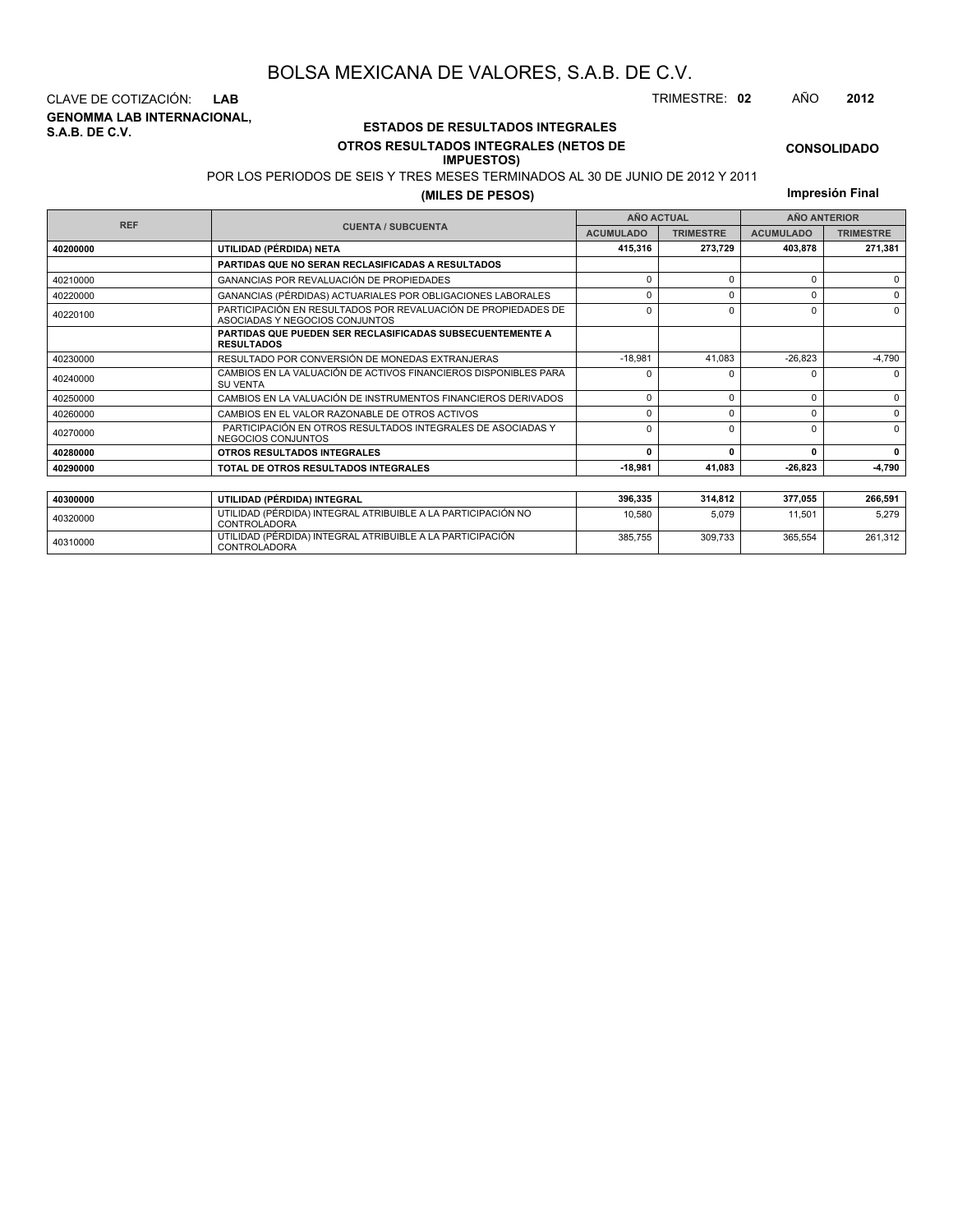**GENOMMA LAB INTERNACIONAL, S.A.B. DE C.V.** CLAVE DE COTIZACIÓN: **LAB** TRIMESTRE: **02** AÑO **2012**

<sup>40310000</sup> UTILIDAD (PÉRDIDA) INTEGRAL ATRIBUIBLE A LA PARTICIPACIÓN CONTROLADORA

### **ESTADOS DE RESULTADOS INTEGRALES OTROS RESULTADOS INTEGRALES (NETOS DE**

#### **IMPUESTOS)**

**CONSOLIDADO**

POR LOS PERIODOS DE SEIS Y TRES MESES TERMINADOS AL 30 DE JUNIO DE 2012 Y 2011

**(MILES DE PESOS)**

**Impresión Final**

385,755 309,733 365,554 261,312

|            |                                                                                                 |                  | <b>AÑO ACTUAL</b> |                                                                     | <b>AÑO ANTERIOR</b> |
|------------|-------------------------------------------------------------------------------------------------|------------------|-------------------|---------------------------------------------------------------------|---------------------|
| <b>REF</b> | <b>CUENTA / SUBCUENTA</b>                                                                       | <b>ACUMULADO</b> | <b>TRIMESTRE</b>  | <b>ACUMULADO</b>                                                    | <b>TRIMESTRE</b>    |
| 40200000   | UTILIDAD (PÉRDIDA) NETA                                                                         | 415,316          | 273,729           | 403,878                                                             | 271,381             |
|            | <b>PARTIDAS QUE NO SERAN RECLASIFICADAS A RESULTADOS</b>                                        |                  |                   |                                                                     |                     |
| 40210000   | GANANCIAS POR REVALUACIÓN DE PROPIEDADES                                                        | $\Omega$         | $\Omega$          | $\Omega$                                                            | $\Omega$            |
| 40220000   | GANANCIAS (PÉRDIDAS) ACTUARIALES POR OBLIGACIONES LABORALES                                     | n                |                   | <sup>0</sup>                                                        | $\Omega$            |
| 40220100   | PARTICIPACIÓN EN RESULTADOS POR REVALUACIÓN DE PROPIEDADES DE<br>ASOCIADAS Y NEGOCIOS CONJUNTOS | $\Omega$         |                   | <sup>0</sup>                                                        | $\Omega$            |
|            | <b>PARTIDAS QUE PUEDEN SER RECLASIFICADAS SUBSECUENTEMENTE A</b><br><b>RESULTADOS</b>           |                  |                   |                                                                     |                     |
| 40230000   | RESULTADO POR CONVERSIÓN DE MONEDAS EXTRANJERAS                                                 | $-18.981$        | 41,083            | $-26,823$                                                           | $-4,790$            |
| 40240000   | CAMBIOS EN LA VALUACIÓN DE ACTIVOS FINANCIEROS DISPONIBLES PARA<br><b>SU VENTA</b>              | O                |                   | 0                                                                   | $\Omega$            |
| 40250000   | CAMBIOS EN LA VALUACIÓN DE INSTRUMENTOS FINANCIEROS DERIVADOS                                   | $\Omega$         | $\Omega$          | 0                                                                   | $\Omega$            |
| 40260000   | CAMBIOS EN EL VALOR RAZONABLE DE OTROS ACTIVOS                                                  | $\Omega$         |                   | $\Omega$                                                            | $\Omega$            |
| 40270000   | PARTICIPACIÓN EN OTROS RESULTADOS INTEGRALES DE ASOCIADAS Y<br>NEGOCIOS CONJUNTOS               | $\Omega$         |                   | <sup>0</sup><br>$\mathbf{0}$<br>0<br>$-26.823$<br>377,055<br>11.501 | $\Omega$            |
| 40280000   | OTROS RESULTADOS INTEGRALES                                                                     | 0                |                   |                                                                     | $\mathbf{0}$        |
| 40290000   | TOTAL DE OTROS RESULTADOS INTEGRALES                                                            | $-18,981$        | 41,083            |                                                                     | -4,790              |
|            |                                                                                                 |                  |                   |                                                                     |                     |
| 40300000   | UTILIDAD (PÉRDIDA) INTEGRAL                                                                     | 396,335          | 314,812           |                                                                     | 266,591             |
| 40320000   | UTILIDAD (PÉRDIDA) INTEGRAL ATRIBUIBLE A LA PARTICIPACIÓN NO<br><b>CONTROLADORA</b>             | 10.580           | 5,079             |                                                                     | 5,279               |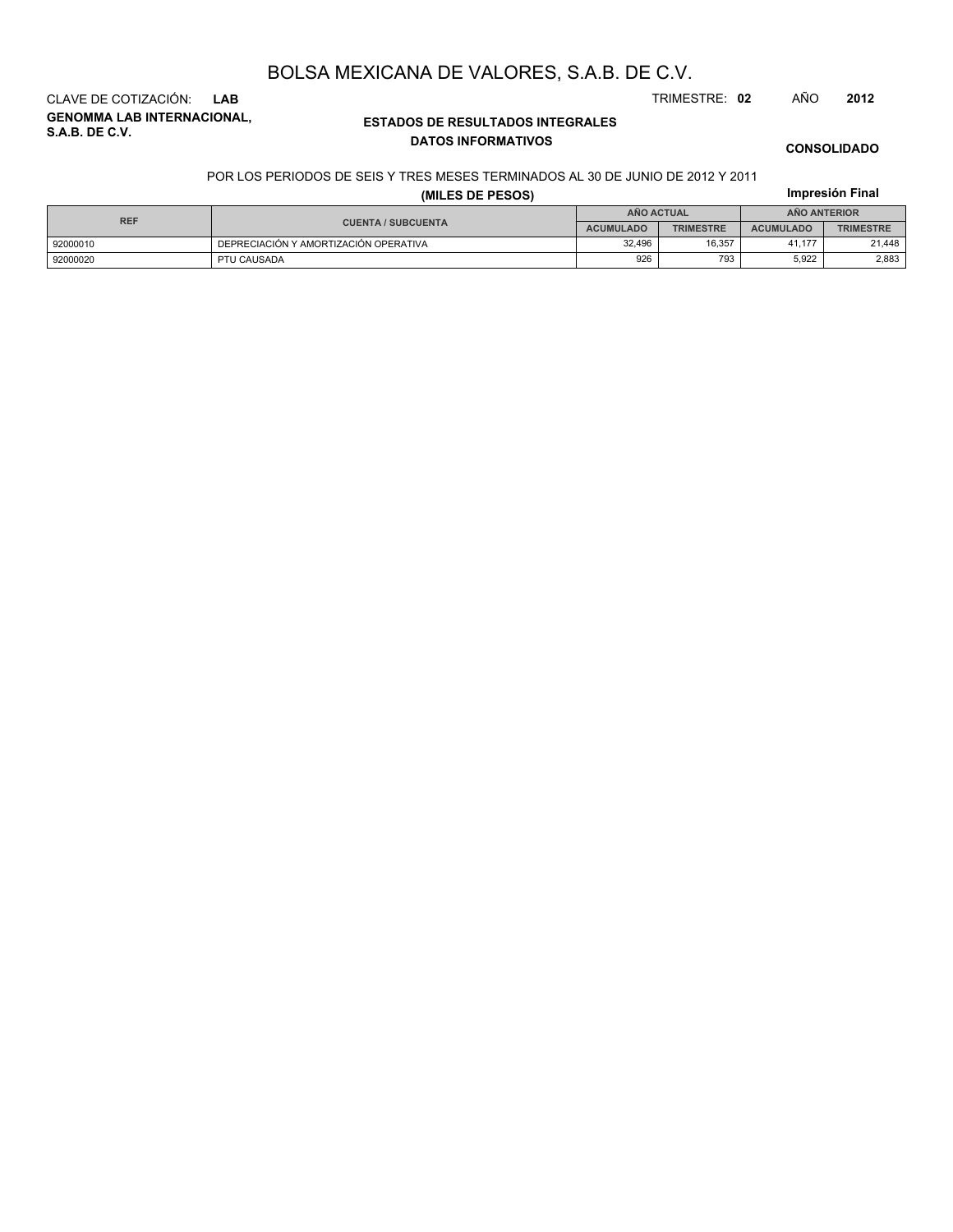**GENOMMA LAB INTERNACIONAL, S.A.B. DE C.V.** CLAVE DE COTIZACIÓN: **LAB** TRIMESTRE: **02** AÑO **2012**

### **ESTADOS DE RESULTADOS INTEGRALES DATOS INFORMATIVOS**

## **CONSOLIDADO**

**Impresión Final**

#### POR LOS PERIODOS DE SEIS Y TRES MESES TERMINADOS AL 30 DE JUNIO DE 2012 Y 2011

### **(MILES DE PESOS)**

| <b>REF</b> |                                       | <b>AÑO ACTUAL</b> |                  | <b>ANO ANTERIOR</b> |                  |  |
|------------|---------------------------------------|-------------------|------------------|---------------------|------------------|--|
|            | <b>CUENTA / SUBCUENTA</b>             | <b>ACUMULADO</b>  | <b>TRIMESTRE</b> | <b>ACUMULADO</b>    | <b>TRIMESTRE</b> |  |
| 92000010   | DEPRECIACIÓN Y AMORTIZACIÓN OPERATIVA | 32.496            | 16.357           | 41.177              | 21.448           |  |
| 92000020   | PTU CAUSADA                           | 926               | 793              | 5.922               | 2,883            |  |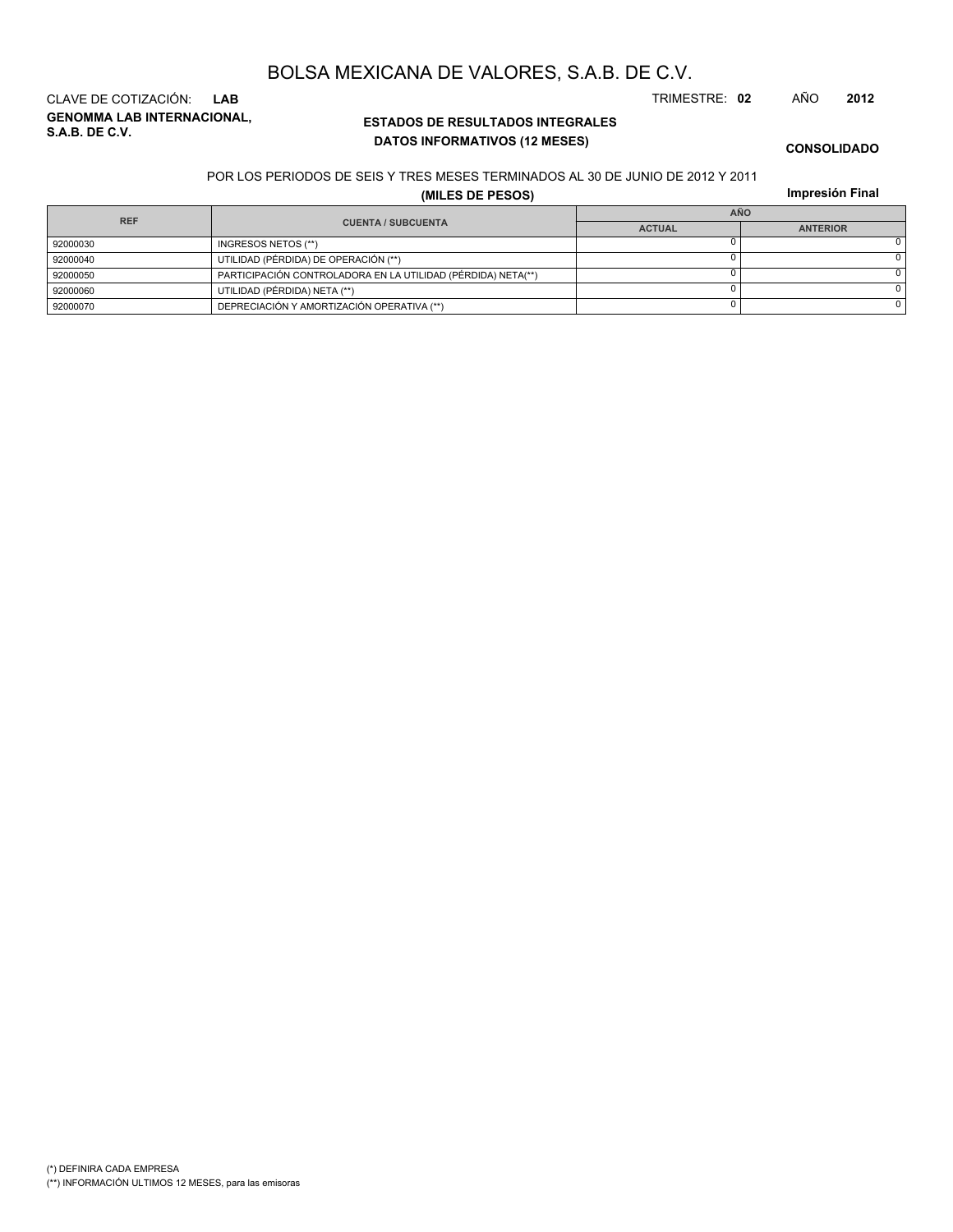**GENOMMA LAB INTERNACIONAL, S.A.B. DE C.V.** CLAVE DE COTIZACIÓN: **LAB** TRIMESTRE: **02** AÑO **2012**

### **ESTADOS DE RESULTADOS INTEGRALES DATOS INFORMATIVOS (12 MESES)**

**CONSOLIDADO**

#### POR LOS PERIODOS DE SEIS Y TRES MESES TERMINADOS AL 30 DE JUNIO DE 2012 Y 2011

**(MILES DE PESOS)**

**Impresión Final**

| <b>REF</b> |          |                                                              | <b>AÑO</b>    |                 |  |  |
|------------|----------|--------------------------------------------------------------|---------------|-----------------|--|--|
|            |          | <b>CUENTA / SUBCUENTA</b>                                    | <b>ACTUAL</b> | <b>ANTERIOR</b> |  |  |
|            | 92000030 | INGRESOS NETOS (**)                                          |               |                 |  |  |
|            | 92000040 | UTILIDAD (PÉRDIDA) DE OPERACIÓN (**)                         |               |                 |  |  |
|            | 92000050 | PARTICIPACIÓN CONTROLADORA EN LA UTILIDAD (PÉRDIDA) NETA(**) |               |                 |  |  |
|            | 92000060 | UTILIDAD (PÉRDIDA) NETA (**)                                 |               |                 |  |  |
|            | 92000070 | DEPRECIACIÓN Y AMORTIZACIÓN OPERATIVA (**)                   |               |                 |  |  |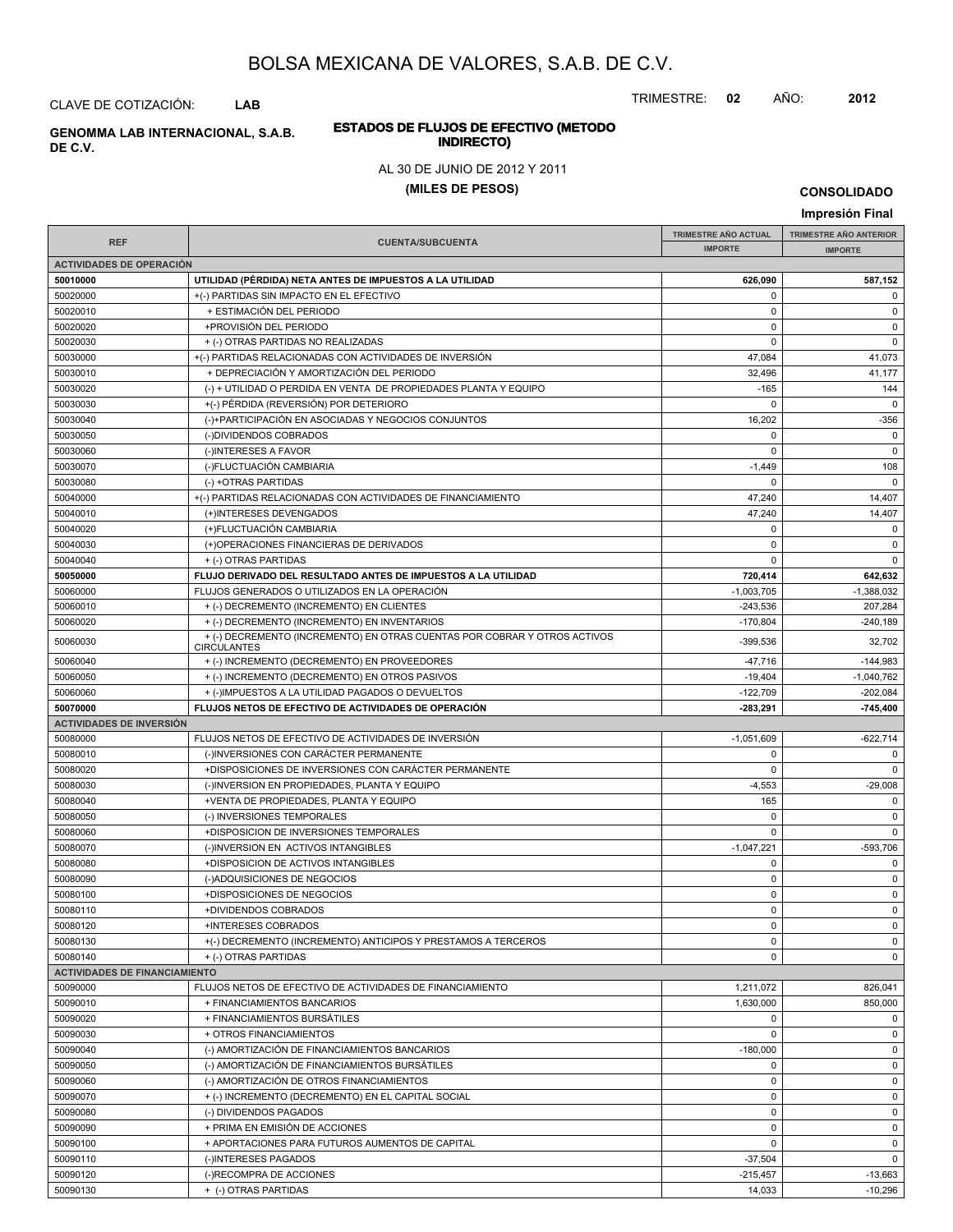TRIMESTRE: **02** AÑO: **2012**

# **ESTADOS DE FLUJOS DE EFECTIVO (METODO**

#### AL 30 DE JUNIO DE 2012 Y 2011

#### **(MILES DE PESOS)**

**Impresión Final**

#### **IMPRESIÓN FINAL AND SUBCUENTA**<br> **IMPORTE TRIMESTRE AÑO ACTUAL IMPORTE IMPORTE REF TRIMESTRE AÑO ANTERIOR IMPORTE ACTIVIDADES DE OPERACIÓN 50010000 UTILIDAD (PÉRDIDA) NETA ANTES DE IMPUESTOS A LA UTILIDAD 626,090 587,152** 50020000 +(-) PARTIDAS SIN IMPACTO EN EL EFECTIVO 0 0 50020010 + ESTIMACIÓN DEL PERIODO 0 0 50020020 +PROVISIÓN DEL PERIODO 0 0 50020030 + (-) OTRAS PARTIDAS NO REALIZADAS 0 0 50030000 +(-) PARTIDAS RELACIONADAS CON ACTIVIDADES DE INVERSIÓN 47,084 47,084 47,084 41,073 50030010 + DEPRECIACIÓN Y AMORTIZACIÓN DEL PERIODO 40000 + 41,177 50030020 (-) + UTILIDAD O PERDIDA EN VENTA DE PROPIEDADES PLANTA Y EQUIPO -165 144 50030030 +(-) PÉRDIDA (REVERSIÓN) POR DETERIORO 0 0 50030040 (-)+PARTICIPACIÓN EN ASOCIADAS Y NEGOCIOS CONJUNTOS (2002 -356 50030050 (-)DIVIDENDOS COBRADOS 0 0 50030060 (-)INTERESES A FAVOR 0 0 50030070 (-)FLUCTUACIÓN CAMBIARIA -1,449 108 50030080 (-) +OTRAS PARTIDAS 0 0 50040000 + +(-) PARTIDAS RELACIONADAS CON ACTIVIDADES DE FINANCIAMIENTO 47,240 47,240 + 47,240 14,407 50040010 (+)INTERESES DEVENGADOS 47,240 (+1) 41,407 50040020 (+)FLUCTUACIÓN CAMBIARIA 0 0 50040030 (+)OPERACIONES FINANCIERAS DE DERIVADOS 0 0 50040040 + (-) OTRAS PARTIDAS 0 0 **50050000 FLUJO DERIVADO DEL RESULTADO ANTES DE IMPUESTOS A LA UTILIDAD 720,414 642,632** 50060000 FLUJOS GENERADOS O UTILIZADOS EN LA OPERACIÓN -1,003,705 -1,003,705 -1,003,705 -1,388,032 50060010 + (-) DECREMENTO (INCREMENTO) EN CLIENTES -243,536 207,284 50060020 + (-) DECREMENTO (INCREMENTO) EN INVENTARIOS -170,804 -170,804 -240,189  $+(-)$  DECREMENTO (INCREMENTO) EN OTRAS CUENTAS POR COBRAR Y OTROS ACTIVOS 439,536 439,536 32,702 **CIRCULANTES** 50060040 + (-) INCREMENTO (DECREMENTO) EN PROVEEDORES -47,716 -144,983 50060050 + (-) INCREMENTO (DECREMENTO) EN OTROS PASIVOS + 1,040,762 + 1,040,762 50060060 + (-)IMPUESTOS A LA UTILIDAD PAGADOS O DEVUELTOS + + (-)IMPUESTOS A LA UTILIDAD PAGADOS O DEVUELTOS +  $202.084$ **50070000 FLUJOS NETOS DE EFECTIVO DE ACTIVIDADES DE OPERACIÓN -283,291 -745,400 ACTIVIDADES DE INVERSIÓN** 50080000 FLUJOS NETOS DE EFECTIVO DE ACTIVIDADES DE INVERSIÓN CONTRA ENTRE EN EL CONTRADO EN 1,051,609 -622,714 50080010 (-)INVERSIONES CON CARÁCTER PERMANENTE 0 0 50080020 +DISPOSICIONES DE INVERSIONES CON CARÁCTER PERMANENTE 0 0 50080030 (-)INVERSION EN PROPIEDADES, PLANTA Y EQUIPO -4,553 -4,553 -4,553 -4,553 -29,008 -29,008 -29,008 -4,553 -4,553 -4,553 -4,553 -4,553 -4,553 -4,553 -4,553 -4,553 -4,553 -4,553 -4,553 -4,553 -4,553 -4,553 -4,553 -4,5 50080040 +VENTA DE PROPIEDADES, PLANTA Y EQUIPO 165 0 50080050 (-) INVERSIONES TEMPORALES 0 0 50080060 +DISPOSICION DE INVERSIONES TEMPORALES 0 0 50080070 (-)INVERSION EN ACTIVOS INTANGIBLES -509,706 -509,706 50080080 +DISPOSICION DE ACTIVOS INTANGIBLES 0 0 50080090 (-)ADQUISICIONES DE NEGOCIOS 0 0 50080100 +DISPOSICIONES DE NEGOCIOS 0 0 50080110 +DIVIDENDOS COBRADOS 0 0 50080120 +INTERESES COBRADOS 0 0 50080130 +(-) DECREMENTO (INCREMENTO) ANTICIPOS Y PRESTAMOS A TERCEROS 0 0 50080140 + (-) OTRAS PARTIDAS 0 0 **ACTIVIDADES DE FINANCIAMIENTO** 50090000 FLUJOS NETOS DE EFECTIVO DE ACTIVIDADES DE FINANCIAMIENTO 1,211,072 826,041 50090010 + FINANCIAMIENTOS BANCARIOS 1,630,000 850,000 50090020 + FINANCIAMIENTOS BURSÁTILES 0 0 50090030 + OTROS FINANCIAMIENTOS 0 0 50090040 (-) AMORTIZACIÓN DE FINANCIAMIENTOS BANCARIOS -180,000 0 50090050 (-) AMORTIZACIÓN DE FINANCIAMIENTOS BURSÁTILES 0 0 50090060 (-) AMORTIZACIÓN DE OTROS FINANCIAMIENTOS 0 0 50090070 + (-) INCREMENTO (DECREMENTO) EN EL CAPITAL SOCIAL 0 0 50090080 (-) DIVIDENDOS PAGADOS 0 0 50090090 + PRIMA EN EMISIÓN DE ACCIONES de la componentación de la componentación de la componentación de la c 50090100 + APORTACIONES PARA FUTUROS AUMENTOS DE CAPITAL 0 0 50090110 (-)INTERESES PAGADOS -37,504 0 50090120 (-)RECOMPRA DE ACCIONES -215,457 -13,663

50090130 + (-) OTRAS PARTIDAS 14,033 -10,296

**CONSOLIDADO**

CLAVE DE COTIZACIÓN: **LAB**

**INDIRECTO) GENOMMA LAB INTERNACIONAL, S.A.B.**

**DE C.V.**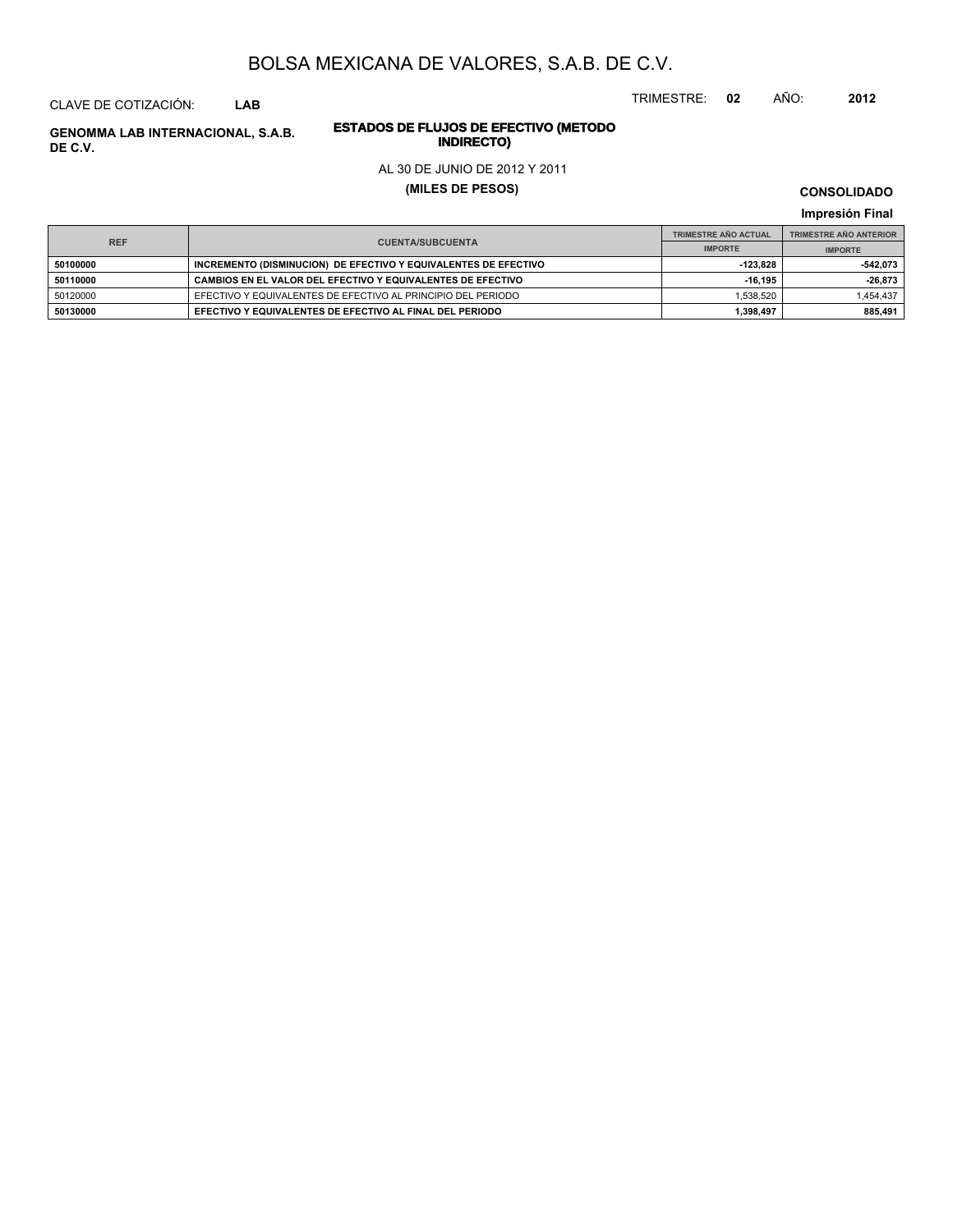CLAVE DE COTIZACIÓN: **LAB**

# **INDIRECTO) GENOMMA LAB INTERNACIONAL, S.A.B. DE C.V.**

# **ESTADOS DE FLUJOS DE EFECTIVO (METODO**

### AL 30 DE JUNIO DE 2012 Y 2011

### **(MILES DE PESOS)**

**CONSOLIDADO**

TRIMESTRE: **02** AÑO: **2012**

**Impresión Final**

|            |                                                                 | <b>TRIMESTRE AÑO ACTUAL</b> | <b>TRIMESTRE AÑO ANTERIOR</b> |
|------------|-----------------------------------------------------------------|-----------------------------|-------------------------------|
| <b>REF</b> | <b>CUENTA/SUBCUENTA</b>                                         | <b>IMPORTE</b>              | <b>IMPORTE</b>                |
| 50100000   | INCREMENTO (DISMINUCION) DE EFECTIVO Y EQUIVALENTES DE EFECTIVO | -123.828                    | -542,073                      |
| 50110000   | CAMBIOS EN EL VALOR DEL EFECTIVO Y EQUIVALENTES DE EFECTIVO     | $-16.195$                   | $-26,873$                     |
| 50120000   | EFECTIVO Y EQUIVALENTES DE EFECTIVO AL PRINCIPIO DEL PERIODO    | 1.538.520                   | 1,454,437                     |
| 50130000   | EFECTIVO Y EQUIVALENTES DE EFECTIVO AL FINAL DEL PERIODO        | 1,398,497                   | 885.491                       |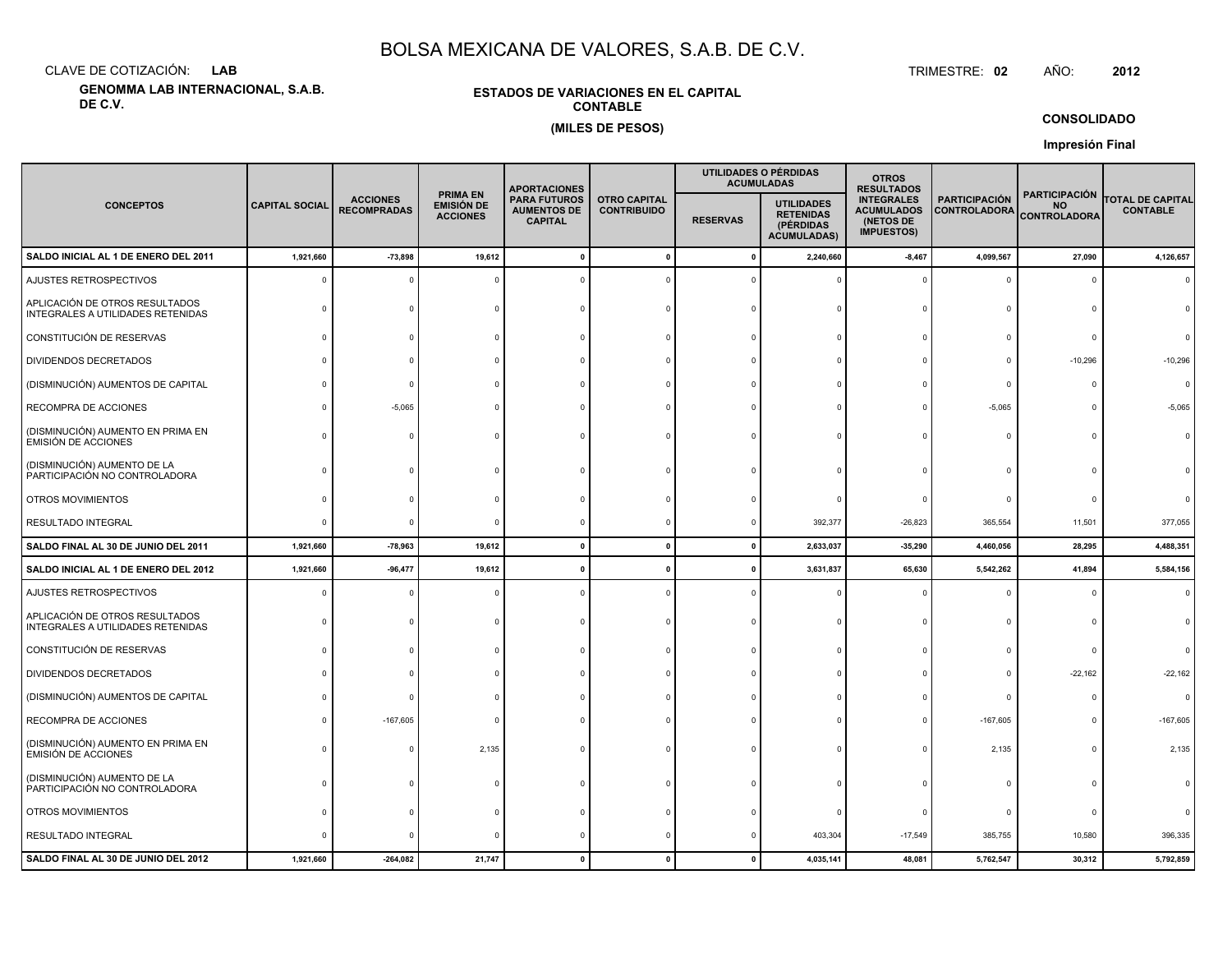CLAVE DE COTIZACIÓN:**LAB**

**GENOMMA LAB INTERNACIONAL, S.A.B. DE C.V.**

### **ESTADOS DE VARIACIONES EN EL CAPITALCONTABLE(MILES DE PESOS)**

 TRIMESTRE:TRIMESTRE: 02 AÑO: **<sup>2012</sup>**

**CONSOLIDADO**

**Impresión Final**

|                                                                     |                       |                                       |                                                         | <b>APORTACIONES</b>                                         |                                           |                 | UTILIDADES O PÉRDIDAS<br><b>ACUMULADAS</b>                               | <b>OTROS</b><br><b>RESULTADOS</b>                                        |                                             |                                                          |                                            |
|---------------------------------------------------------------------|-----------------------|---------------------------------------|---------------------------------------------------------|-------------------------------------------------------------|-------------------------------------------|-----------------|--------------------------------------------------------------------------|--------------------------------------------------------------------------|---------------------------------------------|----------------------------------------------------------|--------------------------------------------|
| <b>CONCEPTOS</b>                                                    | <b>CAPITAL SOCIAL</b> | <b>ACCIONES</b><br><b>RECOMPRADAS</b> | <b>PRIMA EN</b><br><b>EMISIÓN DE</b><br><b>ACCIONES</b> | <b>PARA FUTUROS</b><br><b>AUMENTOS DE</b><br><b>CAPITAL</b> | <b>OTRO CAPITAL</b><br><b>CONTRIBUIDO</b> | <b>RESERVAS</b> | <b>UTILIDADES</b><br><b>RETENIDAS</b><br>(PÉRDIDAS<br><b>ACUMULADAS)</b> | <b>INTEGRALES</b><br><b>ACUMULADOS</b><br>(NETOS DE<br><b>IMPUESTOS)</b> | <b>PARTICIPACIÓN</b><br><b>CONTROLADORA</b> | <b>PARTICIPACIÓN</b><br><b>NO</b><br><b>CONTROLADORA</b> | <b>TOTAL DE CAPITAL</b><br><b>CONTABLE</b> |
| SALDO INICIAL AL 1 DE ENERO DEL 2011                                | 1,921,660             | $-73,898$                             | 19,612                                                  |                                                             | $\mathbf 0$                               | 0               | 2,240,660                                                                | $-8,467$                                                                 | 4,099,567                                   | 27,090                                                   | 4,126,657                                  |
| AJUSTES RETROSPECTIVOS                                              |                       |                                       |                                                         |                                                             |                                           |                 |                                                                          |                                                                          | $\mathbf 0$                                 | 0                                                        |                                            |
| APLICACIÓN DE OTROS RESULTADOS<br>INTEGRALES A UTILIDADES RETENIDAS |                       |                                       |                                                         |                                                             |                                           |                 |                                                                          |                                                                          | $\Omega$                                    |                                                          |                                            |
| CONSTITUCIÓN DE RESERVAS                                            |                       |                                       |                                                         |                                                             |                                           |                 |                                                                          |                                                                          | $\Omega$                                    |                                                          |                                            |
| <b>DIVIDENDOS DECRETADOS</b>                                        |                       |                                       |                                                         |                                                             |                                           |                 |                                                                          |                                                                          | $\Omega$                                    | $-10,296$                                                | $-10,296$                                  |
| (DISMINUCIÓN) AUMENTOS DE CAPITAL                                   |                       |                                       |                                                         |                                                             |                                           |                 |                                                                          |                                                                          | $\Omega$                                    | $\Omega$                                                 | $\Omega$                                   |
| RECOMPRA DE ACCIONES                                                |                       | $-5,065$                              |                                                         |                                                             |                                           |                 |                                                                          |                                                                          | $-5,065$                                    | $\Omega$                                                 | $-5,065$                                   |
| (DISMINUCIÓN) AUMENTO EN PRIMA EN<br><b>EMISIÓN DE ACCIONES</b>     |                       |                                       |                                                         |                                                             |                                           |                 |                                                                          |                                                                          | $\Omega$                                    | $\Omega$                                                 |                                            |
| (DISMINUCIÓN) AUMENTO DE LA<br>PARTICIPACIÓN NO CONTROLADORA        |                       |                                       |                                                         |                                                             |                                           |                 |                                                                          |                                                                          |                                             |                                                          |                                            |
| OTROS MOVIMIENTOS                                                   |                       |                                       |                                                         |                                                             |                                           |                 |                                                                          |                                                                          | $\Omega$                                    | $\Omega$                                                 |                                            |
| RESULTADO INTEGRAL                                                  |                       |                                       |                                                         |                                                             |                                           |                 | 392,377                                                                  | $-26,823$                                                                | 365,554                                     | 11,501                                                   | 377,055                                    |
| SALDO FINAL AL 30 DE JUNIO DEL 2011                                 | 1,921,660             | $-78,963$                             | 19,612                                                  |                                                             | $\Omega$                                  | $\mathbf{0}$    | 2,633,037                                                                | $-35,290$                                                                | 4,460,056                                   | 28,295                                                   | 4,488,351                                  |
| SALDO INICIAL AL 1 DE ENERO DEL 2012                                | 1,921,660             | $-96,477$                             | 19,612                                                  |                                                             |                                           | 0               | 3,631,837                                                                | 65,630                                                                   | 5,542,262                                   | 41,894                                                   | 5,584,156                                  |
| AJUSTES RETROSPECTIVOS                                              |                       |                                       |                                                         |                                                             |                                           |                 |                                                                          |                                                                          | $\Omega$                                    | $\Omega$                                                 | $\Omega$                                   |
| APLICACIÓN DE OTROS RESULTADOS<br>INTEGRALES A UTILIDADES RETENIDAS |                       |                                       |                                                         |                                                             |                                           |                 |                                                                          |                                                                          | $\Omega$                                    | $\Omega$                                                 |                                            |
| CONSTITUCIÓN DE RESERVAS                                            |                       |                                       |                                                         |                                                             |                                           |                 |                                                                          |                                                                          | $\Omega$                                    | $\mathbf 0$                                              |                                            |
| <b>DIVIDENDOS DECRETADOS</b>                                        |                       |                                       |                                                         |                                                             |                                           |                 |                                                                          |                                                                          | $\Omega$                                    | $-22,162$                                                | $-22,162$                                  |
| (DISMINUCIÓN) AUMENTOS DE CAPITAL                                   |                       |                                       |                                                         |                                                             |                                           |                 |                                                                          |                                                                          | $\Omega$                                    | $\Omega$                                                 | $\Omega$                                   |
| RECOMPRA DE ACCIONES                                                |                       | $-167,605$                            |                                                         |                                                             |                                           |                 |                                                                          |                                                                          | $-167,605$                                  | 0                                                        | $-167,605$                                 |
| (DISMINUCIÓN) AUMENTO EN PRIMA EN<br><b>EMISIÓN DE ACCIONES</b>     |                       |                                       | 2,135                                                   |                                                             |                                           |                 |                                                                          | $\Omega$                                                                 | 2,135                                       | $\Omega$                                                 | 2,135                                      |
| (DISMINUCIÓN) AUMENTO DE LA<br>PARTICIPACIÓN NO CONTROLADORA        |                       |                                       |                                                         |                                                             |                                           |                 |                                                                          |                                                                          | $\Omega$                                    | $\Omega$                                                 |                                            |
| OTROS MOVIMIENTOS                                                   |                       |                                       |                                                         |                                                             |                                           |                 |                                                                          |                                                                          | 0                                           | O                                                        |                                            |
| RESULTADO INTEGRAL                                                  |                       |                                       |                                                         |                                                             |                                           |                 | 403,304                                                                  | $-17,549$                                                                | 385,755                                     | 10,580                                                   | 396,335                                    |
| SALDO FINAL AL 30 DE JUNIO DEL 2012                                 | 1,921,660             | $-264,082$                            | 21,747                                                  |                                                             |                                           |                 | 4,035,141                                                                | 48,081                                                                   | 5,762,547                                   | 30,312                                                   | 5,792,859                                  |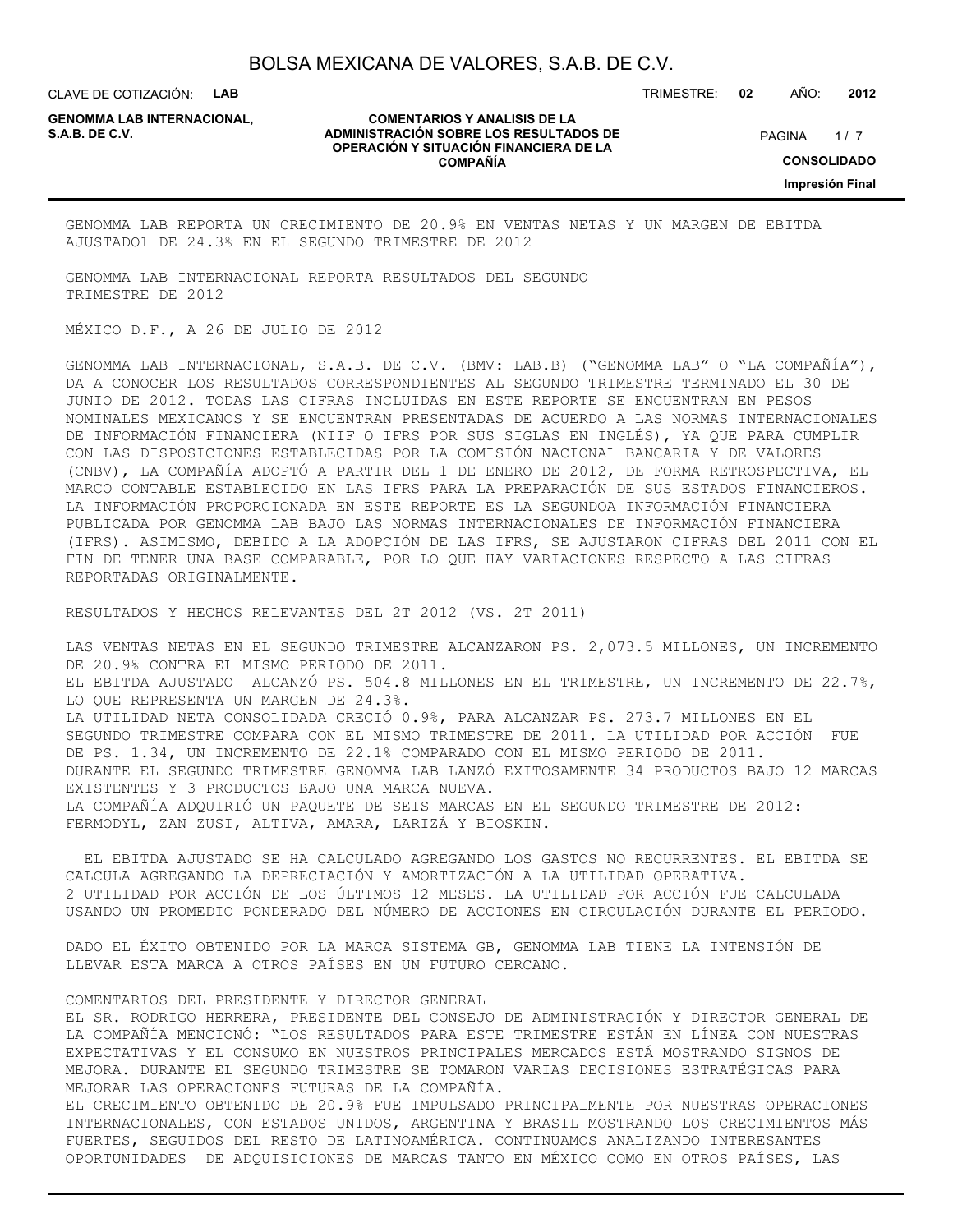CLAVE DE COTIZACIÓN: **LAB**

**GENOMMA LAB INTERNACIONAL,**

#### **COMENTARIOS Y ANALISIS DE LA ADMINISTRACIÓN SOBRE LOS RESULTADOS DE PAGINA 1/7 OPERACIÓN Y SITUACIÓN FINANCIERA DE LA COMPAÑÍA**

TRIMESTRE: **02** AÑO: **2012**

 $1/7$ **CONSOLIDADO Impresión Final**

GENOMMA LAB REPORTA UN CRECIMIENTO DE 20.9% EN VENTAS NETAS Y UN MARGEN DE EBITDA AJUSTADO1 DE 24.3% EN EL SEGUNDO TRIMESTRE DE 2012

GENOMMA LAB INTERNACIONAL REPORTA RESULTADOS DEL SEGUNDO TRIMESTRE DE 2012

MÉXICO D.F., A 26 DE JULIO DE 2012

GENOMMA LAB INTERNACIONAL, S.A.B. DE C.V. (BMV: LAB.B) ("GENOMMA LAB" O "LA COMPAÑÍA"), DA A CONOCER LOS RESULTADOS CORRESPONDIENTES AL SEGUNDO TRIMESTRE TERMINADO EL 30 DE JUNIO DE 2012. TODAS LAS CIFRAS INCLUIDAS EN ESTE REPORTE SE ENCUENTRAN EN PESOS NOMINALES MEXICANOS Y SE ENCUENTRAN PRESENTADAS DE ACUERDO A LAS NORMAS INTERNACIONALES DE INFORMACIÓN FINANCIERA (NIIF O IFRS POR SUS SIGLAS EN INGLÉS), YA QUE PARA CUMPLIR CON LAS DISPOSICIONES ESTABLECIDAS POR LA COMISIÓN NACIONAL BANCARIA Y DE VALORES (CNBV), LA COMPAÑÍA ADOPTÓ A PARTIR DEL 1 DE ENERO DE 2012, DE FORMA RETROSPECTIVA, EL MARCO CONTABLE ESTABLECIDO EN LAS IFRS PARA LA PREPARACIÓN DE SUS ESTADOS FINANCIEROS. LA INFORMACIÓN PROPORCIONADA EN ESTE REPORTE ES LA SEGUNDOA INFORMACIÓN FINANCIERA PUBLICADA POR GENOMMA LAB BAJO LAS NORMAS INTERNACIONALES DE INFORMACIÓN FINANCIERA (IFRS). ASIMISMO, DEBIDO A LA ADOPCIÓN DE LAS IFRS, SE AJUSTARON CIFRAS DEL 2011 CON EL FIN DE TENER UNA BASE COMPARABLE, POR LO QUE HAY VARIACIONES RESPECTO A LAS CIFRAS REPORTADAS ORIGINALMENTE.

RESULTADOS Y HECHOS RELEVANTES DEL 2T 2012 (VS. 2T 2011)

LAS VENTAS NETAS EN EL SEGUNDO TRIMESTRE ALCANZARON PS. 2,073.5 MILLONES, UN INCREMENTO DE 20.9% CONTRA EL MISMO PERIODO DE 2011. EL EBITDA AJUSTADO ALCANZÓ PS. 504.8 MILLONES EN EL TRIMESTRE, UN INCREMENTO DE 22.7%, LO QUE REPRESENTA UN MARGEN DE 24.3%. LA UTILIDAD NETA CONSOLIDADA CRECIÓ 0.9%, PARA ALCANZAR PS. 273.7 MILLONES EN EL SEGUNDO TRIMESTRE COMPARA CON EL MISMO TRIMESTRE DE 2011. LA UTILIDAD POR ACCIÓN FUE DE PS. 1.34, UN INCREMENTO DE 22.1% COMPARADO CON EL MISMO PERIODO DE 2011. DURANTE EL SEGUNDO TRIMESTRE GENOMMA LAB LANZÓ EXITOSAMENTE 34 PRODUCTOS BAJO 12 MARCAS EXISTENTES Y 3 PRODUCTOS BAJO UNA MARCA NUEVA. LA COMPAÑÍA ADQUIRIÓ UN PAQUETE DE SEIS MARCAS EN EL SEGUNDO TRIMESTRE DE 2012: FERMODYL, ZAN ZUSI, ALTIVA, AMARA, LARIZÁ Y BIOSKIN.

 EL EBITDA AJUSTADO SE HA CALCULADO AGREGANDO LOS GASTOS NO RECURRENTES. EL EBITDA SE CALCULA AGREGANDO LA DEPRECIACIÓN Y AMORTIZACIÓN A LA UTILIDAD OPERATIVA. 2 UTILIDAD POR ACCIÓN DE LOS ÚLTIMOS 12 MESES. LA UTILIDAD POR ACCIÓN FUE CALCULADA USANDO UN PROMEDIO PONDERADO DEL NÚMERO DE ACCIONES EN CIRCULACIÓN DURANTE EL PERIODO.

DADO EL ÉXITO OBTENIDO POR LA MARCA SISTEMA GB, GENOMMA LAB TIENE LA INTENSIÓN DE LLEVAR ESTA MARCA A OTROS PAÍSES EN UN FUTURO CERCANO.

COMENTARIOS DEL PRESIDENTE Y DIRECTOR GENERAL

EL SR. RODRIGO HERRERA, PRESIDENTE DEL CONSEJO DE ADMINISTRACIÓN Y DIRECTOR GENERAL DE LA COMPAÑÍA MENCIONÓ: "LOS RESULTADOS PARA ESTE TRIMESTRE ESTÁN EN LÍNEA CON NUESTRAS EXPECTATIVAS Y EL CONSUMO EN NUESTROS PRINCIPALES MERCADOS ESTÁ MOSTRANDO SIGNOS DE MEJORA. DURANTE EL SEGUNDO TRIMESTRE SE TOMARON VARIAS DECISIONES ESTRATÉGICAS PARA MEJORAR LAS OPERACIONES FUTURAS DE LA COMPAÑÍA.

EL CRECIMIENTO OBTENIDO DE 20.9% FUE IMPULSADO PRINCIPALMENTE POR NUESTRAS OPERACIONES INTERNACIONALES, CON ESTADOS UNIDOS, ARGENTINA Y BRASIL MOSTRANDO LOS CRECIMIENTOS MÁS FUERTES, SEGUIDOS DEL RESTO DE LATINOAMÉRICA. CONTINUAMOS ANALIZANDO INTERESANTES OPORTUNIDADES DE ADQUISICIONES DE MARCAS TANTO EN MÉXICO COMO EN OTROS PAÍSES, LAS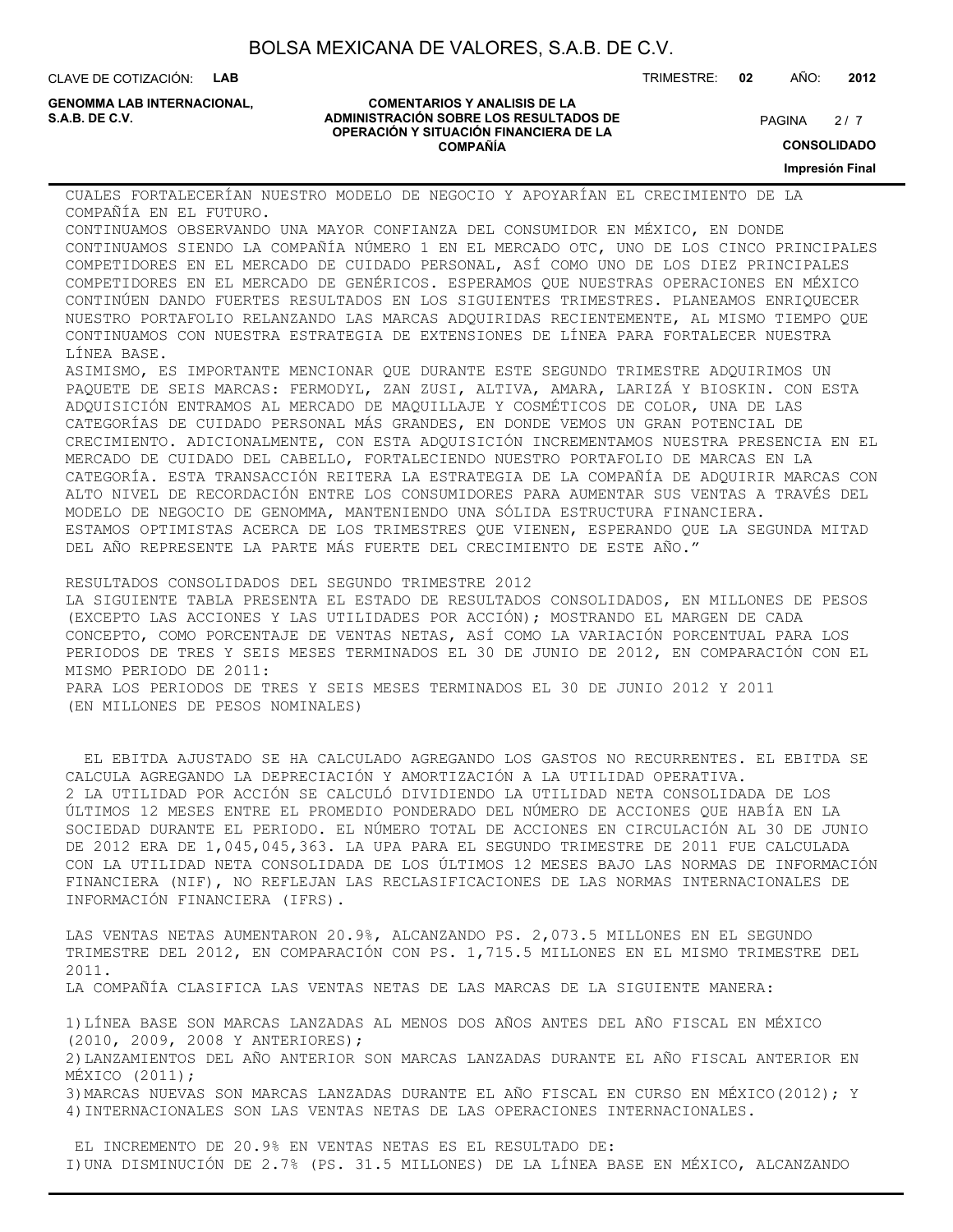CLAVE DE COTIZACIÓN: **LAB**

**GENOMMA LAB INTERNACIONAL,**

#### **COMENTARIOS Y ANALISIS DE LA ADMINISTRACIÓN SOBRE LOS RESULTADOS DE PAGINA 2/7 PAGINA 2/7 OPERACIÓN Y SITUACIÓN FINANCIERA DE LA COMPAÑÍA**

 $2/7$ 

**CONSOLIDADO**

**Impresión Final**

CUALES FORTALECERÍAN NUESTRO MODELO DE NEGOCIO Y APOYARÍAN EL CRECIMIENTO DE LA COMPAÑÍA EN EL FUTURO.

CONTINUAMOS OBSERVANDO UNA MAYOR CONFIANZA DEL CONSUMIDOR EN MÉXICO, EN DONDE CONTINUAMOS SIENDO LA COMPAÑÍA NÚMERO 1 EN EL MERCADO OTC, UNO DE LOS CINCO PRINCIPALES COMPETIDORES EN EL MERCADO DE CUIDADO PERSONAL, ASÍ COMO UNO DE LOS DIEZ PRINCIPALES COMPETIDORES EN EL MERCADO DE GENÉRICOS. ESPERAMOS QUE NUESTRAS OPERACIONES EN MÉXICO CONTINÚEN DANDO FUERTES RESULTADOS EN LOS SIGUIENTES TRIMESTRES. PLANEAMOS ENRIQUECER NUESTRO PORTAFOLIO RELANZANDO LAS MARCAS ADQUIRIDAS RECIENTEMENTE, AL MISMO TIEMPO QUE CONTINUAMOS CON NUESTRA ESTRATEGIA DE EXTENSIONES DE LÍNEA PARA FORTALECER NUESTRA LÍNEA BASE.

ASIMISMO, ES IMPORTANTE MENCIONAR QUE DURANTE ESTE SEGUNDO TRIMESTRE ADQUIRIMOS UN PAQUETE DE SEIS MARCAS: FERMODYL, ZAN ZUSI, ALTIVA, AMARA, LARIZÁ Y BIOSKIN. CON ESTA ADQUISICIÓN ENTRAMOS AL MERCADO DE MAQUILLAJE Y COSMÉTICOS DE COLOR, UNA DE LAS CATEGORÍAS DE CUIDADO PERSONAL MÁS GRANDES, EN DONDE VEMOS UN GRAN POTENCIAL DE CRECIMIENTO. ADICIONALMENTE, CON ESTA ADQUISICIÓN INCREMENTAMOS NUESTRA PRESENCIA EN EL MERCADO DE CUIDADO DEL CABELLO, FORTALECIENDO NUESTRO PORTAFOLIO DE MARCAS EN LA CATEGORÍA. ESTA TRANSACCIÓN REITERA LA ESTRATEGIA DE LA COMPAÑÍA DE ADQUIRIR MARCAS CON ALTO NIVEL DE RECORDACIÓN ENTRE LOS CONSUMIDORES PARA AUMENTAR SUS VENTAS A TRAVÉS DEL MODELO DE NEGOCIO DE GENOMMA, MANTENIENDO UNA SÓLIDA ESTRUCTURA FINANCIERA. ESTAMOS OPTIMISTAS ACERCA DE LOS TRIMESTRES QUE VIENEN, ESPERANDO QUE LA SEGUNDA MITAD DEL AÑO REPRESENTE LA PARTE MÁS FUERTE DEL CRECIMIENTO DE ESTE AÑO."

RESULTADOS CONSOLIDADOS DEL SEGUNDO TRIMESTRE 2012 LA SIGUIENTE TABLA PRESENTA EL ESTADO DE RESULTADOS CONSOLIDADOS, EN MILLONES DE PESOS (EXCEPTO LAS ACCIONES Y LAS UTILIDADES POR ACCIÓN); MOSTRANDO EL MARGEN DE CADA CONCEPTO, COMO PORCENTAJE DE VENTAS NETAS, ASÍ COMO LA VARIACIÓN PORCENTUAL PARA LOS PERIODOS DE TRES Y SEIS MESES TERMINADOS EL 30 DE JUNIO DE 2012, EN COMPARACIÓN CON EL MISMO PERIODO DE 2011: PARA LOS PERIODOS DE TRES Y SEIS MESES TERMINADOS EL 30 DE JUNIO 2012 Y 2011 (EN MILLONES DE PESOS NOMINALES)

 EL EBITDA AJUSTADO SE HA CALCULADO AGREGANDO LOS GASTOS NO RECURRENTES. EL EBITDA SE CALCULA AGREGANDO LA DEPRECIACIÓN Y AMORTIZACIÓN A LA UTILIDAD OPERATIVA. 2 LA UTILIDAD POR ACCIÓN SE CALCULÓ DIVIDIENDO LA UTILIDAD NETA CONSOLIDADA DE LOS ÚLTIMOS 12 MESES ENTRE EL PROMEDIO PONDERADO DEL NÚMERO DE ACCIONES QUE HABÍA EN LA SOCIEDAD DURANTE EL PERIODO. EL NÚMERO TOTAL DE ACCIONES EN CIRCULACIÓN AL 30 DE JUNIO DE 2012 ERA DE 1,045,045,363. LA UPA PARA EL SEGUNDO TRIMESTRE DE 2011 FUE CALCULADA CON LA UTILIDAD NETA CONSOLIDADA DE LOS ÚLTIMOS 12 MESES BAJO LAS NORMAS DE INFORMACIÓN FINANCIERA (NIF), NO REFLEJAN LAS RECLASIFICACIONES DE LAS NORMAS INTERNACIONALES DE INFORMACIÓN FINANCIERA (IFRS).

LAS VENTAS NETAS AUMENTARON 20.9%, ALCANZANDO PS. 2,073.5 MILLONES EN EL SEGUNDO TRIMESTRE DEL 2012, EN COMPARACIÓN CON PS. 1,715.5 MILLONES EN EL MISMO TRIMESTRE DEL 2011. LA COMPAÑÍA CLASIFICA LAS VENTAS NETAS DE LAS MARCAS DE LA SIGUIENTE MANERA: 1)LÍNEA BASE SON MARCAS LANZADAS AL MENOS DOS AÑOS ANTES DEL AÑO FISCAL EN MÉXICO (2010, 2009, 2008 Y ANTERIORES);

2)LANZAMIENTOS DEL AÑO ANTERIOR SON MARCAS LANZADAS DURANTE EL AÑO FISCAL ANTERIOR EN MÉXICO (2011);

3)MARCAS NUEVAS SON MARCAS LANZADAS DURANTE EL AÑO FISCAL EN CURSO EN MÉXICO(2012); Y 4)INTERNACIONALES SON LAS VENTAS NETAS DE LAS OPERACIONES INTERNACIONALES.

 EL INCREMENTO DE 20.9% EN VENTAS NETAS ES EL RESULTADO DE: I)UNA DISMINUCIÓN DE 2.7% (PS. 31.5 MILLONES) DE LA LÍNEA BASE EN MÉXICO, ALCANZANDO

TRIMESTRE: **02** AÑO: **2012**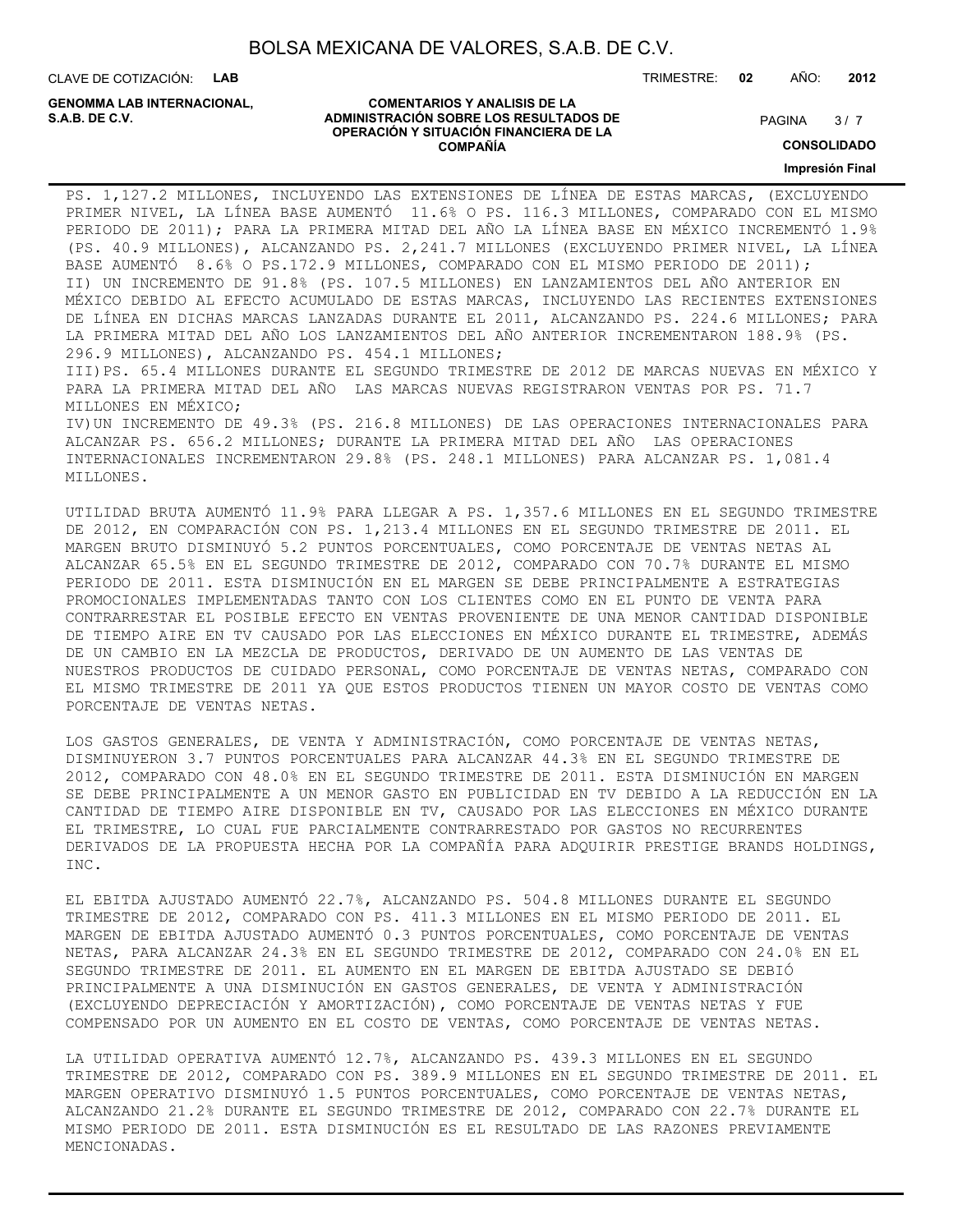CLAVE DE COTIZACIÓN: **LAB**

**GENOMMA LAB INTERNACIONAL,**

#### **COMENTARIOS Y ANALISIS DE LA ADMINISTRACIÓN SOBRE LOS RESULTADOS DE S.A.B. DE C.V.** PAGINA / 7 **OPERACIÓN Y SITUACIÓN FINANCIERA DE LA COMPAÑÍA**

 $3/7$ 

**CONSOLIDADO**

**Impresión Final**

PS. 1,127.2 MILLONES, INCLUYENDO LAS EXTENSIONES DE LÍNEA DE ESTAS MARCAS, (EXCLUYENDO PRIMER NIVEL, LA LÍNEA BASE AUMENTÓ 11.6% O PS. 116.3 MILLONES, COMPARADO CON EL MISMO PERIODO DE 2011); PARA LA PRIMERA MITAD DEL AÑO LA LÍNEA BASE EN MÉXICO INCREMENTÓ 1.9% (PS. 40.9 MILLONES), ALCANZANDO PS. 2,241.7 MILLONES (EXCLUYENDO PRIMER NIVEL, LA LÍNEA BASE AUMENTÓ 8.6% O PS.172.9 MILLONES, COMPARADO CON EL MISMO PERIODO DE 2011); II) UN INCREMENTO DE 91.8% (PS. 107.5 MILLONES) EN LANZAMIENTOS DEL AÑO ANTERIOR EN MÉXICO DEBIDO AL EFECTO ACUMULADO DE ESTAS MARCAS, INCLUYENDO LAS RECIENTES EXTENSIONES DE LÍNEA EN DICHAS MARCAS LANZADAS DURANTE EL 2011, ALCANZANDO PS. 224.6 MILLONES; PARA LA PRIMERA MITAD DEL AÑO LOS LANZAMIENTOS DEL AÑO ANTERIOR INCREMENTARON 188.9% (PS. 296.9 MILLONES), ALCANZANDO PS. 454.1 MILLONES; III)PS. 65.4 MILLONES DURANTE EL SEGUNDO TRIMESTRE DE 2012 DE MARCAS NUEVAS EN MÉXICO Y PARA LA PRIMERA MITAD DEL AÑO LAS MARCAS NUEVAS REGISTRARON VENTAS POR PS. 71.7 MILLONES EN MÉXICO; IV)UN INCREMENTO DE 49.3% (PS. 216.8 MILLONES) DE LAS OPERACIONES INTERNACIONALES PARA ALCANZAR PS. 656.2 MILLONES; DURANTE LA PRIMERA MITAD DEL AÑO LAS OPERACIONES INTERNACIONALES INCREMENTARON 29.8% (PS. 248.1 MILLONES) PARA ALCANZAR PS. 1,081.4

MILLONES.

UTILIDAD BRUTA AUMENTÓ 11.9% PARA LLEGAR A PS. 1,357.6 MILLONES EN EL SEGUNDO TRIMESTRE DE 2012, EN COMPARACIÓN CON PS. 1,213.4 MILLONES EN EL SEGUNDO TRIMESTRE DE 2011. EL MARGEN BRUTO DISMINUYÓ 5.2 PUNTOS PORCENTUALES, COMO PORCENTAJE DE VENTAS NETAS AL ALCANZAR 65.5% EN EL SEGUNDO TRIMESTRE DE 2012, COMPARADO CON 70.7% DURANTE EL MISMO PERIODO DE 2011. ESTA DISMINUCIÓN EN EL MARGEN SE DEBE PRINCIPALMENTE A ESTRATEGIAS PROMOCIONALES IMPLEMENTADAS TANTO CON LOS CLIENTES COMO EN EL PUNTO DE VENTA PARA CONTRARRESTAR EL POSIBLE EFECTO EN VENTAS PROVENIENTE DE UNA MENOR CANTIDAD DISPONIBLE DE TIEMPO AIRE EN TV CAUSADO POR LAS ELECCIONES EN MÉXICO DURANTE EL TRIMESTRE, ADEMÁS DE UN CAMBIO EN LA MEZCLA DE PRODUCTOS, DERIVADO DE UN AUMENTO DE LAS VENTAS DE NUESTROS PRODUCTOS DE CUIDADO PERSONAL, COMO PORCENTAJE DE VENTAS NETAS, COMPARADO CON EL MISMO TRIMESTRE DE 2011 YA QUE ESTOS PRODUCTOS TIENEN UN MAYOR COSTO DE VENTAS COMO PORCENTAJE DE VENTAS NETAS.

LOS GASTOS GENERALES, DE VENTA Y ADMINISTRACIÓN, COMO PORCENTAJE DE VENTAS NETAS, DISMINUYERON 3.7 PUNTOS PORCENTUALES PARA ALCANZAR 44.3% EN EL SEGUNDO TRIMESTRE DE 2012, COMPARADO CON 48.0% EN EL SEGUNDO TRIMESTRE DE 2011. ESTA DISMINUCIÓN EN MARGEN SE DEBE PRINCIPALMENTE A UN MENOR GASTO EN PUBLICIDAD EN TV DEBIDO A LA REDUCCIÓN EN LA CANTIDAD DE TIEMPO AIRE DISPONIBLE EN TV, CAUSADO POR LAS ELECCIONES EN MÉXICO DURANTE EL TRIMESTRE, LO CUAL FUE PARCIALMENTE CONTRARRESTADO POR GASTOS NO RECURRENTES DERIVADOS DE LA PROPUESTA HECHA POR LA COMPAÑÍA PARA ADQUIRIR PRESTIGE BRANDS HOLDINGS, INC.

EL EBITDA AJUSTADO AUMENTÓ 22.7%, ALCANZANDO PS. 504.8 MILLONES DURANTE EL SEGUNDO TRIMESTRE DE 2012, COMPARADO CON PS. 411.3 MILLONES EN EL MISMO PERIODO DE 2011. EL MARGEN DE EBITDA AJUSTADO AUMENTÓ 0.3 PUNTOS PORCENTUALES, COMO PORCENTAJE DE VENTAS NETAS, PARA ALCANZAR 24.3% EN EL SEGUNDO TRIMESTRE DE 2012, COMPARADO CON 24.0% EN EL SEGUNDO TRIMESTRE DE 2011. EL AUMENTO EN EL MARGEN DE EBITDA AJUSTADO SE DEBIÓ PRINCIPALMENTE A UNA DISMINUCIÓN EN GASTOS GENERALES, DE VENTA Y ADMINISTRACIÓN (EXCLUYENDO DEPRECIACIÓN Y AMORTIZACIÓN), COMO PORCENTAJE DE VENTAS NETAS Y FUE COMPENSADO POR UN AUMENTO EN EL COSTO DE VENTAS, COMO PORCENTAJE DE VENTAS NETAS.

LA UTILIDAD OPERATIVA AUMENTÓ 12.7%, ALCANZANDO PS. 439.3 MILLONES EN EL SEGUNDO TRIMESTRE DE 2012, COMPARADO CON PS. 389.9 MILLONES EN EL SEGUNDO TRIMESTRE DE 2011. EL MARGEN OPERATIVO DISMINUYÓ 1.5 PUNTOS PORCENTUALES, COMO PORCENTAJE DE VENTAS NETAS, ALCANZANDO 21.2% DURANTE EL SEGUNDO TRIMESTRE DE 2012, COMPARADO CON 22.7% DURANTE EL MISMO PERIODO DE 2011. ESTA DISMINUCIÓN ES EL RESULTADO DE LAS RAZONES PREVIAMENTE MENCIONADAS.

TRIMESTRE: **02** AÑO: **2012**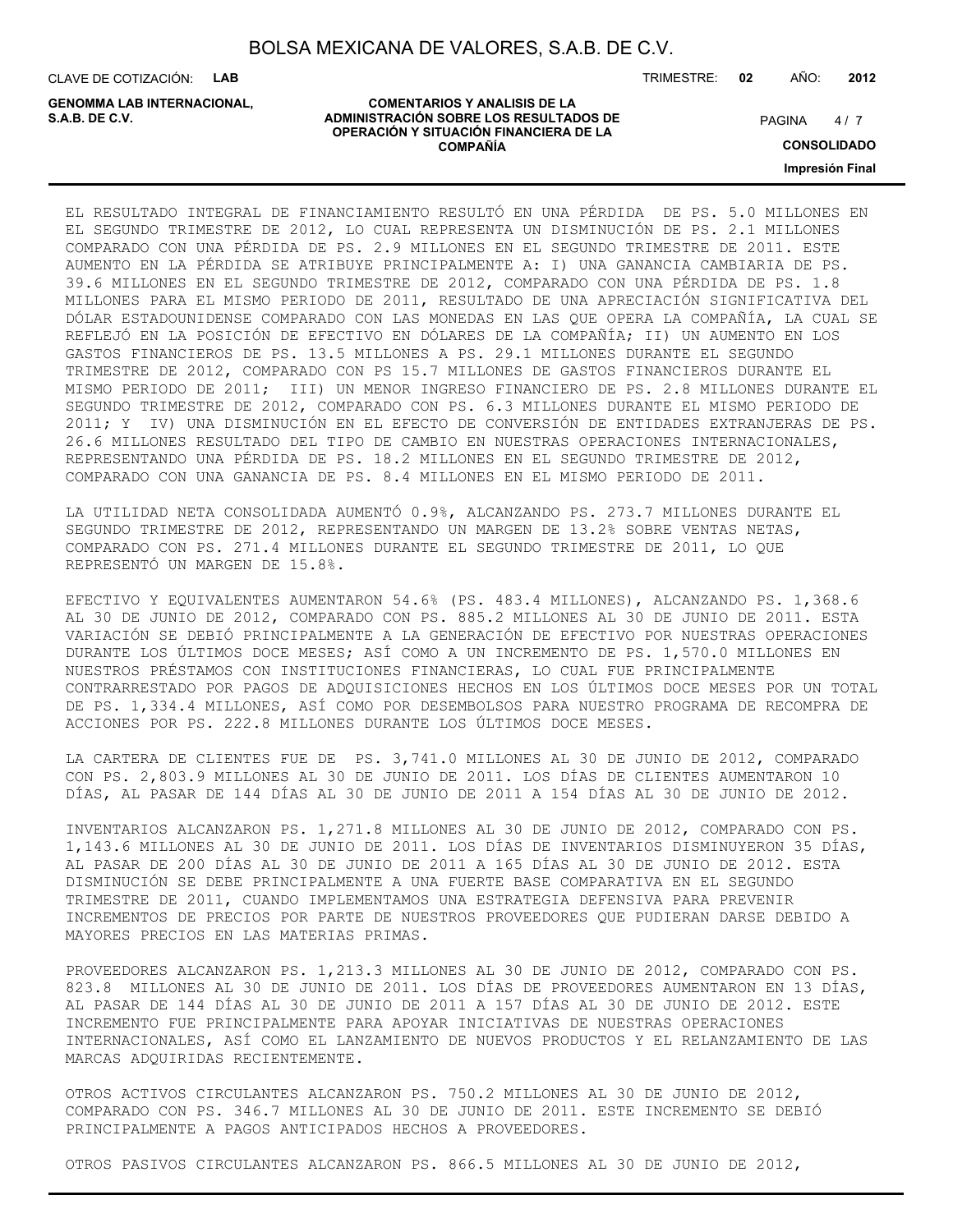**COMENTARIOS Y ANALISIS DE LA**

**OPERACIÓN Y SITUACIÓN FINANCIERA DE LA COMPAÑÍA**

CLAVE DE COTIZACIÓN: **LAB**

**ADMINISTRACIÓN SOBRE LOS RESULTADOS DE PAGINA 1997 E PAGINA 2018 GENOMMA LAB INTERNACIONAL,**

TRIMESTRE: **02** AÑO: **2012**

 $4/7$ 

**CONSOLIDADO**

**Impresión Final**

EL RESULTADO INTEGRAL DE FINANCIAMIENTO RESULTÓ EN UNA PÉRDIDA DE PS. 5.0 MILLONES EN EL SEGUNDO TRIMESTRE DE 2012, LO CUAL REPRESENTA UN DISMINUCIÓN DE PS. 2.1 MILLONES COMPARADO CON UNA PÉRDIDA DE PS. 2.9 MILLONES EN EL SEGUNDO TRIMESTRE DE 2011. ESTE AUMENTO EN LA PÉRDIDA SE ATRIBUYE PRINCIPALMENTE A: I) UNA GANANCIA CAMBIARIA DE PS. 39.6 MILLONES EN EL SEGUNDO TRIMESTRE DE 2012, COMPARADO CON UNA PÉRDIDA DE PS. 1.8 MILLONES PARA EL MISMO PERIODO DE 2011, RESULTADO DE UNA APRECIACIÓN SIGNIFICATIVA DEL DÓLAR ESTADOUNIDENSE COMPARADO CON LAS MONEDAS EN LAS QUE OPERA LA COMPAÑÍA, LA CUAL SE REFLEJÓ EN LA POSICIÓN DE EFECTIVO EN DÓLARES DE LA COMPAÑÍA; II) UN AUMENTO EN LOS GASTOS FINANCIEROS DE PS. 13.5 MILLONES A PS. 29.1 MILLONES DURANTE EL SEGUNDO TRIMESTRE DE 2012, COMPARADO CON PS 15.7 MILLONES DE GASTOS FINANCIEROS DURANTE EL MISMO PERIODO DE 2011; III) UN MENOR INGRESO FINANCIERO DE PS. 2.8 MILLONES DURANTE EL SEGUNDO TRIMESTRE DE 2012, COMPARADO CON PS. 6.3 MILLONES DURANTE EL MISMO PERIODO DE 2011; Y IV) UNA DISMINUCIÓN EN EL EFECTO DE CONVERSIÓN DE ENTIDADES EXTRANJERAS DE PS. 26.6 MILLONES RESULTADO DEL TIPO DE CAMBIO EN NUESTRAS OPERACIONES INTERNACIONALES, REPRESENTANDO UNA PÉRDIDA DE PS. 18.2 MILLONES EN EL SEGUNDO TRIMESTRE DE 2012, COMPARADO CON UNA GANANCIA DE PS. 8.4 MILLONES EN EL MISMO PERIODO DE 2011.

LA UTILIDAD NETA CONSOLIDADA AUMENTÓ 0.9%, ALCANZANDO PS. 273.7 MILLONES DURANTE EL SEGUNDO TRIMESTRE DE 2012, REPRESENTANDO UN MARGEN DE 13.2% SOBRE VENTAS NETAS, COMPARADO CON PS. 271.4 MILLONES DURANTE EL SEGUNDO TRIMESTRE DE 2011, LO QUE REPRESENTÓ UN MARGEN DE 15.8%.

EFECTIVO Y EQUIVALENTES AUMENTARON 54.6% (PS. 483.4 MILLONES), ALCANZANDO PS. 1,368.6 AL 30 DE JUNIO DE 2012, COMPARADO CON PS. 885.2 MILLONES AL 30 DE JUNIO DE 2011. ESTA VARIACIÓN SE DEBIÓ PRINCIPALMENTE A LA GENERACIÓN DE EFECTIVO POR NUESTRAS OPERACIONES DURANTE LOS ÚLTIMOS DOCE MESES; ASÍ COMO A UN INCREMENTO DE PS. 1,570.0 MILLONES EN NUESTROS PRÉSTAMOS CON INSTITUCIONES FINANCIERAS, LO CUAL FUE PRINCIPALMENTE CONTRARRESTADO POR PAGOS DE ADQUISICIONES HECHOS EN LOS ÚLTIMOS DOCE MESES POR UN TOTAL DE PS. 1,334.4 MILLONES, ASÍ COMO POR DESEMBOLSOS PARA NUESTRO PROGRAMA DE RECOMPRA DE ACCIONES POR PS. 222.8 MILLONES DURANTE LOS ÚLTIMOS DOCE MESES.

LA CARTERA DE CLIENTES FUE DE PS. 3,741.0 MILLONES AL 30 DE JUNIO DE 2012, COMPARADO CON PS. 2,803.9 MILLONES AL 30 DE JUNIO DE 2011. LOS DÍAS DE CLIENTES AUMENTARON 10 DÍAS, AL PASAR DE 144 DÍAS AL 30 DE JUNIO DE 2011 A 154 DÍAS AL 30 DE JUNIO DE 2012.

INVENTARIOS ALCANZARON PS. 1,271.8 MILLONES AL 30 DE JUNIO DE 2012, COMPARADO CON PS. 1,143.6 MILLONES AL 30 DE JUNIO DE 2011. LOS DÍAS DE INVENTARIOS DISMINUYERON 35 DÍAS, AL PASAR DE 200 DÍAS AL 30 DE JUNIO DE 2011 A 165 DÍAS AL 30 DE JUNIO DE 2012. ESTA DISMINUCIÓN SE DEBE PRINCIPALMENTE A UNA FUERTE BASE COMPARATIVA EN EL SEGUNDO TRIMESTRE DE 2011, CUANDO IMPLEMENTAMOS UNA ESTRATEGIA DEFENSIVA PARA PREVENIR INCREMENTOS DE PRECIOS POR PARTE DE NUESTROS PROVEEDORES QUE PUDIERAN DARSE DEBIDO A MAYORES PRECIOS EN LAS MATERIAS PRIMAS.

PROVEEDORES ALCANZARON PS. 1,213.3 MILLONES AL 30 DE JUNIO DE 2012, COMPARADO CON PS. 823.8 MILLONES AL 30 DE JUNIO DE 2011. LOS DÍAS DE PROVEEDORES AUMENTARON EN 13 DÍAS, AL PASAR DE 144 DÍAS AL 30 DE JUNIO DE 2011 A 157 DÍAS AL 30 DE JUNIO DE 2012. ESTE INCREMENTO FUE PRINCIPALMENTE PARA APOYAR INICIATIVAS DE NUESTRAS OPERACIONES INTERNACIONALES, ASÍ COMO EL LANZAMIENTO DE NUEVOS PRODUCTOS Y EL RELANZAMIENTO DE LAS MARCAS ADQUIRIDAS RECIENTEMENTE.

OTROS ACTIVOS CIRCULANTES ALCANZARON PS. 750.2 MILLONES AL 30 DE JUNIO DE 2012, COMPARADO CON PS. 346.7 MILLONES AL 30 DE JUNIO DE 2011. ESTE INCREMENTO SE DEBIÓ PRINCIPALMENTE A PAGOS ANTICIPADOS HECHOS A PROVEEDORES.

OTROS PASIVOS CIRCULANTES ALCANZARON PS. 866.5 MILLONES AL 30 DE JUNIO DE 2012,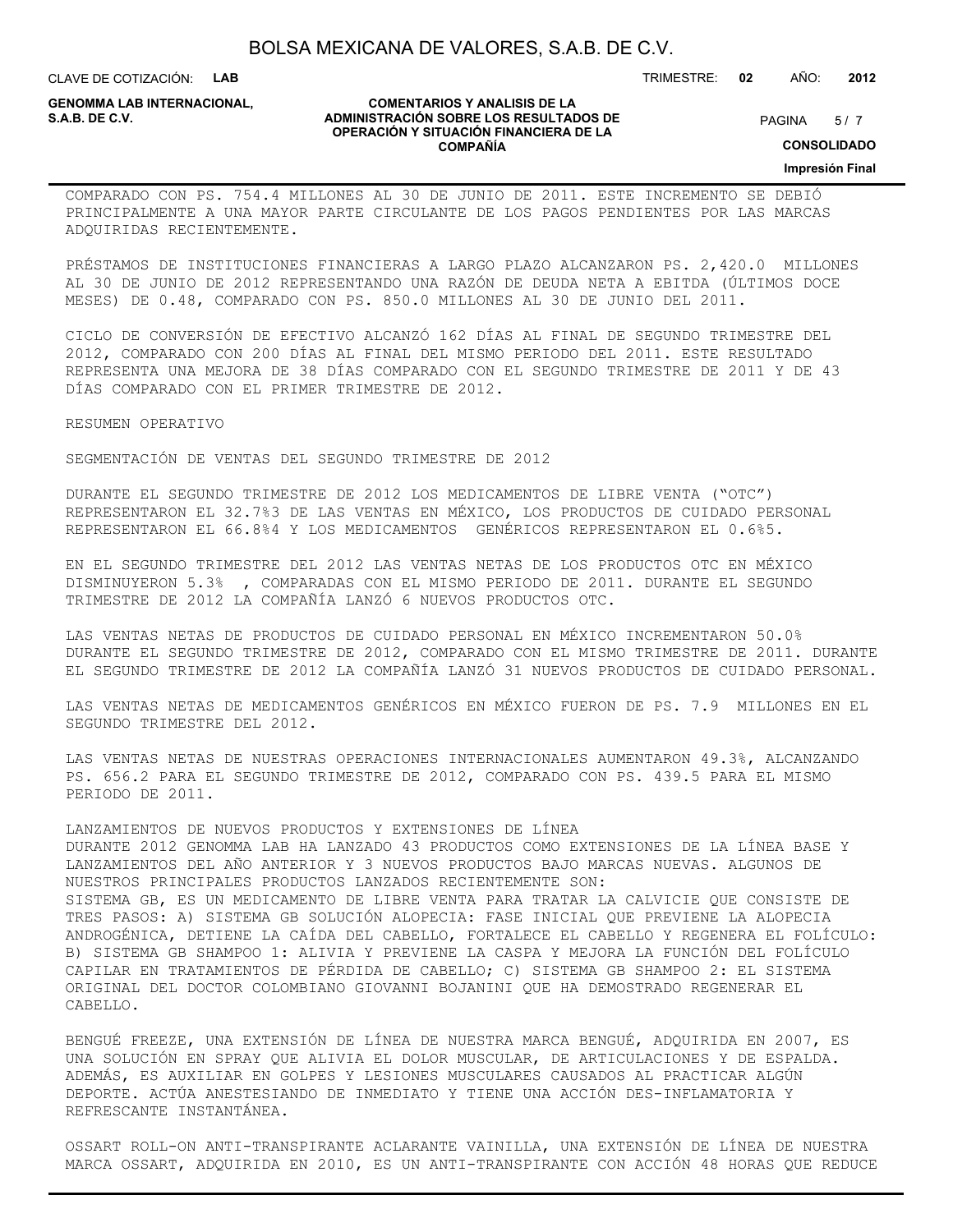CLAVE DE COTIZACIÓN: **LAB**

**GENOMMA LAB INTERNACIONAL,**

#### **COMENTARIOS Y ANALISIS DE LA ADMINISTRACIÓN SOBRE LOS RESULTADOS DE S.A.B. DE C.V.** PAGINA / 7 **OPERACIÓN Y SITUACIÓN FINANCIERA DE LA COMPAÑÍA**

TRIMESTRE: **02** AÑO: **2012**

**CONSOLIDADO**

**Impresión Final**

COMPARADO CON PS. 754.4 MILLONES AL 30 DE JUNIO DE 2011. ESTE INCREMENTO SE DEBIÓ PRINCIPALMENTE A UNA MAYOR PARTE CIRCULANTE DE LOS PAGOS PENDIENTES POR LAS MARCAS ADQUIRIDAS RECIENTEMENTE.

PRÉSTAMOS DE INSTITUCIONES FINANCIERAS A LARGO PLAZO ALCANZARON PS. 2,420.0 MILLONES AL 30 DE JUNIO DE 2012 REPRESENTANDO UNA RAZÓN DE DEUDA NETA A EBITDA (ÚLTIMOS DOCE MESES) DE 0.48, COMPARADO CON PS. 850.0 MILLONES AL 30 DE JUNIO DEL 2011.

CICLO DE CONVERSIÓN DE EFECTIVO ALCANZÓ 162 DÍAS AL FINAL DE SEGUNDO TRIMESTRE DEL 2012, COMPARADO CON 200 DÍAS AL FINAL DEL MISMO PERIODO DEL 2011. ESTE RESULTADO REPRESENTA UNA MEJORA DE 38 DÍAS COMPARADO CON EL SEGUNDO TRIMESTRE DE 2011 Y DE 43 DÍAS COMPARADO CON EL PRIMER TRIMESTRE DE 2012.

RESUMEN OPERATIVO

SEGMENTACIÓN DE VENTAS DEL SEGUNDO TRIMESTRE DE 2012

DURANTE EL SEGUNDO TRIMESTRE DE 2012 LOS MEDICAMENTOS DE LIBRE VENTA ("OTC") REPRESENTARON EL 32.7%3 DE LAS VENTAS EN MÉXICO, LOS PRODUCTOS DE CUIDADO PERSONAL REPRESENTARON EL 66.8%4 Y LOS MEDICAMENTOS GENÉRICOS REPRESENTARON EL 0.6%5.

EN EL SEGUNDO TRIMESTRE DEL 2012 LAS VENTAS NETAS DE LOS PRODUCTOS OTC EN MÉXICO DISMINUYERON 5.3% , COMPARADAS CON EL MISMO PERIODO DE 2011. DURANTE EL SEGUNDO TRIMESTRE DE 2012 LA COMPAÑÍA LANZÓ 6 NUEVOS PRODUCTOS OTC.

LAS VENTAS NETAS DE PRODUCTOS DE CUIDADO PERSONAL EN MÉXICO INCREMENTARON 50.0% DURANTE EL SEGUNDO TRIMESTRE DE 2012, COMPARADO CON EL MISMO TRIMESTRE DE 2011. DURANTE EL SEGUNDO TRIMESTRE DE 2012 LA COMPAÑÍA LANZÓ 31 NUEVOS PRODUCTOS DE CUIDADO PERSONAL.

LAS VENTAS NETAS DE MEDICAMENTOS GENÉRICOS EN MÉXICO FUERON DE PS. 7.9 MILLONES EN EL SEGUNDO TRIMESTRE DEL 2012.

LAS VENTAS NETAS DE NUESTRAS OPERACIONES INTERNACIONALES AUMENTARON 49.3%, ALCANZANDO PS. 656.2 PARA EL SEGUNDO TRIMESTRE DE 2012, COMPARADO CON PS. 439.5 PARA EL MISMO PERIODO DE 2011.

LANZAMIENTOS DE NUEVOS PRODUCTOS Y EXTENSIONES DE LÍNEA DURANTE 2012 GENOMMA LAB HA LANZADO 43 PRODUCTOS COMO EXTENSIONES DE LA LÍNEA BASE Y LANZAMIENTOS DEL AÑO ANTERIOR Y 3 NUEVOS PRODUCTOS BAJO MARCAS NUEVAS. ALGUNOS DE NUESTROS PRINCIPALES PRODUCTOS LANZADOS RECIENTEMENTE SON: SISTEMA GB, ES UN MEDICAMENTO DE LIBRE VENTA PARA TRATAR LA CALVICIE QUE CONSISTE DE TRES PASOS: A) SISTEMA GB SOLUCIÓN ALOPECIA: FASE INICIAL QUE PREVIENE LA ALOPECIA ANDROGÉNICA, DETIENE LA CAÍDA DEL CABELLO, FORTALECE EL CABELLO Y REGENERA EL FOLÍCULO: B) SISTEMA GB SHAMPOO 1: ALIVIA Y PREVIENE LA CASPA Y MEJORA LA FUNCIÓN DEL FOLÍCULO CAPILAR EN TRATAMIENTOS DE PÉRDIDA DE CABELLO; C) SISTEMA GB SHAMPOO 2: EL SISTEMA ORIGINAL DEL DOCTOR COLOMBIANO GIOVANNI BOJANINI QUE HA DEMOSTRADO REGENERAR EL CABELLO.

BENGUÉ FREEZE, UNA EXTENSIÓN DE LÍNEA DE NUESTRA MARCA BENGUÉ, ADQUIRIDA EN 2007, ES UNA SOLUCIÓN EN SPRAY QUE ALIVIA EL DOLOR MUSCULAR, DE ARTICULACIONES Y DE ESPALDA. ADEMÁS, ES AUXILIAR EN GOLPES Y LESIONES MUSCULARES CAUSADOS AL PRACTICAR ALGÚN DEPORTE. ACTÚA ANESTESIANDO DE INMEDIATO Y TIENE UNA ACCIÓN DES-INFLAMATORIA Y REFRESCANTE INSTANTÁNEA.

OSSART ROLL-ON ANTI-TRANSPIRANTE ACLARANTE VAINILLA, UNA EXTENSIÓN DE LÍNEA DE NUESTRA MARCA OSSART, ADQUIRIDA EN 2010, ES UN ANTI-TRANSPIRANTE CON ACCIÓN 48 HORAS QUE REDUCE

### $5/7$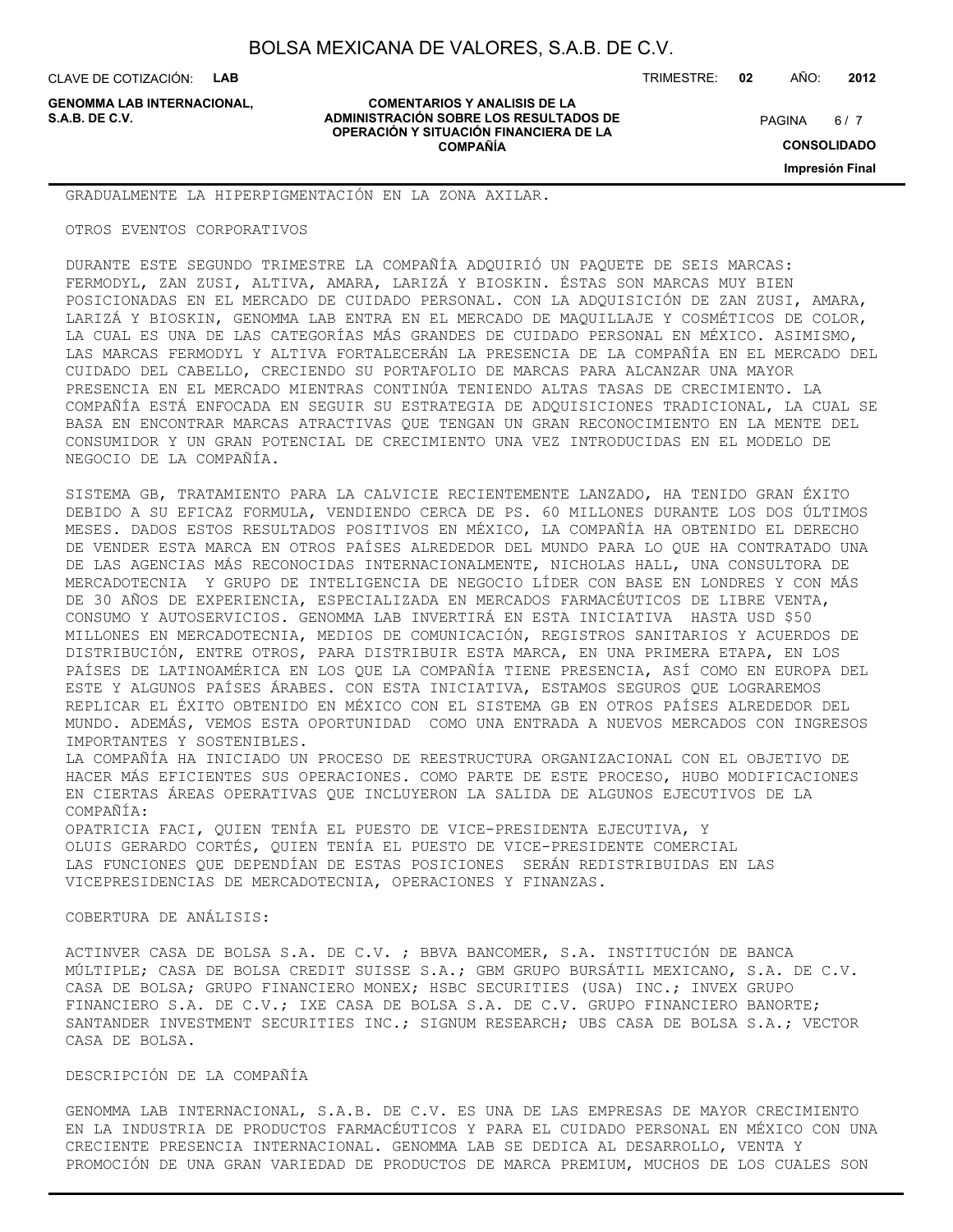CLAVE DE COTIZACIÓN: **LAB**

**GENOMMA LAB INTERNACIONAL,**

#### **COMENTARIOS Y ANALISIS DE LA ADMINISTRACIÓN SOBRE LOS RESULTADOS DE S.A.B. DE C.V.** PAGINA / 7 **OPERACIÓN Y SITUACIÓN FINANCIERA DE LA COMPAÑÍA**

TRIMESTRE: **02** AÑO: **2012**

 $6/7$ 

**CONSOLIDADO**

**Impresión Final**

GRADUALMENTE LA HIPERPIGMENTACIÓN EN LA ZONA AXILAR.

OTROS EVENTOS CORPORATIVOS

DURANTE ESTE SEGUNDO TRIMESTRE LA COMPAÑÍA ADQUIRIÓ UN PAQUETE DE SEIS MARCAS: FERMODYL, ZAN ZUSI, ALTIVA, AMARA, LARIZÁ Y BIOSKIN. ÉSTAS SON MARCAS MUY BIEN POSICIONADAS EN EL MERCADO DE CUIDADO PERSONAL. CON LA ADQUISICIÓN DE ZAN ZUSI, AMARA, LARIZÁ Y BIOSKIN, GENOMMA LAB ENTRA EN EL MERCADO DE MAQUILLAJE Y COSMÉTICOS DE COLOR, LA CUAL ES UNA DE LAS CATEGORÍAS MÁS GRANDES DE CUIDADO PERSONAL EN MÉXICO. ASIMISMO, LAS MARCAS FERMODYL Y ALTIVA FORTALECERÁN LA PRESENCIA DE LA COMPAÑÍA EN EL MERCADO DEL CUIDADO DEL CABELLO, CRECIENDO SU PORTAFOLIO DE MARCAS PARA ALCANZAR UNA MAYOR PRESENCIA EN EL MERCADO MIENTRAS CONTINÚA TENIENDO ALTAS TASAS DE CRECIMIENTO. LA COMPAÑÍA ESTÁ ENFOCADA EN SEGUIR SU ESTRATEGIA DE ADQUISICIONES TRADICIONAL, LA CUAL SE BASA EN ENCONTRAR MARCAS ATRACTIVAS QUE TENGAN UN GRAN RECONOCIMIENTO EN LA MENTE DEL CONSUMIDOR Y UN GRAN POTENCIAL DE CRECIMIENTO UNA VEZ INTRODUCIDAS EN EL MODELO DE NEGOCIO DE LA COMPAÑÍA.

SISTEMA GB, TRATAMIENTO PARA LA CALVICIE RECIENTEMENTE LANZADO, HA TENIDO GRAN ÉXITO DEBIDO A SU EFICAZ FORMULA, VENDIENDO CERCA DE PS. 60 MILLONES DURANTE LOS DOS ÚLTIMOS MESES. DADOS ESTOS RESULTADOS POSITIVOS EN MÉXICO, LA COMPAÑÍA HA OBTENIDO EL DERECHO DE VENDER ESTA MARCA EN OTROS PAÍSES ALREDEDOR DEL MUNDO PARA LO QUE HA CONTRATADO UNA DE LAS AGENCIAS MÁS RECONOCIDAS INTERNACIONALMENTE, NICHOLAS HALL, UNA CONSULTORA DE MERCADOTECNIA Y GRUPO DE INTELIGENCIA DE NEGOCIO LÍDER CON BASE EN LONDRES Y CON MÁS DE 30 AÑOS DE EXPERIENCIA, ESPECIALIZADA EN MERCADOS FARMACÉUTICOS DE LIBRE VENTA, CONSUMO Y AUTOSERVICIOS. GENOMMA LAB INVERTIRÁ EN ESTA INICIATIVA HASTA USD \$50 MILLONES EN MERCADOTECNIA, MEDIOS DE COMUNICACIÓN, REGISTROS SANITARIOS Y ACUERDOS DE DISTRIBUCIÓN, ENTRE OTROS, PARA DISTRIBUIR ESTA MARCA, EN UNA PRIMERA ETAPA, EN LOS PAÍSES DE LATINOAMÉRICA EN LOS QUE LA COMPAÑÍA TIENE PRESENCIA, ASÍ COMO EN EUROPA DEL ESTE Y ALGUNOS PAÍSES ÁRABES. CON ESTA INICIATIVA, ESTAMOS SEGUROS QUE LOGRAREMOS REPLICAR EL ÉXITO OBTENIDO EN MÉXICO CON EL SISTEMA GB EN OTROS PAÍSES ALREDEDOR DEL MUNDO. ADEMÁS, VEMOS ESTA OPORTUNIDAD COMO UNA ENTRADA A NUEVOS MERCADOS CON INGRESOS IMPORTANTES Y SOSTENIBLES.

LA COMPAÑÍA HA INICIADO UN PROCESO DE REESTRUCTURA ORGANIZACIONAL CON EL OBJETIVO DE HACER MÁS EFICIENTES SUS OPERACIONES. COMO PARTE DE ESTE PROCESO, HUBO MODIFICACIONES EN CIERTAS ÁREAS OPERATIVAS QUE INCLUYERON LA SALIDA DE ALGUNOS EJECUTIVOS DE LA COMPAÑÍA:

OPATRICIA FACI, QUIEN TENÍA EL PUESTO DE VICE-PRESIDENTA EJECUTIVA, Y OLUIS GERARDO CORTÉS, QUIEN TENÍA EL PUESTO DE VICE-PRESIDENTE COMERCIAL LAS FUNCIONES QUE DEPENDÍAN DE ESTAS POSICIONES SERÁN REDISTRIBUIDAS EN LAS VICEPRESIDENCIAS DE MERCADOTECNIA, OPERACIONES Y FINANZAS.

COBERTURA DE ANÁLISIS:

ACTINVER CASA DE BOLSA S.A. DE C.V. ; BBVA BANCOMER, S.A. INSTITUCIÓN DE BANCA MÚLTIPLE; CASA DE BOLSA CREDIT SUISSE S.A.; GBM GRUPO BURSÁTIL MEXICANO, S.A. DE C.V. CASA DE BOLSA; GRUPO FINANCIERO MONEX; HSBC SECURITIES (USA) INC.; INVEX GRUPO FINANCIERO S.A. DE C.V.; IXE CASA DE BOLSA S.A. DE C.V. GRUPO FINANCIERO BANORTE; SANTANDER INVESTMENT SECURITIES INC.; SIGNUM RESEARCH; UBS CASA DE BOLSA S.A.; VECTOR CASA DE BOLSA.

DESCRIPCIÓN DE LA COMPAÑÍA

GENOMMA LAB INTERNACIONAL, S.A.B. DE C.V. ES UNA DE LAS EMPRESAS DE MAYOR CRECIMIENTO EN LA INDUSTRIA DE PRODUCTOS FARMACÉUTICOS Y PARA EL CUIDADO PERSONAL EN MÉXICO CON UNA CRECIENTE PRESENCIA INTERNACIONAL. GENOMMA LAB SE DEDICA AL DESARROLLO, VENTA Y PROMOCIÓN DE UNA GRAN VARIEDAD DE PRODUCTOS DE MARCA PREMIUM, MUCHOS DE LOS CUALES SON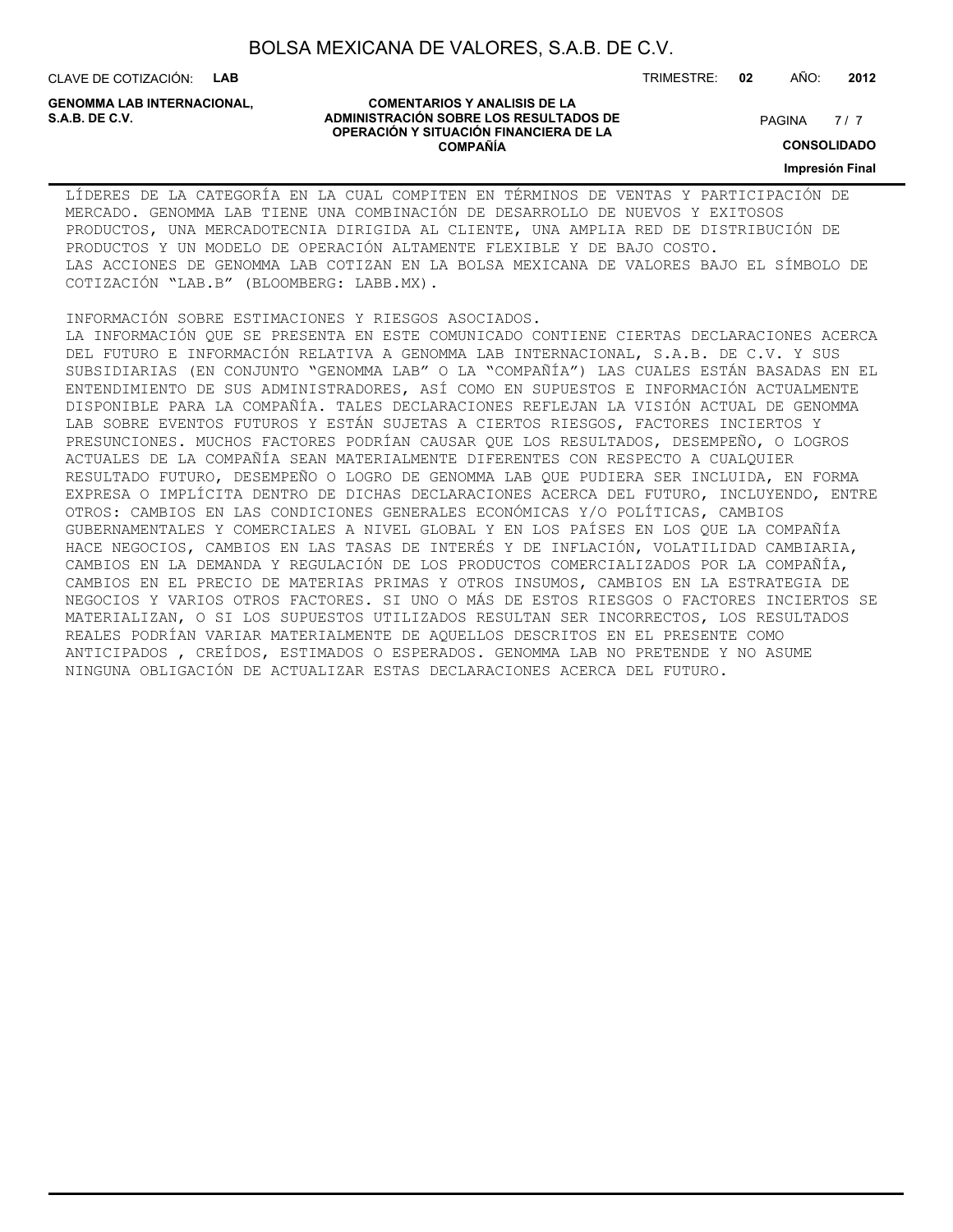CLAVE DE COTIZACIÓN: **LAB**

**GENOMMA LAB INTERNACIONAL,**

#### **COMENTARIOS Y ANALISIS DE LA ADMINISTRACIÓN SOBRE LOS RESULTADOS DE PAGINA 1997 EN 1998 EL CONTRACIÓN SOBRE LOS RESULTADOS DE OPERACIÓN Y SITUACIÓN FINANCIERA DE LA COMPAÑÍA**

 $7/7$ 

**CONSOLIDADO**

**Impresión Final**

LÍDERES DE LA CATEGORÍA EN LA CUAL COMPITEN EN TÉRMINOS DE VENTAS Y PARTICIPACIÓN DE MERCADO. GENOMMA LAB TIENE UNA COMBINACIÓN DE DESARROLLO DE NUEVOS Y EXITOSOS PRODUCTOS, UNA MERCADOTECNIA DIRIGIDA AL CLIENTE, UNA AMPLIA RED DE DISTRIBUCIÓN DE PRODUCTOS Y UN MODELO DE OPERACIÓN ALTAMENTE FLEXIBLE Y DE BAJO COSTO. LAS ACCIONES DE GENOMMA LAB COTIZAN EN LA BOLSA MEXICANA DE VALORES BAJO EL SÍMBOLO DE COTIZACIÓN "LAB.B" (BLOOMBERG: LABB.MX).

INFORMACIÓN SOBRE ESTIMACIONES Y RIESGOS ASOCIADOS.

LA INFORMACIÓN QUE SE PRESENTA EN ESTE COMUNICADO CONTIENE CIERTAS DECLARACIONES ACERCA DEL FUTURO E INFORMACIÓN RELATIVA A GENOMMA LAB INTERNACIONAL, S.A.B. DE C.V. Y SUS SUBSIDIARIAS (EN CONJUNTO "GENOMMA LAB" O LA "COMPAÑÍA") LAS CUALES ESTÁN BASADAS EN EL ENTENDIMIENTO DE SUS ADMINISTRADORES, ASÍ COMO EN SUPUESTOS E INFORMACIÓN ACTUALMENTE DISPONIBLE PARA LA COMPAÑÍA. TALES DECLARACIONES REFLEJAN LA VISIÓN ACTUAL DE GENOMMA LAB SOBRE EVENTOS FUTUROS Y ESTÁN SUJETAS A CIERTOS RIESGOS, FACTORES INCIERTOS Y PRESUNCIONES. MUCHOS FACTORES PODRÍAN CAUSAR QUE LOS RESULTADOS, DESEMPEÑO, O LOGROS ACTUALES DE LA COMPAÑÍA SEAN MATERIALMENTE DIFERENTES CON RESPECTO A CUALQUIER RESULTADO FUTURO, DESEMPEÑO O LOGRO DE GENOMMA LAB QUE PUDIERA SER INCLUIDA, EN FORMA EXPRESA O IMPLÍCITA DENTRO DE DICHAS DECLARACIONES ACERCA DEL FUTURO, INCLUYENDO, ENTRE OTROS: CAMBIOS EN LAS CONDICIONES GENERALES ECONÓMICAS Y/O POLÍTICAS, CAMBIOS GUBERNAMENTALES Y COMERCIALES A NIVEL GLOBAL Y EN LOS PAÍSES EN LOS QUE LA COMPAÑÍA HACE NEGOCIOS, CAMBIOS EN LAS TASAS DE INTERÉS Y DE INFLACIÓN, VOLATILIDAD CAMBIARIA, CAMBIOS EN LA DEMANDA Y REGULACIÓN DE LOS PRODUCTOS COMERCIALIZADOS POR LA COMPAÑÍA, CAMBIOS EN EL PRECIO DE MATERIAS PRIMAS Y OTROS INSUMOS, CAMBIOS EN LA ESTRATEGIA DE NEGOCIOS Y VARIOS OTROS FACTORES. SI UNO O MÁS DE ESTOS RIESGOS O FACTORES INCIERTOS SE MATERIALIZAN, O SI LOS SUPUESTOS UTILIZADOS RESULTAN SER INCORRECTOS, LOS RESULTADOS REALES PODRÍAN VARIAR MATERIALMENTE DE AQUELLOS DESCRITOS EN EL PRESENTE COMO ANTICIPADOS , CREÍDOS, ESTIMADOS O ESPERADOS. GENOMMA LAB NO PRETENDE Y NO ASUME NINGUNA OBLIGACIÓN DE ACTUALIZAR ESTAS DECLARACIONES ACERCA DEL FUTURO.

TRIMESTRE: **02** AÑO: **2012**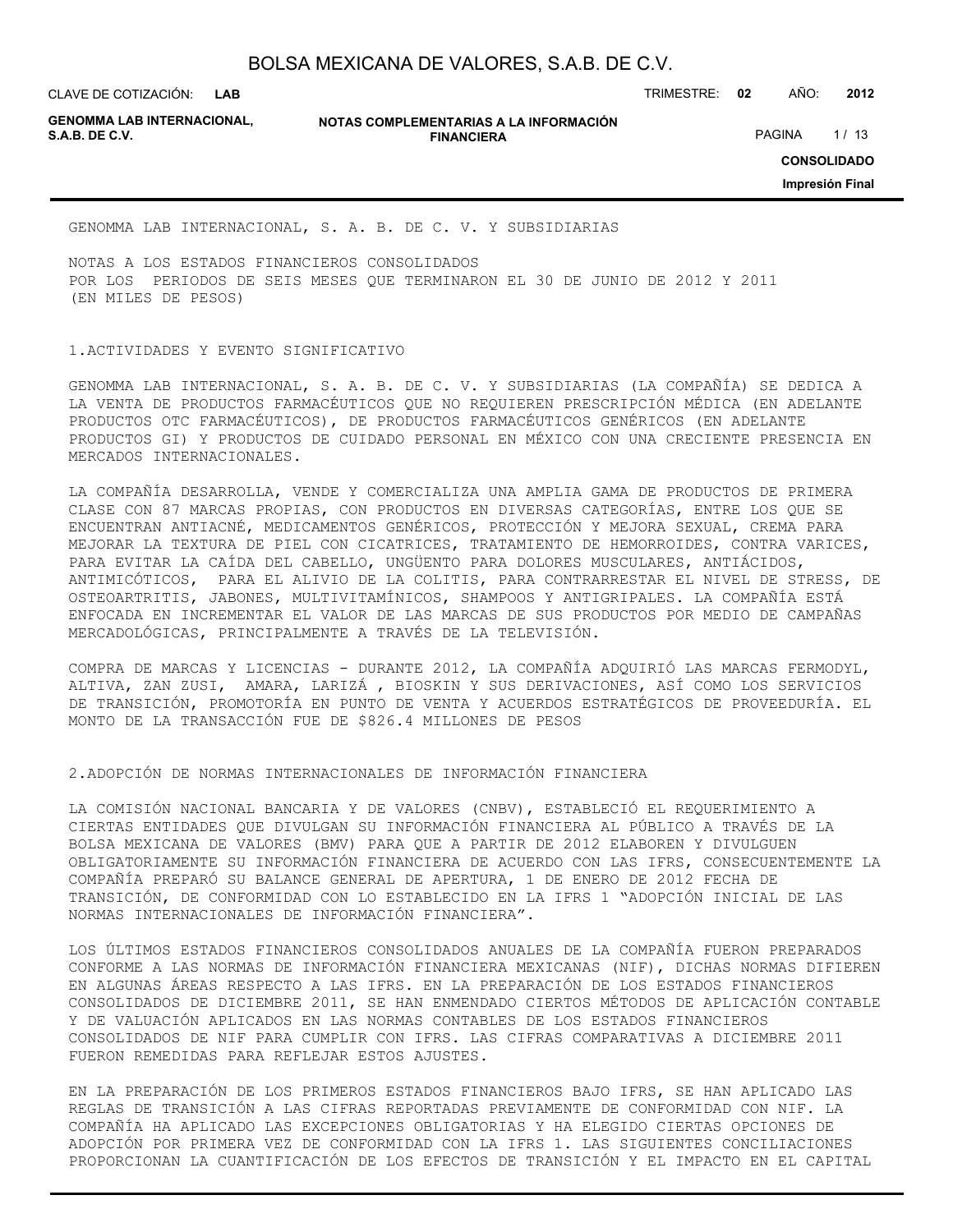CLAVE DE COTIZACIÓN: TRIMESTRE: **02** AÑO: **2012**

**GENOMMA LAB INTERNACIONAL,**

**NOTAS COMPLEMENTARIAS A LA INFORMACIÓN FINANCIERA S.A.B. DE C.V.** PAGINA 1/13

**CONSOLIDADO Impresión Final**

GENOMMA LAB INTERNACIONAL, S. A. B. DE C. V. Y SUBSIDIARIAS

NOTAS A LOS ESTADOS FINANCIEROS CONSOLIDADOS POR LOS PERIODOS DE SEIS MESES QUE TERMINARON EL 30 DE JUNIO DE 2012 Y 2011 (EN MILES DE PESOS)

### 1.ACTIVIDADES Y EVENTO SIGNIFICATIVO

GENOMMA LAB INTERNACIONAL, S. A. B. DE C. V. Y SUBSIDIARIAS (LA COMPAÑÍA) SE DEDICA A LA VENTA DE PRODUCTOS FARMACÉUTICOS QUE NO REQUIEREN PRESCRIPCIÓN MÉDICA (EN ADELANTE PRODUCTOS OTC FARMACÉUTICOS), DE PRODUCTOS FARMACÉUTICOS GENÉRICOS (EN ADELANTE PRODUCTOS GI) Y PRODUCTOS DE CUIDADO PERSONAL EN MÉXICO CON UNA CRECIENTE PRESENCIA EN MERCADOS INTERNACIONALES.

LA COMPAÑÍA DESARROLLA, VENDE Y COMERCIALIZA UNA AMPLIA GAMA DE PRODUCTOS DE PRIMERA CLASE CON 87 MARCAS PROPIAS, CON PRODUCTOS EN DIVERSAS CATEGORÍAS, ENTRE LOS QUE SE ENCUENTRAN ANTIACNÉ, MEDICAMENTOS GENÉRICOS, PROTECCIÓN Y MEJORA SEXUAL, CREMA PARA MEJORAR LA TEXTURA DE PIEL CON CICATRICES, TRATAMIENTO DE HEMORROIDES, CONTRA VARICES, PARA EVITAR LA CAÍDA DEL CABELLO, UNGÜENTO PARA DOLORES MUSCULARES, ANTIÁCIDOS, ANTIMICÓTICOS, PARA EL ALIVIO DE LA COLITIS, PARA CONTRARRESTAR EL NIVEL DE STRESS, DE OSTEOARTRITIS, JABONES, MULTIVITAMÍNICOS, SHAMPOOS Y ANTIGRIPALES. LA COMPAÑÍA ESTÁ ENFOCADA EN INCREMENTAR EL VALOR DE LAS MARCAS DE SUS PRODUCTOS POR MEDIO DE CAMPAÑAS MERCADOLÓGICAS, PRINCIPALMENTE A TRAVÉS DE LA TELEVISIÓN.

COMPRA DE MARCAS Y LICENCIAS - DURANTE 2012, LA COMPAÑÍA ADQUIRIÓ LAS MARCAS FERMODYL, ALTIVA, ZAN ZUSI, AMARA, LARIZÁ , BIOSKIN Y SUS DERIVACIONES, ASÍ COMO LOS SERVICIOS DE TRANSICIÓN, PROMOTORÍA EN PUNTO DE VENTA Y ACUERDOS ESTRATÉGICOS DE PROVEEDURÍA. EL MONTO DE LA TRANSACCIÓN FUE DE \$826.4 MILLONES DE PESOS

2.ADOPCIÓN DE NORMAS INTERNACIONALES DE INFORMACIÓN FINANCIERA

LA COMISIÓN NACIONAL BANCARIA Y DE VALORES (CNBV), ESTABLECIÓ EL REQUERIMIENTO A CIERTAS ENTIDADES QUE DIVULGAN SU INFORMACIÓN FINANCIERA AL PÚBLICO A TRAVÉS DE LA BOLSA MEXICANA DE VALORES (BMV) PARA QUE A PARTIR DE 2012 ELABOREN Y DIVULGUEN OBLIGATORIAMENTE SU INFORMACIÓN FINANCIERA DE ACUERDO CON LAS IFRS, CONSECUENTEMENTE LA COMPAÑÍA PREPARÓ SU BALANCE GENERAL DE APERTURA, 1 DE ENERO DE 2012 FECHA DE TRANSICIÓN, DE CONFORMIDAD CON LO ESTABLECIDO EN LA IFRS 1 "ADOPCIÓN INICIAL DE LAS NORMAS INTERNACIONALES DE INFORMACIÓN FINANCIERA".

LOS ÚLTIMOS ESTADOS FINANCIEROS CONSOLIDADOS ANUALES DE LA COMPAÑÍA FUERON PREPARADOS CONFORME A LAS NORMAS DE INFORMACIÓN FINANCIERA MEXICANAS (NIF), DICHAS NORMAS DIFIEREN EN ALGUNAS ÁREAS RESPECTO A LAS IFRS. EN LA PREPARACIÓN DE LOS ESTADOS FINANCIEROS CONSOLIDADOS DE DICIEMBRE 2011, SE HAN ENMENDADO CIERTOS MÉTODOS DE APLICACIÓN CONTABLE Y DE VALUACIÓN APLICADOS EN LAS NORMAS CONTABLES DE LOS ESTADOS FINANCIEROS CONSOLIDADOS DE NIF PARA CUMPLIR CON IFRS. LAS CIFRAS COMPARATIVAS A DICIEMBRE 2011 FUERON REMEDIDAS PARA REFLEJAR ESTOS AJUSTES.

EN LA PREPARACIÓN DE LOS PRIMEROS ESTADOS FINANCIEROS BAJO IFRS, SE HAN APLICADO LAS REGLAS DE TRANSICIÓN A LAS CIFRAS REPORTADAS PREVIAMENTE DE CONFORMIDAD CON NIF. LA COMPAÑÍA HA APLICADO LAS EXCEPCIONES OBLIGATORIAS Y HA ELEGIDO CIERTAS OPCIONES DE ADOPCIÓN POR PRIMERA VEZ DE CONFORMIDAD CON LA IFRS 1. LAS SIGUIENTES CONCILIACIONES PROPORCIONAN LA CUANTIFICACIÓN DE LOS EFECTOS DE TRANSICIÓN Y EL IMPACTO EN EL CAPITAL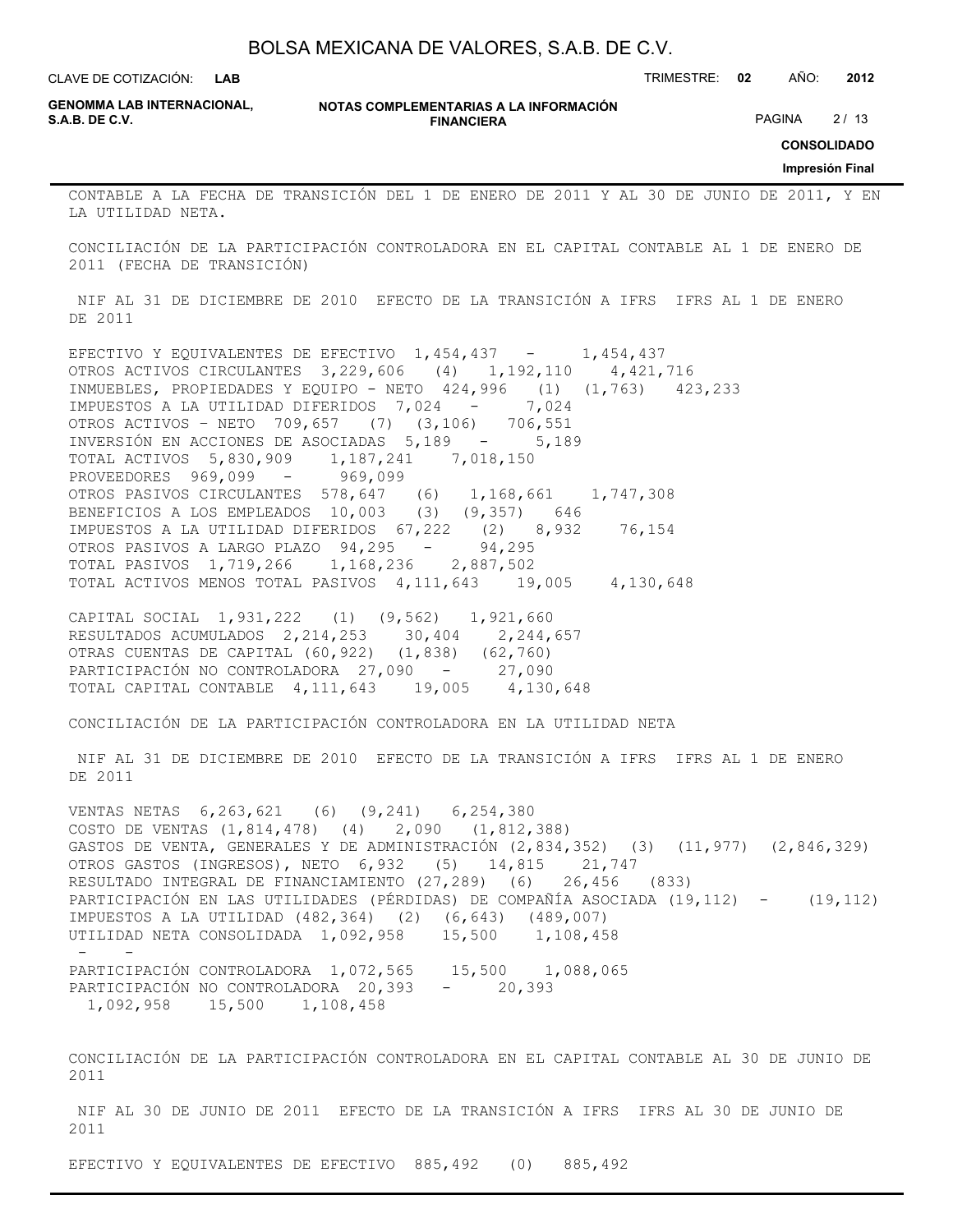CLAVE DE COTIZACIÓN: TRIMESTRE: **02** AÑO: **2012 LAB**

**GENOMMA LAB INTERNACIONAL,**

**NOTAS COMPLEMENTARIAS A LA INFORMACIÓN FINANCIERA**

PAGINA 2/13

**CONSOLIDADO**

**Impresión Final**

CONTABLE A LA FECHA DE TRANSICIÓN DEL 1 DE ENERO DE 2011 Y AL 30 DE JUNIO DE 2011, Y EN LA UTILIDAD NETA.

CONCILIACIÓN DE LA PARTICIPACIÓN CONTROLADORA EN EL CAPITAL CONTABLE AL 1 DE ENERO DE 2011 (FECHA DE TRANSICIÓN)

 NIF AL 31 DE DICIEMBRE DE 2010 EFECTO DE LA TRANSICIÓN A IFRS IFRS AL 1 DE ENERO DE 2011

EFECTIVO Y EQUIVALENTES DE EFECTIVO 1,454,437 - 1,454,437 OTROS ACTIVOS CIRCULANTES 3,229,606 (4) 1,192,110 4,421,716 INMUEBLES, PROPIEDADES Y EQUIPO - NETO 424,996 (1) (1,763) 423,233 IMPUESTOS A LA UTILIDAD DIFERIDOS 7,024 - 7,024 OTROS ACTIVOS – NETO 709,657 (7) (3,106) 706,551 INVERSIÓN EN ACCIONES DE ASOCIADAS 5,189 - 5,189 TOTAL ACTIVOS 5,830,909 1,187,241 7,018,150 PROVEEDORES 969,099 - 969,099 OTROS PASIVOS CIRCULANTES 578,647 (6) 1,168,661 1,747,308 BENEFICIOS A LOS EMPLEADOS 10,003 (3) (9,357) 646 IMPUESTOS A LA UTILIDAD DIFERIDOS 67,222 (2) 8,932 76,154 OTROS PASIVOS A LARGO PLAZO 94,295 - 94,295 TOTAL PASIVOS 1,719,266 1,168,236 2,887,502 TOTAL ACTIVOS MENOS TOTAL PASIVOS 4,111,643 19,005 4,130,648

CAPITAL SOCIAL 1,931,222 (1) (9,562) 1,921,660 RESULTADOS ACUMULADOS 2,214,253 30,404 2,244,657 OTRAS CUENTAS DE CAPITAL (60,922) (1,838) (62,760) PARTICIPACIÓN NO CONTROLADORA 27,090 - 27,090 TOTAL CAPITAL CONTABLE 4,111,643 19,005 4,130,648

CONCILIACIÓN DE LA PARTICIPACIÓN CONTROLADORA EN LA UTILIDAD NETA

 NIF AL 31 DE DICIEMBRE DE 2010 EFECTO DE LA TRANSICIÓN A IFRS IFRS AL 1 DE ENERO DE 2011

VENTAS NETAS 6,263,621 (6) (9,241) 6,254,380 COSTO DE VENTAS (1,814,478) (4) 2,090 (1,812,388) GASTOS DE VENTA, GENERALES Y DE ADMINISTRACIÓN (2,834,352) (3) (11,977) (2,846,329) OTROS GASTOS (INGRESOS), NETO 6,932 (5) 14,815 21,747 RESULTADO INTEGRAL DE FINANCIAMIENTO (27,289) (6) 26,456 (833) PARTICIPACIÓN EN LAS UTILIDADES (PÉRDIDAS) DE COMPAÑÍA ASOCIADA (19,112) - (19,112) IMPUESTOS A LA UTILIDAD (482,364) (2) (6,643) (489,007) UTILIDAD NETA CONSOLIDADA 1,092,958 15,500 1,108,458 - - PARTICIPACIÓN CONTROLADORA 1,072,565 15,500 1,088,065 PARTICIPACIÓN NO CONTROLADORA 20,393 - 20,393 1,092,958 15,500 1,108,458

CONCILIACIÓN DE LA PARTICIPACIÓN CONTROLADORA EN EL CAPITAL CONTABLE AL 30 DE JUNIO DE 2011

 NIF AL 30 DE JUNIO DE 2011 EFECTO DE LA TRANSICIÓN A IFRS IFRS AL 30 DE JUNIO DE 2011

EFECTIVO Y EQUIVALENTES DE EFECTIVO 885,492 (0) 885,492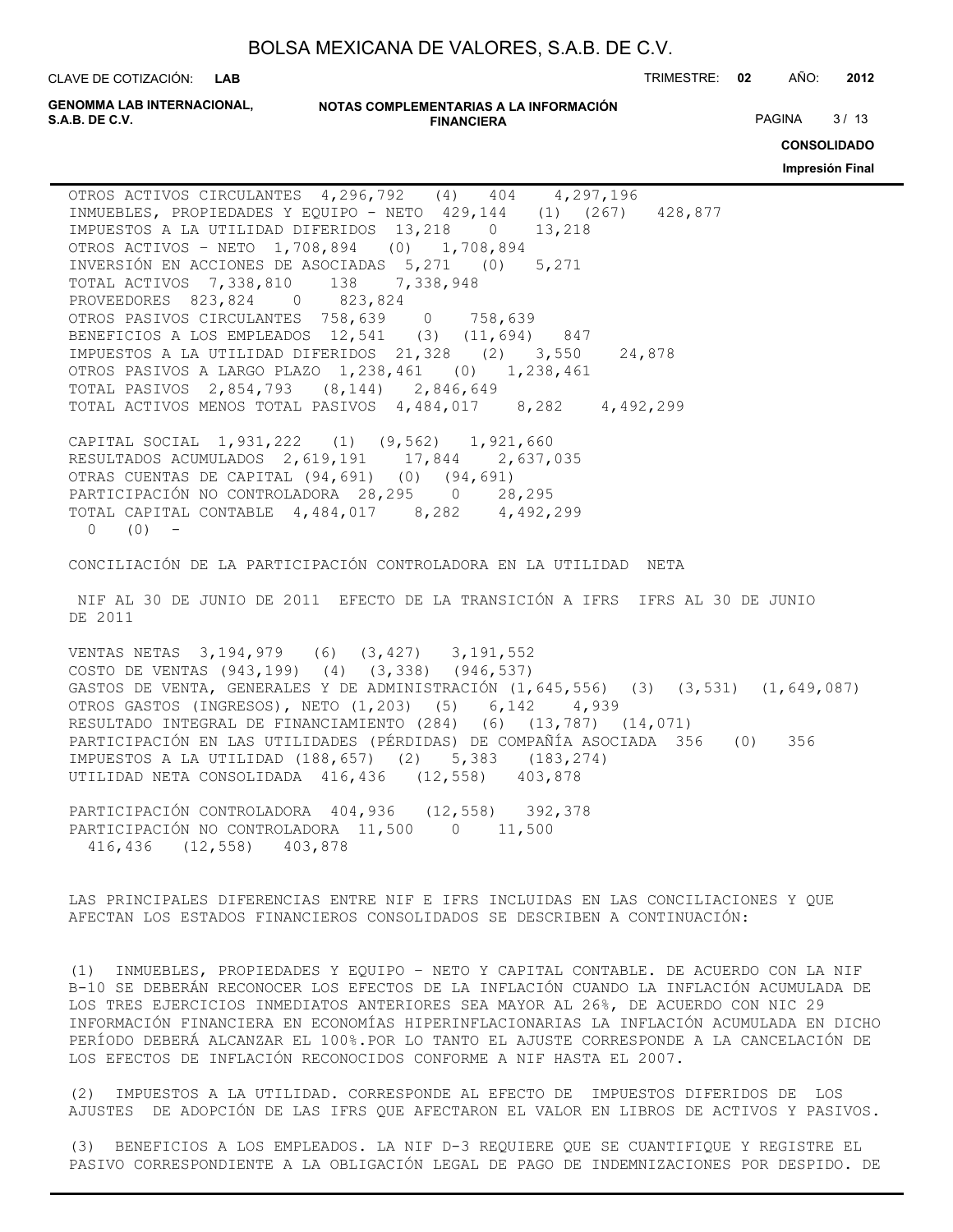**LAB**

CLAVE DE COTIZACIÓN: TRIMESTRE: **02** AÑO: **2012**

**GENOMMA LAB INTERNACIONAL,**

**NOTAS COMPLEMENTARIAS A LA INFORMACIÓN FINANCIERA S.A.B. DE C.V.** PAGINA 8 / 13

**CONSOLIDADO**

**Impresión Final**

OTROS ACTIVOS CIRCULANTES 4,296,792 (4) 404 4,297,196 INMUEBLES, PROPIEDADES Y EQUIPO - NETO 429,144 (1) (267) 428,877 IMPUESTOS A LA UTILIDAD DIFERIDOS 13,218 0 13,218 OTROS ACTIVOS – NETO 1,708,894 (0) 1,708,894 INVERSIÓN EN ACCIONES DE ASOCIADAS 5,271 (0) 5,271 TOTAL ACTIVOS 7,338,810 138 7,338,948 PROVEEDORES 823,824 0 823,824 OTROS PASIVOS CIRCULANTES 758,639 0 758,639 BENEFICIOS A LOS EMPLEADOS 12,541 (3) (11,694) 847 IMPUESTOS A LA UTILIDAD DIFERIDOS 21,328 (2) 3,550 24,878 OTROS PASIVOS A LARGO PLAZO 1,238,461 (0) 1,238,461 TOTAL PASIVOS 2,854,793 (8,144) 2,846,649 TOTAL ACTIVOS MENOS TOTAL PASIVOS 4,484,017 8,282 4,492,299

CAPITAL SOCIAL 1,931,222 (1) (9,562) 1,921,660 RESULTADOS ACUMULADOS 2,619,191 17,844 2,637,035 OTRAS CUENTAS DE CAPITAL (94,691) (0) (94,691) PARTICIPACIÓN NO CONTROLADORA 28,295 0 28,295 TOTAL CAPITAL CONTABLE 4,484,017 8,282 4,492,299  $0 (0) -$ 

CONCILIACIÓN DE LA PARTICIPACIÓN CONTROLADORA EN LA UTILIDAD NETA

 NIF AL 30 DE JUNIO DE 2011 EFECTO DE LA TRANSICIÓN A IFRS IFRS AL 30 DE JUNIO DE 2011

VENTAS NETAS 3,194,979 (6) (3,427) 3,191,552 COSTO DE VENTAS (943,199) (4) (3,338) (946,537) GASTOS DE VENTA, GENERALES Y DE ADMINISTRACIÓN (1,645,556) (3) (3,531) (1,649,087) OTROS GASTOS (INGRESOS), NETO (1,203) (5) 6,142 4,939 RESULTADO INTEGRAL DE FINANCIAMIENTO (284) (6) (13,787) (14,071) PARTICIPACIÓN EN LAS UTILIDADES (PÉRDIDAS) DE COMPAÑÍA ASOCIADA 356 (0) 356 IMPUESTOS A LA UTILIDAD (188,657) (2) 5,383 (183,274) UTILIDAD NETA CONSOLIDADA 416,436 (12,558) 403,878

PARTICIPACIÓN CONTROLADORA 404,936 (12,558) 392,378 PARTICIPACIÓN NO CONTROLADORA 11,500 0 11,500 416,436 (12,558) 403,878

LAS PRINCIPALES DIFERENCIAS ENTRE NIF E IFRS INCLUIDAS EN LAS CONCILIACIONES Y QUE AFECTAN LOS ESTADOS FINANCIEROS CONSOLIDADOS SE DESCRIBEN A CONTINUACIÓN:

(1) INMUEBLES, PROPIEDADES Y EQUIPO – NETO Y CAPITAL CONTABLE. DE ACUERDO CON LA NIF B-10 SE DEBERÁN RECONOCER LOS EFECTOS DE LA INFLACIÓN CUANDO LA INFLACIÓN ACUMULADA DE LOS TRES EJERCICIOS INMEDIATOS ANTERIORES SEA MAYOR AL 26%, DE ACUERDO CON NIC 29 INFORMACIÓN FINANCIERA EN ECONOMÍAS HIPERINFLACIONARIAS LA INFLACIÓN ACUMULADA EN DICHO PERÍODO DEBERÁ ALCANZAR EL 100%.POR LO TANTO EL AJUSTE CORRESPONDE A LA CANCELACIÓN DE LOS EFECTOS DE INFLACIÓN RECONOCIDOS CONFORME A NIF HASTA EL 2007.

(2) IMPUESTOS A LA UTILIDAD. CORRESPONDE AL EFECTO DE IMPUESTOS DIFERIDOS DE LOS AJUSTES DE ADOPCIÓN DE LAS IFRS QUE AFECTARON EL VALOR EN LIBROS DE ACTIVOS Y PASIVOS.

(3) BENEFICIOS A LOS EMPLEADOS. LA NIF D-3 REQUIERE QUE SE CUANTIFIQUE Y REGISTRE EL PASIVO CORRESPONDIENTE A LA OBLIGACIÓN LEGAL DE PAGO DE INDEMNIZACIONES POR DESPIDO. DE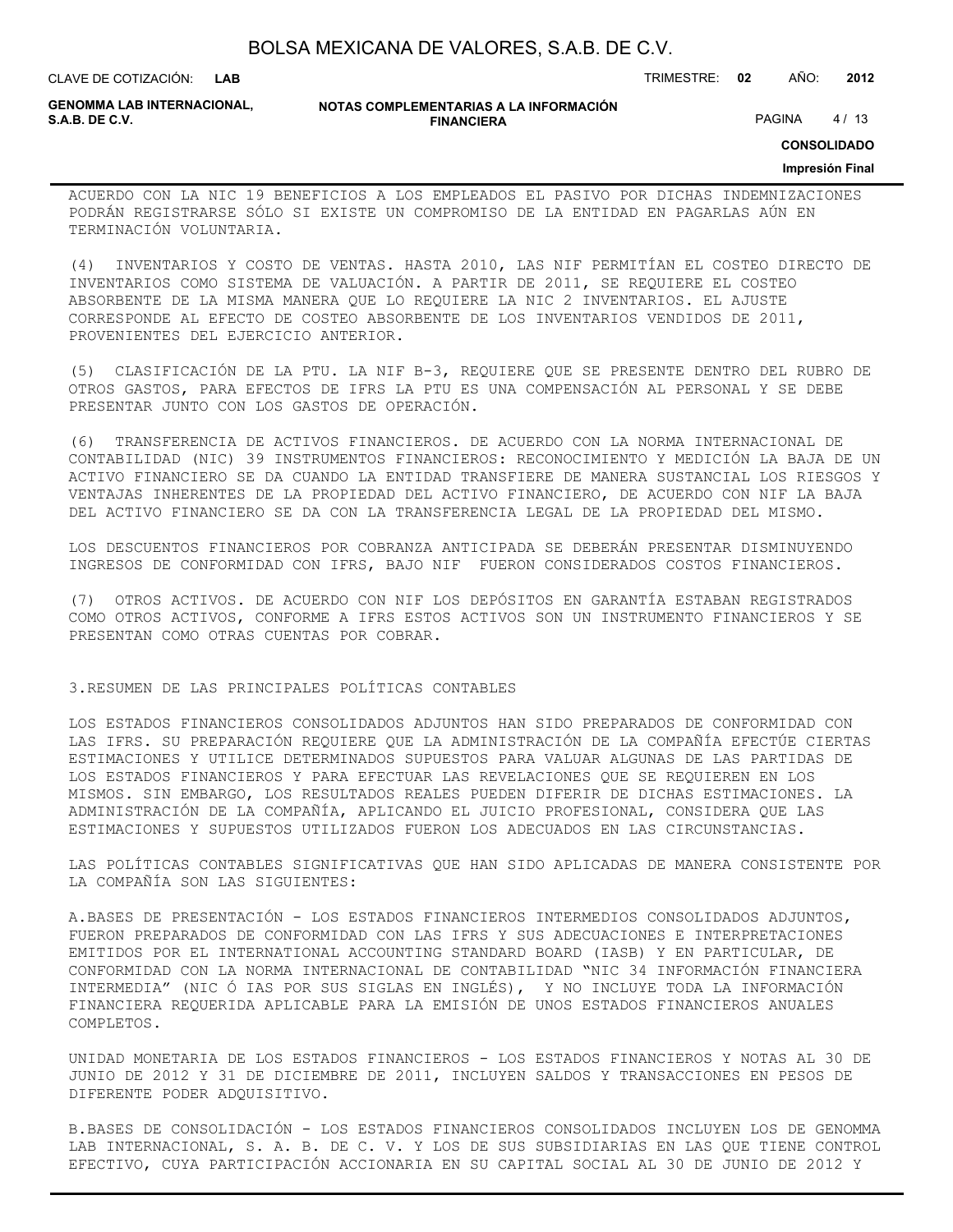| BOLSA MEXICANA DE VALORES, S.A.B. DE C.V. |  |  |  |
|-------------------------------------------|--|--|--|
|-------------------------------------------|--|--|--|

CLAVE DE COTIZACIÓN: TRIMESTRE: **02** AÑO: **2012**

**GENOMMA LAB INTERNACIONAL,**

**NOTAS COMPLEMENTARIAS A LA INFORMACIÓN FINANCIERA S.A.B. DE C.V.** PAGINA 4 / 13

**CONSOLIDADO**

#### **Impresión Final**

ACUERDO CON LA NIC 19 BENEFICIOS A LOS EMPLEADOS EL PASIVO POR DICHAS INDEMNIZACIONES PODRÁN REGISTRARSE SÓLO SI EXISTE UN COMPROMISO DE LA ENTIDAD EN PAGARLAS AÚN EN TERMINACIÓN VOLUNTARIA.

(4) INVENTARIOS Y COSTO DE VENTAS. HASTA 2010, LAS NIF PERMITÍAN EL COSTEO DIRECTO DE INVENTARIOS COMO SISTEMA DE VALUACIÓN. A PARTIR DE 2011, SE REQUIERE EL COSTEO ABSORBENTE DE LA MISMA MANERA QUE LO REQUIERE LA NIC 2 INVENTARIOS. EL AJUSTE CORRESPONDE AL EFECTO DE COSTEO ABSORBENTE DE LOS INVENTARIOS VENDIDOS DE 2011, PROVENIENTES DEL EJERCICIO ANTERIOR.

(5) CLASIFICACIÓN DE LA PTU. LA NIF B-3, REQUIERE QUE SE PRESENTE DENTRO DEL RUBRO DE OTROS GASTOS, PARA EFECTOS DE IFRS LA PTU ES UNA COMPENSACIÓN AL PERSONAL Y SE DEBE PRESENTAR JUNTO CON LOS GASTOS DE OPERACIÓN.

(6) TRANSFERENCIA DE ACTIVOS FINANCIEROS. DE ACUERDO CON LA NORMA INTERNACIONAL DE CONTABILIDAD (NIC) 39 INSTRUMENTOS FINANCIEROS: RECONOCIMIENTO Y MEDICIÓN LA BAJA DE UN ACTIVO FINANCIERO SE DA CUANDO LA ENTIDAD TRANSFIERE DE MANERA SUSTANCIAL LOS RIESGOS Y VENTAJAS INHERENTES DE LA PROPIEDAD DEL ACTIVO FINANCIERO, DE ACUERDO CON NIF LA BAJA DEL ACTIVO FINANCIERO SE DA CON LA TRANSFERENCIA LEGAL DE LA PROPIEDAD DEL MISMO.

LOS DESCUENTOS FINANCIEROS POR COBRANZA ANTICIPADA SE DEBERÁN PRESENTAR DISMINUYENDO INGRESOS DE CONFORMIDAD CON IFRS, BAJO NIF FUERON CONSIDERADOS COSTOS FINANCIEROS.

(7) OTROS ACTIVOS. DE ACUERDO CON NIF LOS DEPÓSITOS EN GARANTÍA ESTABAN REGISTRADOS COMO OTROS ACTIVOS, CONFORME A IFRS ESTOS ACTIVOS SON UN INSTRUMENTO FINANCIEROS Y SE PRESENTAN COMO OTRAS CUENTAS POR COBRAR.

3.RESUMEN DE LAS PRINCIPALES POLÍTICAS CONTABLES

LOS ESTADOS FINANCIEROS CONSOLIDADOS ADJUNTOS HAN SIDO PREPARADOS DE CONFORMIDAD CON LAS IFRS. SU PREPARACIÓN REQUIERE QUE LA ADMINISTRACIÓN DE LA COMPAÑÍA EFECTÚE CIERTAS ESTIMACIONES Y UTILICE DETERMINADOS SUPUESTOS PARA VALUAR ALGUNAS DE LAS PARTIDAS DE LOS ESTADOS FINANCIEROS Y PARA EFECTUAR LAS REVELACIONES QUE SE REQUIEREN EN LOS MISMOS. SIN EMBARGO, LOS RESULTADOS REALES PUEDEN DIFERIR DE DICHAS ESTIMACIONES. LA ADMINISTRACIÓN DE LA COMPAÑÍA, APLICANDO EL JUICIO PROFESIONAL, CONSIDERA QUE LAS ESTIMACIONES Y SUPUESTOS UTILIZADOS FUERON LOS ADECUADOS EN LAS CIRCUNSTANCIAS.

LAS POLÍTICAS CONTABLES SIGNIFICATIVAS QUE HAN SIDO APLICADAS DE MANERA CONSISTENTE POR LA COMPAÑÍA SON LAS SIGUIENTES:

A.BASES DE PRESENTACIÓN - LOS ESTADOS FINANCIEROS INTERMEDIOS CONSOLIDADOS ADJUNTOS, FUERON PREPARADOS DE CONFORMIDAD CON LAS IFRS Y SUS ADECUACIONES E INTERPRETACIONES EMITIDOS POR EL INTERNATIONAL ACCOUNTING STANDARD BOARD (IASB) Y EN PARTICULAR, DE CONFORMIDAD CON LA NORMA INTERNACIONAL DE CONTABILIDAD "NIC 34 INFORMACIÓN FINANCIERA INTERMEDIA" (NIC Ó IAS POR SUS SIGLAS EN INGLÉS), Y NO INCLUYE TODA LA INFORMACIÓN FINANCIERA REQUERIDA APLICABLE PARA LA EMISIÓN DE UNOS ESTADOS FINANCIEROS ANUALES COMPLETOS.

UNIDAD MONETARIA DE LOS ESTADOS FINANCIEROS - LOS ESTADOS FINANCIEROS Y NOTAS AL 30 DE JUNIO DE 2012 Y 31 DE DICIEMBRE DE 2011, INCLUYEN SALDOS Y TRANSACCIONES EN PESOS DE DIFERENTE PODER ADQUISITIVO.

B.BASES DE CONSOLIDACIÓN - LOS ESTADOS FINANCIEROS CONSOLIDADOS INCLUYEN LOS DE GENOMMA LAB INTERNACIONAL, S. A. B. DE C. V. Y LOS DE SUS SUBSIDIARIAS EN LAS QUE TIENE CONTROL EFECTIVO, CUYA PARTICIPACIÓN ACCIONARIA EN SU CAPITAL SOCIAL AL 30 DE JUNIO DE 2012 Y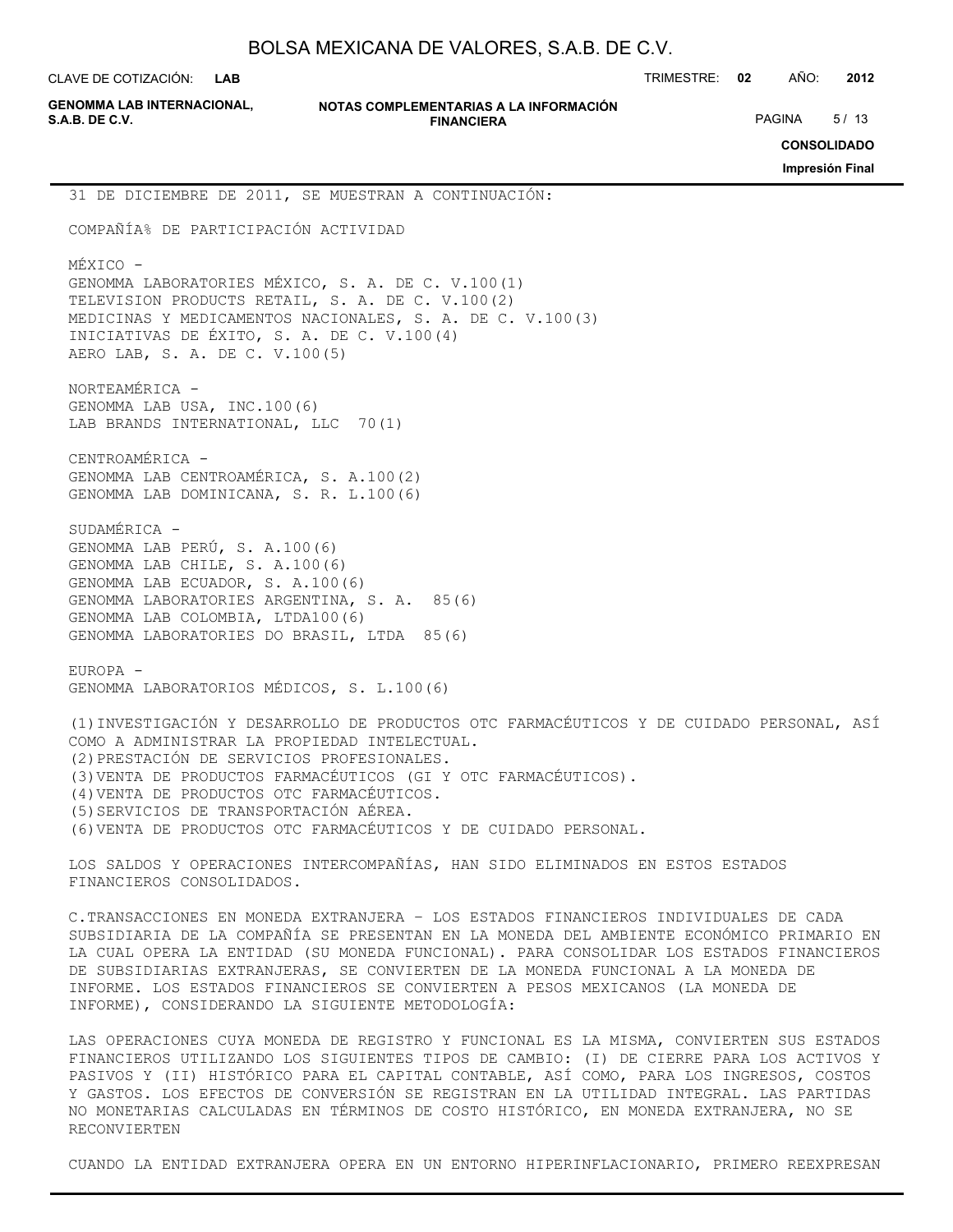| BOLSA MEXICANA DE VALORES, S.A.B. DE C.V. |  |  |
|-------------------------------------------|--|--|
|-------------------------------------------|--|--|

CLAVE DE COTIZACIÓN: TRIMESTRE: **02** AÑO: **2012 LAB**

| <b>GENOMMA LAB INTERNACIONAL.</b> |  |
|-----------------------------------|--|
| <b>S.A.B. DE C.V.</b>             |  |

**NOTAS COMPLEMENTARIAS A LA INFORMACIÓN FINANCIERA S.A.B. DE C.V.** PAGINA 5/13

**CONSOLIDADO**

**Impresión Final**

31 DE DICIEMBRE DE 2011, SE MUESTRAN A CONTINUACIÓN:

COMPAÑÍA% DE PARTICIPACIÓN ACTIVIDAD

MÉXICO - GENOMMA LABORATORIES MÉXICO, S. A. DE C. V.100(1) TELEVISION PRODUCTS RETAIL, S. A. DE C. V.100(2) MEDICINAS Y MEDICAMENTOS NACIONALES, S. A. DE C. V.100(3) INICIATIVAS DE ÉXITO, S. A. DE C. V.100(4) AERO LAB, S. A. DE C. V.100(5)

NORTEAMÉRICA - GENOMMA LAB USA, INC.100(6) LAB BRANDS INTERNATIONAL, LLC 70(1)

CENTROAMÉRICA - GENOMMA LAB CENTROAMÉRICA, S. A.100(2) GENOMMA LAB DOMINICANA, S. R. L.100(6)

SUDAMÉRICA - GENOMMA LAB PERÚ, S. A.100(6) GENOMMA LAB CHILE, S. A.100(6) GENOMMA LAB ECUADOR, S. A.100(6) GENOMMA LABORATORIES ARGENTINA, S. A. 85(6) GENOMMA LAB COLOMBIA, LTDA100(6) GENOMMA LABORATORIES DO BRASIL, LTDA 85(6)

EUROPA - GENOMMA LABORATORIOS MÉDICOS, S. L.100(6)

(1)INVESTIGACIÓN Y DESARROLLO DE PRODUCTOS OTC FARMACÉUTICOS Y DE CUIDADO PERSONAL, ASÍ COMO A ADMINISTRAR LA PROPIEDAD INTELECTUAL. (2)PRESTACIÓN DE SERVICIOS PROFESIONALES. (3)VENTA DE PRODUCTOS FARMACÉUTICOS (GI Y OTC FARMACÉUTICOS). (4)VENTA DE PRODUCTOS OTC FARMACÉUTICOS. (5)SERVICIOS DE TRANSPORTACIÓN AÉREA. (6)VENTA DE PRODUCTOS OTC FARMACÉUTICOS Y DE CUIDADO PERSONAL.

LOS SALDOS Y OPERACIONES INTERCOMPAÑÍAS, HAN SIDO ELIMINADOS EN ESTOS ESTADOS FINANCIEROS CONSOLIDADOS.

C.TRANSACCIONES EN MONEDA EXTRANJERA – LOS ESTADOS FINANCIEROS INDIVIDUALES DE CADA SUBSIDIARIA DE LA COMPAÑÍA SE PRESENTAN EN LA MONEDA DEL AMBIENTE ECONÓMICO PRIMARIO EN LA CUAL OPERA LA ENTIDAD (SU MONEDA FUNCIONAL). PARA CONSOLIDAR LOS ESTADOS FINANCIEROS DE SUBSIDIARIAS EXTRANJERAS, SE CONVIERTEN DE LA MONEDA FUNCIONAL A LA MONEDA DE INFORME. LOS ESTADOS FINANCIEROS SE CONVIERTEN A PESOS MEXICANOS (LA MONEDA DE INFORME), CONSIDERANDO LA SIGUIENTE METODOLOGÍA:

LAS OPERACIONES CUYA MONEDA DE REGISTRO Y FUNCIONAL ES LA MISMA, CONVIERTEN SUS ESTADOS FINANCIEROS UTILIZANDO LOS SIGUIENTES TIPOS DE CAMBIO: (I) DE CIERRE PARA LOS ACTIVOS Y PASIVOS Y (II) HISTÓRICO PARA EL CAPITAL CONTABLE, ASÍ COMO, PARA LOS INGRESOS, COSTOS Y GASTOS. LOS EFECTOS DE CONVERSIÓN SE REGISTRAN EN LA UTILIDAD INTEGRAL. LAS PARTIDAS NO MONETARIAS CALCULADAS EN TÉRMINOS DE COSTO HISTÓRICO, EN MONEDA EXTRANJERA, NO SE RECONVIERTEN

CUANDO LA ENTIDAD EXTRANJERA OPERA EN UN ENTORNO HIPERINFLACIONARIO, PRIMERO REEXPRESAN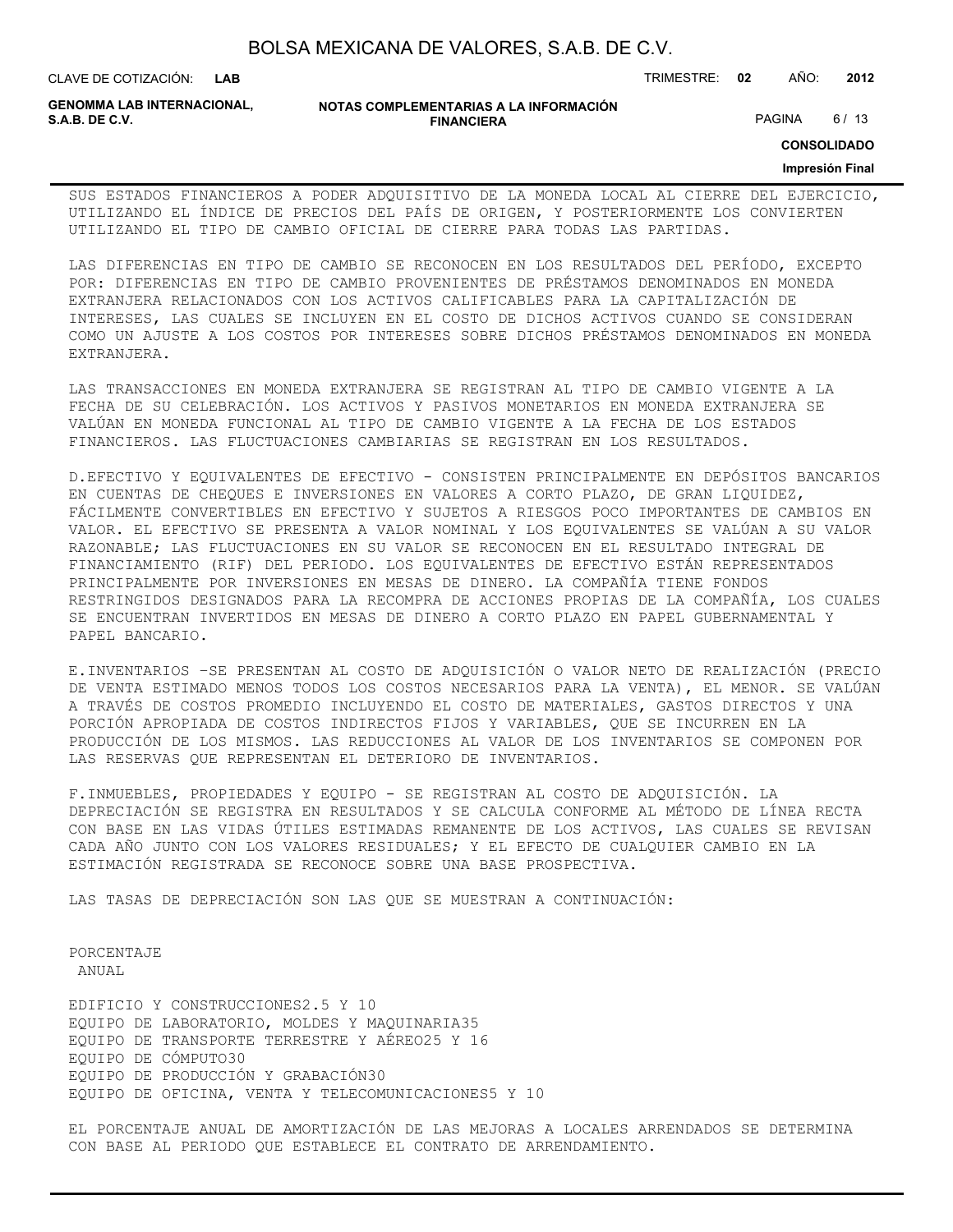CLAVE DE COTIZACIÓN: TRIMESTRE: **02** AÑO: **2012**

**GENOMMA LAB INTERNACIONAL,**

**NOTAS COMPLEMENTARIAS A LA INFORMACIÓN FINANCIERA S.A.B. DE C.V.** PAGINA 6/13

**CONSOLIDADO**

#### **Impresión Final**

SUS ESTADOS FINANCIEROS A PODER ADQUISITIVO DE LA MONEDA LOCAL AL CIERRE DEL EJERCICIO, UTILIZANDO EL ÍNDICE DE PRECIOS DEL PAÍS DE ORIGEN, Y POSTERIORMENTE LOS CONVIERTEN UTILIZANDO EL TIPO DE CAMBIO OFICIAL DE CIERRE PARA TODAS LAS PARTIDAS.

LAS DIFERENCIAS EN TIPO DE CAMBIO SE RECONOCEN EN LOS RESULTADOS DEL PERÍODO, EXCEPTO POR: DIFERENCIAS EN TIPO DE CAMBIO PROVENIENTES DE PRÉSTAMOS DENOMINADOS EN MONEDA EXTRANJERA RELACIONADOS CON LOS ACTIVOS CALIFICABLES PARA LA CAPITALIZACIÓN DE INTERESES, LAS CUALES SE INCLUYEN EN EL COSTO DE DICHOS ACTIVOS CUANDO SE CONSIDERAN COMO UN AJUSTE A LOS COSTOS POR INTERESES SOBRE DICHOS PRÉSTAMOS DENOMINADOS EN MONEDA EXTRANJERA.

LAS TRANSACCIONES EN MONEDA EXTRANJERA SE REGISTRAN AL TIPO DE CAMBIO VIGENTE A LA FECHA DE SU CELEBRACIÓN. LOS ACTIVOS Y PASIVOS MONETARIOS EN MONEDA EXTRANJERA SE VALÚAN EN MONEDA FUNCIONAL AL TIPO DE CAMBIO VIGENTE A LA FECHA DE LOS ESTADOS FINANCIEROS. LAS FLUCTUACIONES CAMBIARIAS SE REGISTRAN EN LOS RESULTADOS.

D.EFECTIVO Y EQUIVALENTES DE EFECTIVO - CONSISTEN PRINCIPALMENTE EN DEPÓSITOS BANCARIOS EN CUENTAS DE CHEQUES E INVERSIONES EN VALORES A CORTO PLAZO, DE GRAN LIQUIDEZ, FÁCILMENTE CONVERTIBLES EN EFECTIVO Y SUJETOS A RIESGOS POCO IMPORTANTES DE CAMBIOS EN VALOR. EL EFECTIVO SE PRESENTA A VALOR NOMINAL Y LOS EQUIVALENTES SE VALÚAN A SU VALOR RAZONABLE; LAS FLUCTUACIONES EN SU VALOR SE RECONOCEN EN EL RESULTADO INTEGRAL DE FINANCIAMIENTO (RIF) DEL PERIODO. LOS EQUIVALENTES DE EFECTIVO ESTÁN REPRESENTADOS PRINCIPALMENTE POR INVERSIONES EN MESAS DE DINERO. LA COMPAÑÍA TIENE FONDOS RESTRINGIDOS DESIGNADOS PARA LA RECOMPRA DE ACCIONES PROPIAS DE LA COMPAÑÍA, LOS CUALES SE ENCUENTRAN INVERTIDOS EN MESAS DE DINERO A CORTO PLAZO EN PAPEL GUBERNAMENTAL Y PAPEL BANCARIO.

E.INVENTARIOS –SE PRESENTAN AL COSTO DE ADQUISICIÓN O VALOR NETO DE REALIZACIÓN (PRECIO DE VENTA ESTIMADO MENOS TODOS LOS COSTOS NECESARIOS PARA LA VENTA), EL MENOR. SE VALÚAN A TRAVÉS DE COSTOS PROMEDIO INCLUYENDO EL COSTO DE MATERIALES, GASTOS DIRECTOS Y UNA PORCIÓN APROPIADA DE COSTOS INDIRECTOS FIJOS Y VARIABLES, QUE SE INCURREN EN LA PRODUCCIÓN DE LOS MISMOS. LAS REDUCCIONES AL VALOR DE LOS INVENTARIOS SE COMPONEN POR LAS RESERVAS QUE REPRESENTAN EL DETERIORO DE INVENTARIOS.

F.INMUEBLES, PROPIEDADES Y EQUIPO - SE REGISTRAN AL COSTO DE ADQUISICIÓN. LA DEPRECIACIÓN SE REGISTRA EN RESULTADOS Y SE CALCULA CONFORME AL MÉTODO DE LÍNEA RECTA CON BASE EN LAS VIDAS ÚTILES ESTIMADAS REMANENTE DE LOS ACTIVOS, LAS CUALES SE REVISAN CADA AÑO JUNTO CON LOS VALORES RESIDUALES; Y EL EFECTO DE CUALQUIER CAMBIO EN LA ESTIMACIÓN REGISTRADA SE RECONOCE SOBRE UNA BASE PROSPECTIVA.

LAS TASAS DE DEPRECIACIÓN SON LAS QUE SE MUESTRAN A CONTINUACIÓN:

PORCENTAJE ANUAL

EDIFICIO Y CONSTRUCCIONES2.5 Y 10 EQUIPO DE LABORATORIO, MOLDES Y MAQUINARIA35 EQUIPO DE TRANSPORTE TERRESTRE Y AÉREO25 Y 16 EQUIPO DE CÓMPUTO30 EQUIPO DE PRODUCCIÓN Y GRABACIÓN30 EQUIPO DE OFICINA, VENTA Y TELECOMUNICACIONES5 Y 10

EL PORCENTAJE ANUAL DE AMORTIZACIÓN DE LAS MEJORAS A LOCALES ARRENDADOS SE DETERMINA CON BASE AL PERIODO QUE ESTABLECE EL CONTRATO DE ARRENDAMIENTO.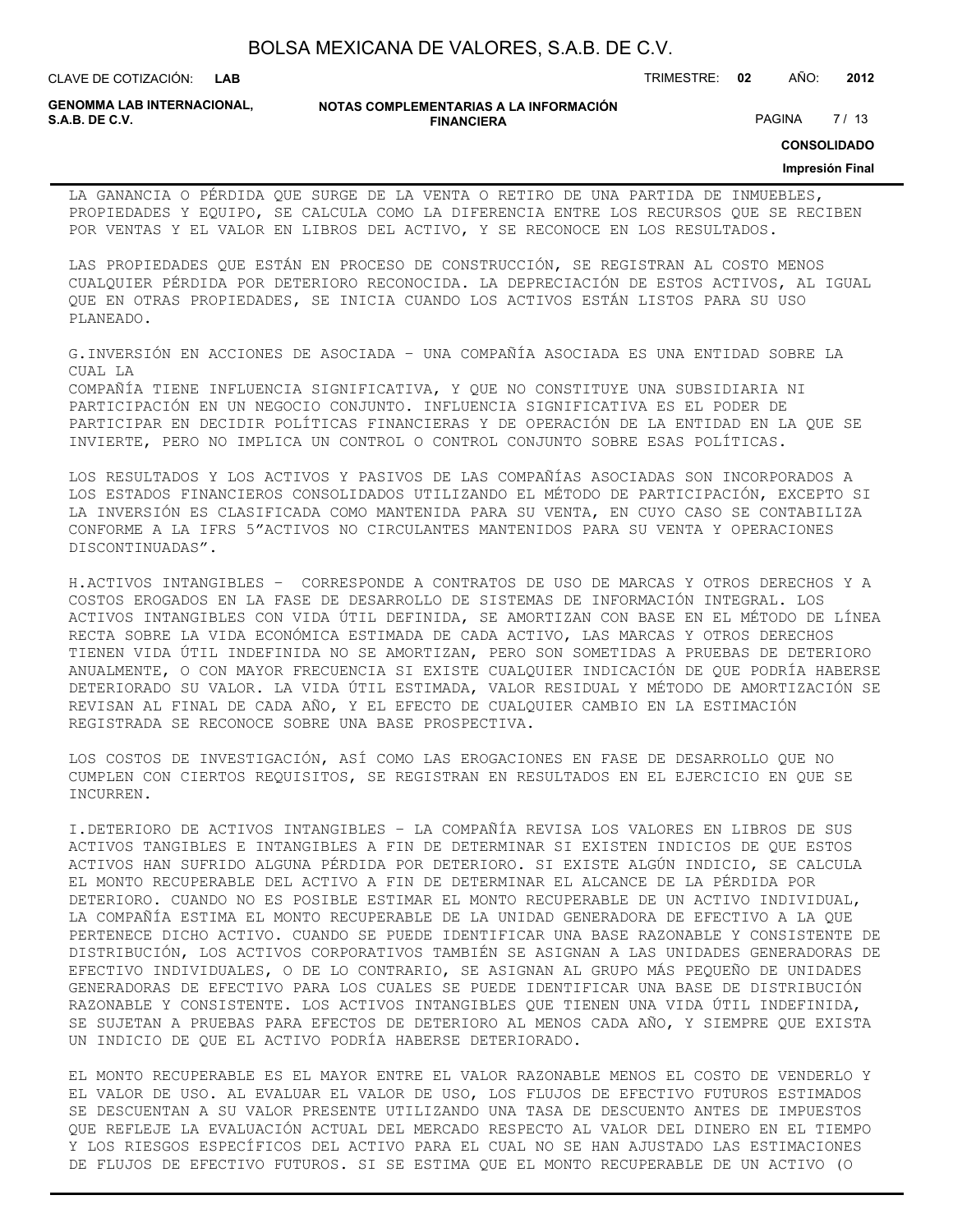CLAVE DE COTIZACIÓN: TRIMESTRE: **02** AÑO: **2012**

**GENOMMA LAB INTERNACIONAL,**

**NOTAS COMPLEMENTARIAS A LA INFORMACIÓN FINANCIERA S.A.B. DE C.V.** PAGINA 27 / 13

**CONSOLIDADO**

#### **Impresión Final**

LA GANANCIA O PÉRDIDA QUE SURGE DE LA VENTA O RETIRO DE UNA PARTIDA DE INMUEBLES, PROPIEDADES Y EQUIPO, SE CALCULA COMO LA DIFERENCIA ENTRE LOS RECURSOS QUE SE RECIBEN POR VENTAS Y EL VALOR EN LIBROS DEL ACTIVO, Y SE RECONOCE EN LOS RESULTADOS.

LAS PROPIEDADES QUE ESTÁN EN PROCESO DE CONSTRUCCIÓN, SE REGISTRAN AL COSTO MENOS CUALQUIER PÉRDIDA POR DETERIORO RECONOCIDA. LA DEPRECIACIÓN DE ESTOS ACTIVOS, AL IGUAL QUE EN OTRAS PROPIEDADES, SE INICIA CUANDO LOS ACTIVOS ESTÁN LISTOS PARA SU USO PLANEADO.

G.INVERSIÓN EN ACCIONES DE ASOCIADA – UNA COMPAÑÍA ASOCIADA ES UNA ENTIDAD SOBRE LA CUAL LA

COMPAÑÍA TIENE INFLUENCIA SIGNIFICATIVA, Y QUE NO CONSTITUYE UNA SUBSIDIARIA NI PARTICIPACIÓN EN UN NEGOCIO CONJUNTO. INFLUENCIA SIGNIFICATIVA ES EL PODER DE PARTICIPAR EN DECIDIR POLÍTICAS FINANCIERAS Y DE OPERACIÓN DE LA ENTIDAD EN LA QUE SE INVIERTE, PERO NO IMPLICA UN CONTROL O CONTROL CONJUNTO SOBRE ESAS POLÍTICAS.

LOS RESULTADOS Y LOS ACTIVOS Y PASIVOS DE LAS COMPAÑÍAS ASOCIADAS SON INCORPORADOS A LOS ESTADOS FINANCIEROS CONSOLIDADOS UTILIZANDO EL MÉTODO DE PARTICIPACIÓN, EXCEPTO SI LA INVERSIÓN ES CLASIFICADA COMO MANTENIDA PARA SU VENTA, EN CUYO CASO SE CONTABILIZA CONFORME A LA IFRS 5"ACTIVOS NO CIRCULANTES MANTENIDOS PARA SU VENTA Y OPERACIONES DISCONTINUADAS".

H.ACTIVOS INTANGIBLES – CORRESPONDE A CONTRATOS DE USO DE MARCAS Y OTROS DERECHOS Y A COSTOS EROGADOS EN LA FASE DE DESARROLLO DE SISTEMAS DE INFORMACIÓN INTEGRAL. LOS ACTIVOS INTANGIBLES CON VIDA ÚTIL DEFINIDA, SE AMORTIZAN CON BASE EN EL MÉTODO DE LÍNEA RECTA SOBRE LA VIDA ECONÓMICA ESTIMADA DE CADA ACTIVO, LAS MARCAS Y OTROS DERECHOS TIENEN VIDA ÚTIL INDEFINIDA NO SE AMORTIZAN, PERO SON SOMETIDAS A PRUEBAS DE DETERIORO ANUALMENTE, O CON MAYOR FRECUENCIA SI EXISTE CUALQUIER INDICACIÓN DE QUE PODRÍA HABERSE DETERIORADO SU VALOR. LA VIDA ÚTIL ESTIMADA, VALOR RESIDUAL Y MÉTODO DE AMORTIZACIÓN SE REVISAN AL FINAL DE CADA AÑO, Y EL EFECTO DE CUALQUIER CAMBIO EN LA ESTIMACIÓN REGISTRADA SE RECONOCE SOBRE UNA BASE PROSPECTIVA.

LOS COSTOS DE INVESTIGACIÓN, ASÍ COMO LAS EROGACIONES EN FASE DE DESARROLLO QUE NO CUMPLEN CON CIERTOS REQUISITOS, SE REGISTRAN EN RESULTADOS EN EL EJERCICIO EN QUE SE INCURREN.

I.DETERIORO DE ACTIVOS INTANGIBLES – LA COMPAÑÍA REVISA LOS VALORES EN LIBROS DE SUS ACTIVOS TANGIBLES E INTANGIBLES A FIN DE DETERMINAR SI EXISTEN INDICIOS DE QUE ESTOS ACTIVOS HAN SUFRIDO ALGUNA PÉRDIDA POR DETERIORO. SI EXISTE ALGÚN INDICIO, SE CALCULA EL MONTO RECUPERABLE DEL ACTIVO A FIN DE DETERMINAR EL ALCANCE DE LA PÉRDIDA POR DETERIORO. CUANDO NO ES POSIBLE ESTIMAR EL MONTO RECUPERABLE DE UN ACTIVO INDIVIDUAL, LA COMPAÑÍA ESTIMA EL MONTO RECUPERABLE DE LA UNIDAD GENERADORA DE EFECTIVO A LA QUE PERTENECE DICHO ACTIVO. CUANDO SE PUEDE IDENTIFICAR UNA BASE RAZONABLE Y CONSISTENTE DE DISTRIBUCIÓN, LOS ACTIVOS CORPORATIVOS TAMBIÉN SE ASIGNAN A LAS UNIDADES GENERADORAS DE EFECTIVO INDIVIDUALES, O DE LO CONTRARIO, SE ASIGNAN AL GRUPO MÁS PEQUEÑO DE UNIDADES GENERADORAS DE EFECTIVO PARA LOS CUALES SE PUEDE IDENTIFICAR UNA BASE DE DISTRIBUCIÓN RAZONABLE Y CONSISTENTE. LOS ACTIVOS INTANGIBLES QUE TIENEN UNA VIDA ÚTIL INDEFINIDA, SE SUJETAN A PRUEBAS PARA EFECTOS DE DETERIORO AL MENOS CADA AÑO, Y SIEMPRE QUE EXISTA UN INDICIO DE QUE EL ACTIVO PODRÍA HABERSE DETERIORADO.

EL MONTO RECUPERABLE ES EL MAYOR ENTRE EL VALOR RAZONABLE MENOS EL COSTO DE VENDERLO Y EL VALOR DE USO. AL EVALUAR EL VALOR DE USO, LOS FLUJOS DE EFECTIVO FUTUROS ESTIMADOS SE DESCUENTAN A SU VALOR PRESENTE UTILIZANDO UNA TASA DE DESCUENTO ANTES DE IMPUESTOS QUE REFLEJE LA EVALUACIÓN ACTUAL DEL MERCADO RESPECTO AL VALOR DEL DINERO EN EL TIEMPO Y LOS RIESGOS ESPECÍFICOS DEL ACTIVO PARA EL CUAL NO SE HAN AJUSTADO LAS ESTIMACIONES DE FLUJOS DE EFECTIVO FUTUROS. SI SE ESTIMA QUE EL MONTO RECUPERABLE DE UN ACTIVO (O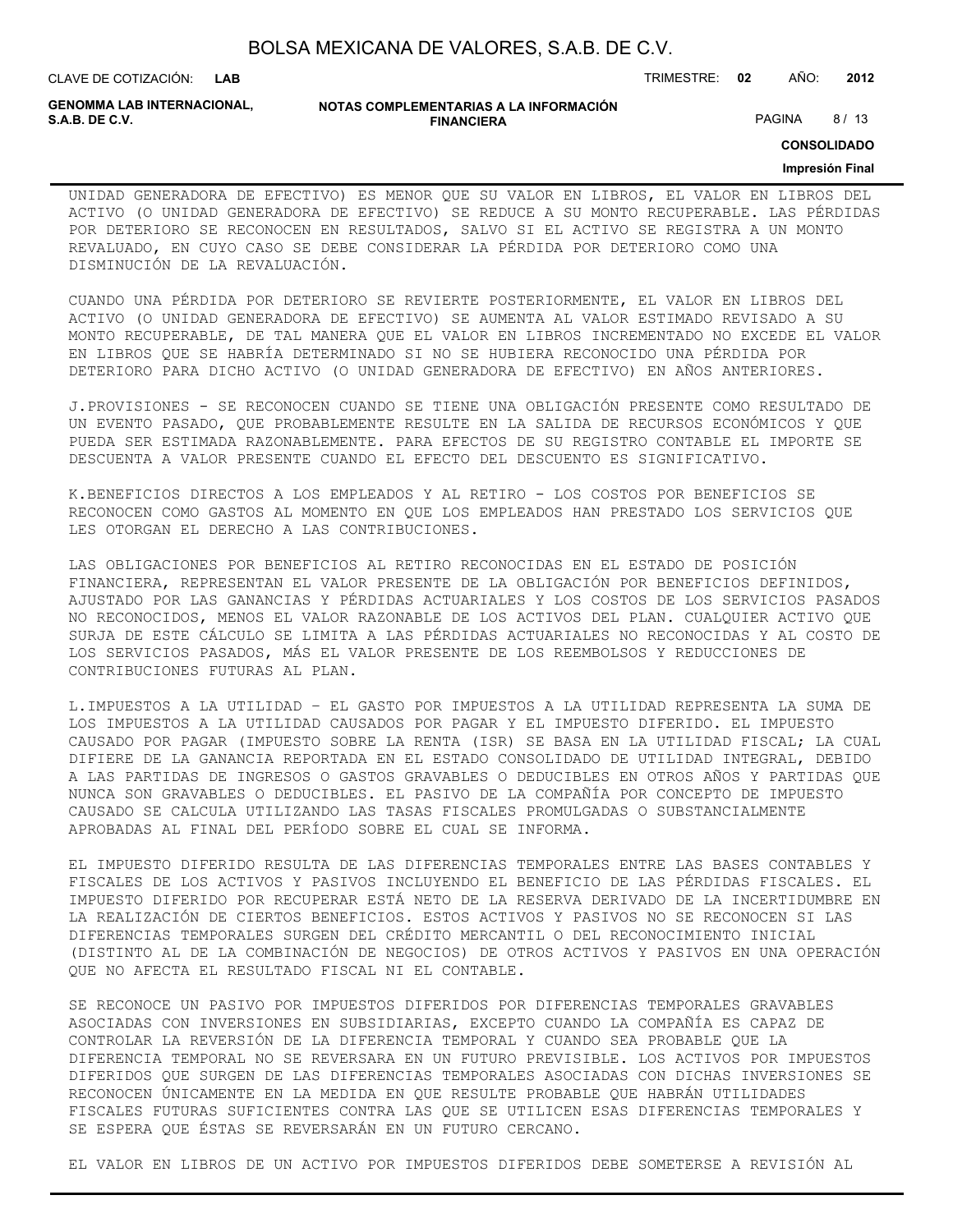CLAVE DE COTIZACIÓN: TRIMESTRE: **02** AÑO: **2012**

**GENOMMA LAB INTERNACIONAL,**

#### **NOTAS COMPLEMENTARIAS A LA INFORMACIÓN FINANCIERA S.A.B. DE C.V.** PAGINA 8 / 13

**CONSOLIDADO**

#### **Impresión Final**

UNIDAD GENERADORA DE EFECTIVO) ES MENOR QUE SU VALOR EN LIBROS, EL VALOR EN LIBROS DEL ACTIVO (O UNIDAD GENERADORA DE EFECTIVO) SE REDUCE A SU MONTO RECUPERABLE. LAS PÉRDIDAS POR DETERIORO SE RECONOCEN EN RESULTADOS, SALVO SI EL ACTIVO SE REGISTRA A UN MONTO REVALUADO, EN CUYO CASO SE DEBE CONSIDERAR LA PÉRDIDA POR DETERIORO COMO UNA DISMINUCIÓN DE LA REVALUACIÓN.

CUANDO UNA PÉRDIDA POR DETERIORO SE REVIERTE POSTERIORMENTE, EL VALOR EN LIBROS DEL ACTIVO (O UNIDAD GENERADORA DE EFECTIVO) SE AUMENTA AL VALOR ESTIMADO REVISADO A SU MONTO RECUPERABLE, DE TAL MANERA QUE EL VALOR EN LIBROS INCREMENTADO NO EXCEDE EL VALOR EN LIBROS QUE SE HABRÍA DETERMINADO SI NO SE HUBIERA RECONOCIDO UNA PÉRDIDA POR DETERIORO PARA DICHO ACTIVO (O UNIDAD GENERADORA DE EFECTIVO) EN AÑOS ANTERIORES.

J.PROVISIONES - SE RECONOCEN CUANDO SE TIENE UNA OBLIGACIÓN PRESENTE COMO RESULTADO DE UN EVENTO PASADO, QUE PROBABLEMENTE RESULTE EN LA SALIDA DE RECURSOS ECONÓMICOS Y QUE PUEDA SER ESTIMADA RAZONABLEMENTE. PARA EFECTOS DE SU REGISTRO CONTABLE EL IMPORTE SE DESCUENTA A VALOR PRESENTE CUANDO EL EFECTO DEL DESCUENTO ES SIGNIFICATIVO.

K.BENEFICIOS DIRECTOS A LOS EMPLEADOS Y AL RETIRO - LOS COSTOS POR BENEFICIOS SE RECONOCEN COMO GASTOS AL MOMENTO EN QUE LOS EMPLEADOS HAN PRESTADO LOS SERVICIOS QUE LES OTORGAN EL DERECHO A LAS CONTRIBUCIONES.

LAS OBLIGACIONES POR BENEFICIOS AL RETIRO RECONOCIDAS EN EL ESTADO DE POSICIÓN FINANCIERA, REPRESENTAN EL VALOR PRESENTE DE LA OBLIGACIÓN POR BENEFICIOS DEFINIDOS, AJUSTADO POR LAS GANANCIAS Y PÉRDIDAS ACTUARIALES Y LOS COSTOS DE LOS SERVICIOS PASADOS NO RECONOCIDOS, MENOS EL VALOR RAZONABLE DE LOS ACTIVOS DEL PLAN. CUALQUIER ACTIVO QUE SURJA DE ESTE CÁLCULO SE LIMITA A LAS PÉRDIDAS ACTUARIALES NO RECONOCIDAS Y AL COSTO DE LOS SERVICIOS PASADOS, MÁS EL VALOR PRESENTE DE LOS REEMBOLSOS Y REDUCCIONES DE CONTRIBUCIONES FUTURAS AL PLAN.

L.IMPUESTOS A LA UTILIDAD – EL GASTO POR IMPUESTOS A LA UTILIDAD REPRESENTA LA SUMA DE LOS IMPUESTOS A LA UTILIDAD CAUSADOS POR PAGAR Y EL IMPUESTO DIFERIDO. EL IMPUESTO CAUSADO POR PAGAR (IMPUESTO SOBRE LA RENTA (ISR) SE BASA EN LA UTILIDAD FISCAL; LA CUAL DIFIERE DE LA GANANCIA REPORTADA EN EL ESTADO CONSOLIDADO DE UTILIDAD INTEGRAL, DEBIDO A LAS PARTIDAS DE INGRESOS O GASTOS GRAVABLES O DEDUCIBLES EN OTROS AÑOS Y PARTIDAS QUE NUNCA SON GRAVABLES O DEDUCIBLES. EL PASIVO DE LA COMPAÑÍA POR CONCEPTO DE IMPUESTO CAUSADO SE CALCULA UTILIZANDO LAS TASAS FISCALES PROMULGADAS O SUBSTANCIALMENTE APROBADAS AL FINAL DEL PERÍODO SOBRE EL CUAL SE INFORMA.

EL IMPUESTO DIFERIDO RESULTA DE LAS DIFERENCIAS TEMPORALES ENTRE LAS BASES CONTABLES Y FISCALES DE LOS ACTIVOS Y PASIVOS INCLUYENDO EL BENEFICIO DE LAS PÉRDIDAS FISCALES. EL IMPUESTO DIFERIDO POR RECUPERAR ESTÁ NETO DE LA RESERVA DERIVADO DE LA INCERTIDUMBRE EN LA REALIZACIÓN DE CIERTOS BENEFICIOS. ESTOS ACTIVOS Y PASIVOS NO SE RECONOCEN SI LAS DIFERENCIAS TEMPORALES SURGEN DEL CRÉDITO MERCANTIL O DEL RECONOCIMIENTO INICIAL (DISTINTO AL DE LA COMBINACIÓN DE NEGOCIOS) DE OTROS ACTIVOS Y PASIVOS EN UNA OPERACIÓN QUE NO AFECTA EL RESULTADO FISCAL NI EL CONTABLE.

SE RECONOCE UN PASIVO POR IMPUESTOS DIFERIDOS POR DIFERENCIAS TEMPORALES GRAVABLES ASOCIADAS CON INVERSIONES EN SUBSIDIARIAS, EXCEPTO CUANDO LA COMPAÑÍA ES CAPAZ DE CONTROLAR LA REVERSIÓN DE LA DIFERENCIA TEMPORAL Y CUANDO SEA PROBABLE QUE LA DIFERENCIA TEMPORAL NO SE REVERSARA EN UN FUTURO PREVISIBLE. LOS ACTIVOS POR IMPUESTOS DIFERIDOS QUE SURGEN DE LAS DIFERENCIAS TEMPORALES ASOCIADAS CON DICHAS INVERSIONES SE RECONOCEN ÚNICAMENTE EN LA MEDIDA EN QUE RESULTE PROBABLE QUE HABRÁN UTILIDADES FISCALES FUTURAS SUFICIENTES CONTRA LAS QUE SE UTILICEN ESAS DIFERENCIAS TEMPORALES Y SE ESPERA QUE ÉSTAS SE REVERSARÁN EN UN FUTURO CERCANO.

EL VALOR EN LIBROS DE UN ACTIVO POR IMPUESTOS DIFERIDOS DEBE SOMETERSE A REVISIÓN AL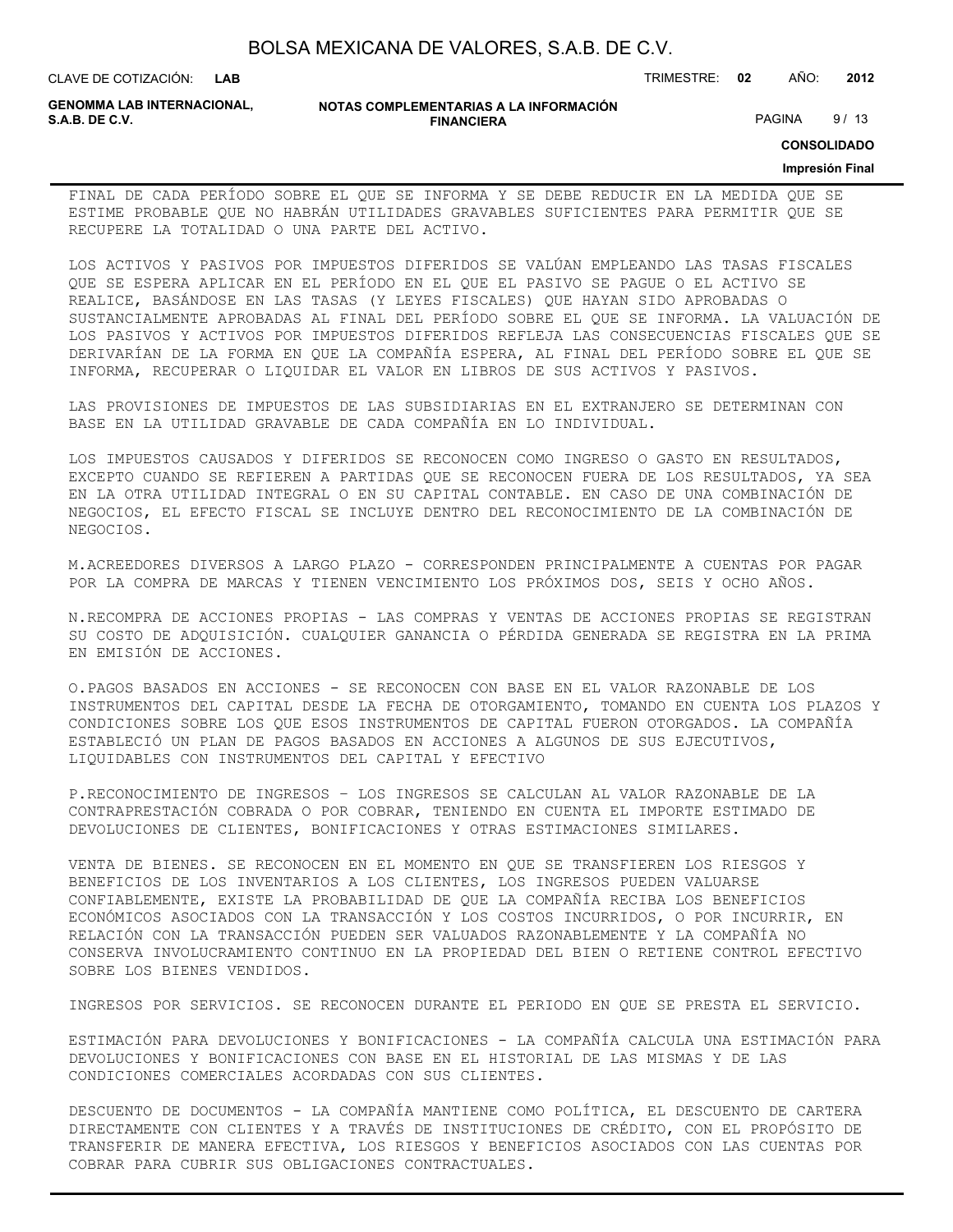| BOLSA MEXICANA DE VALORES, S.A.B. DE C.V. |  |  |  |
|-------------------------------------------|--|--|--|
|-------------------------------------------|--|--|--|

CLAVE DE COTIZACIÓN: TRIMESTRE: **02** AÑO: **2012**

**GENOMMA LAB INTERNACIONAL,**

**NOTAS COMPLEMENTARIAS A LA INFORMACIÓN FINANCIERA S.A.B. DE C.V.** PAGINA 9/13

**CONSOLIDADO**

#### **Impresión Final**

FINAL DE CADA PERÍODO SOBRE EL QUE SE INFORMA Y SE DEBE REDUCIR EN LA MEDIDA QUE SE ESTIME PROBABLE QUE NO HABRÁN UTILIDADES GRAVABLES SUFICIENTES PARA PERMITIR QUE SE RECUPERE LA TOTALIDAD O UNA PARTE DEL ACTIVO.

LOS ACTIVOS Y PASIVOS POR IMPUESTOS DIFERIDOS SE VALÚAN EMPLEANDO LAS TASAS FISCALES QUE SE ESPERA APLICAR EN EL PERÍODO EN EL QUE EL PASIVO SE PAGUE O EL ACTIVO SE REALICE, BASÁNDOSE EN LAS TASAS (Y LEYES FISCALES) QUE HAYAN SIDO APROBADAS O SUSTANCIALMENTE APROBADAS AL FINAL DEL PERÍODO SOBRE EL QUE SE INFORMA. LA VALUACIÓN DE LOS PASIVOS Y ACTIVOS POR IMPUESTOS DIFERIDOS REFLEJA LAS CONSECUENCIAS FISCALES QUE SE DERIVARÍAN DE LA FORMA EN QUE LA COMPAÑÍA ESPERA, AL FINAL DEL PERÍODO SOBRE EL QUE SE INFORMA, RECUPERAR O LIQUIDAR EL VALOR EN LIBROS DE SUS ACTIVOS Y PASIVOS.

LAS PROVISIONES DE IMPUESTOS DE LAS SUBSIDIARIAS EN EL EXTRANJERO SE DETERMINAN CON BASE EN LA UTILIDAD GRAVABLE DE CADA COMPAÑÍA EN LO INDIVIDUAL.

LOS IMPUESTOS CAUSADOS Y DIFERIDOS SE RECONOCEN COMO INGRESO O GASTO EN RESULTADOS, EXCEPTO CUANDO SE REFIEREN A PARTIDAS QUE SE RECONOCEN FUERA DE LOS RESULTADOS, YA SEA EN LA OTRA UTILIDAD INTEGRAL O EN SU CAPITAL CONTABLE. EN CASO DE UNA COMBINACIÓN DE NEGOCIOS, EL EFECTO FISCAL SE INCLUYE DENTRO DEL RECONOCIMIENTO DE LA COMBINACIÓN DE NEGOCIOS.

M.ACREEDORES DIVERSOS A LARGO PLAZO - CORRESPONDEN PRINCIPALMENTE A CUENTAS POR PAGAR POR LA COMPRA DE MARCAS Y TIENEN VENCIMIENTO LOS PRÓXIMOS DOS, SEIS Y OCHO AÑOS.

N.RECOMPRA DE ACCIONES PROPIAS - LAS COMPRAS Y VENTAS DE ACCIONES PROPIAS SE REGISTRAN SU COSTO DE ADQUISICIÓN. CUALQUIER GANANCIA O PÉRDIDA GENERADA SE REGISTRA EN LA PRIMA EN EMISIÓN DE ACCIONES.

O.PAGOS BASADOS EN ACCIONES - SE RECONOCEN CON BASE EN EL VALOR RAZONABLE DE LOS INSTRUMENTOS DEL CAPITAL DESDE LA FECHA DE OTORGAMIENTO, TOMANDO EN CUENTA LOS PLAZOS Y CONDICIONES SOBRE LOS QUE ESOS INSTRUMENTOS DE CAPITAL FUERON OTORGADOS. LA COMPAÑÍA ESTABLECIÓ UN PLAN DE PAGOS BASADOS EN ACCIONES A ALGUNOS DE SUS EJECUTIVOS, LIQUIDABLES CON INSTRUMENTOS DEL CAPITAL Y EFECTIVO

P.RECONOCIMIENTO DE INGRESOS – LOS INGRESOS SE CALCULAN AL VALOR RAZONABLE DE LA CONTRAPRESTACIÓN COBRADA O POR COBRAR, TENIENDO EN CUENTA EL IMPORTE ESTIMADO DE DEVOLUCIONES DE CLIENTES, BONIFICACIONES Y OTRAS ESTIMACIONES SIMILARES.

VENTA DE BIENES. SE RECONOCEN EN EL MOMENTO EN QUE SE TRANSFIEREN LOS RIESGOS Y BENEFICIOS DE LOS INVENTARIOS A LOS CLIENTES, LOS INGRESOS PUEDEN VALUARSE CONFIABLEMENTE, EXISTE LA PROBABILIDAD DE QUE LA COMPAÑÍA RECIBA LOS BENEFICIOS ECONÓMICOS ASOCIADOS CON LA TRANSACCIÓN Y LOS COSTOS INCURRIDOS, O POR INCURRIR, EN RELACIÓN CON LA TRANSACCIÓN PUEDEN SER VALUADOS RAZONABLEMENTE Y LA COMPAÑÍA NO CONSERVA INVOLUCRAMIENTO CONTINUO EN LA PROPIEDAD DEL BIEN O RETIENE CONTROL EFECTIVO SOBRE LOS BIENES VENDIDOS.

INGRESOS POR SERVICIOS. SE RECONOCEN DURANTE EL PERIODO EN QUE SE PRESTA EL SERVICIO.

ESTIMACIÓN PARA DEVOLUCIONES Y BONIFICACIONES - LA COMPAÑÍA CALCULA UNA ESTIMACIÓN PARA DEVOLUCIONES Y BONIFICACIONES CON BASE EN EL HISTORIAL DE LAS MISMAS Y DE LAS CONDICIONES COMERCIALES ACORDADAS CON SUS CLIENTES.

DESCUENTO DE DOCUMENTOS - LA COMPAÑÍA MANTIENE COMO POLÍTICA, EL DESCUENTO DE CARTERA DIRECTAMENTE CON CLIENTES Y A TRAVÉS DE INSTITUCIONES DE CRÉDITO, CON EL PROPÓSITO DE TRANSFERIR DE MANERA EFECTIVA, LOS RIESGOS Y BENEFICIOS ASOCIADOS CON LAS CUENTAS POR COBRAR PARA CUBRIR SUS OBLIGACIONES CONTRACTUALES.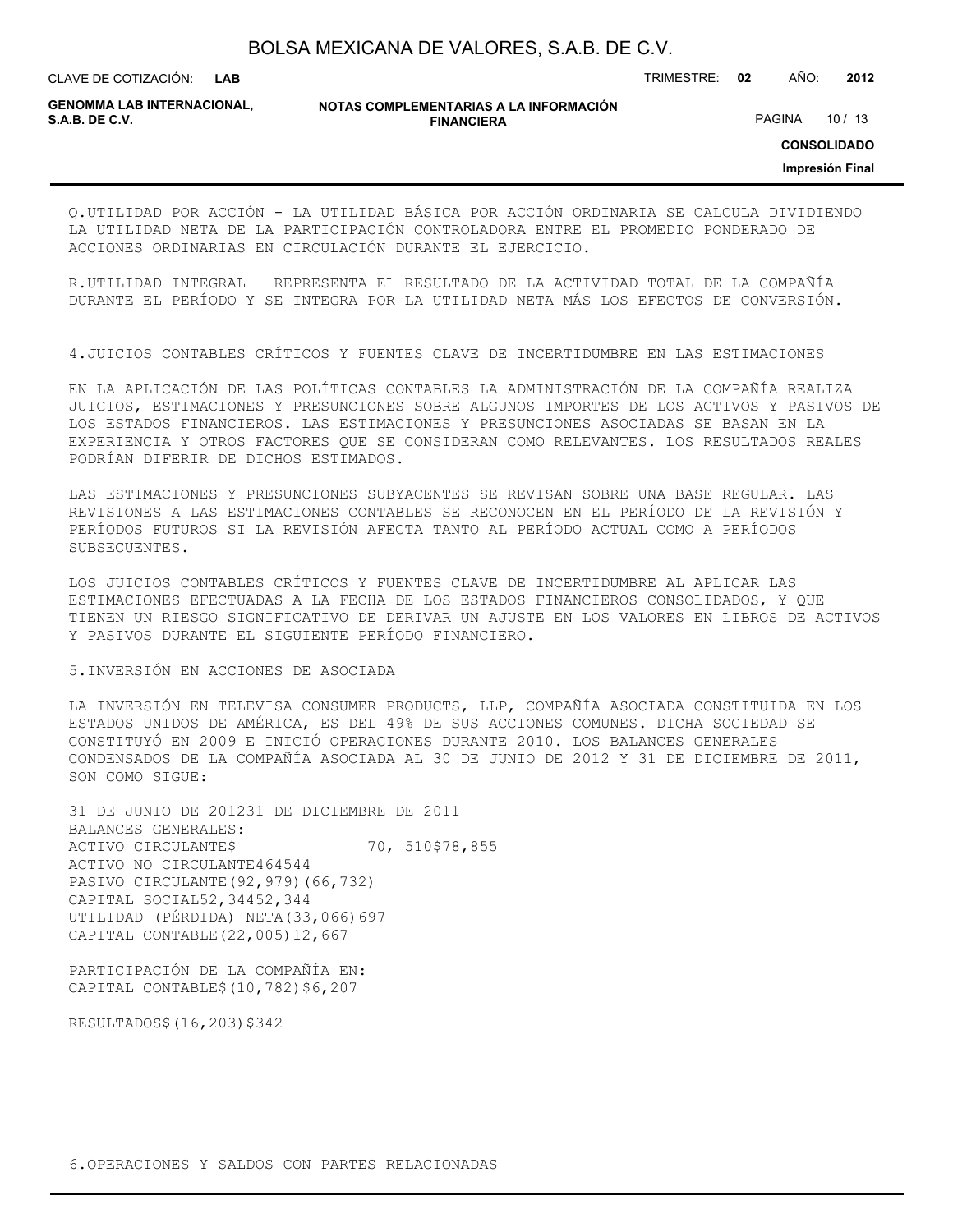**LAB**

CLAVE DE COTIZACIÓN: TRIMESTRE: **02** AÑO: **2012**

**GENOMMA LAB INTERNACIONAL,**

**NOTAS COMPLEMENTARIAS A LA INFORMACIÓN FINANCIERA**

PAGINA 10 / 13

**CONSOLIDADO**

**Impresión Final**

Q.UTILIDAD POR ACCIÓN - LA UTILIDAD BÁSICA POR ACCIÓN ORDINARIA SE CALCULA DIVIDIENDO LA UTILIDAD NETA DE LA PARTICIPACIÓN CONTROLADORA ENTRE EL PROMEDIO PONDERADO DE ACCIONES ORDINARIAS EN CIRCULACIÓN DURANTE EL EJERCICIO.

R.UTILIDAD INTEGRAL – REPRESENTA EL RESULTADO DE LA ACTIVIDAD TOTAL DE LA COMPAÑÍA DURANTE EL PERÍODO Y SE INTEGRA POR LA UTILIDAD NETA MÁS LOS EFECTOS DE CONVERSIÓN.

4.JUICIOS CONTABLES CRÍTICOS Y FUENTES CLAVE DE INCERTIDUMBRE EN LAS ESTIMACIONES

EN LA APLICACIÓN DE LAS POLÍTICAS CONTABLES LA ADMINISTRACIÓN DE LA COMPAÑÍA REALIZA JUICIOS, ESTIMACIONES Y PRESUNCIONES SOBRE ALGUNOS IMPORTES DE LOS ACTIVOS Y PASIVOS DE LOS ESTADOS FINANCIEROS. LAS ESTIMACIONES Y PRESUNCIONES ASOCIADAS SE BASAN EN LA EXPERIENCIA Y OTROS FACTORES QUE SE CONSIDERAN COMO RELEVANTES. LOS RESULTADOS REALES PODRÍAN DIFERIR DE DICHOS ESTIMADOS.

LAS ESTIMACIONES Y PRESUNCIONES SUBYACENTES SE REVISAN SOBRE UNA BASE REGULAR. LAS REVISIONES A LAS ESTIMACIONES CONTABLES SE RECONOCEN EN EL PERÍODO DE LA REVISIÓN Y PERÍODOS FUTUROS SI LA REVISIÓN AFECTA TANTO AL PERÍODO ACTUAL COMO A PERÍODOS SUBSECUENTES.

LOS JUICIOS CONTABLES CRÍTICOS Y FUENTES CLAVE DE INCERTIDUMBRE AL APLICAR LAS ESTIMACIONES EFECTUADAS A LA FECHA DE LOS ESTADOS FINANCIEROS CONSOLIDADOS, Y QUE TIENEN UN RIESGO SIGNIFICATIVO DE DERIVAR UN AJUSTE EN LOS VALORES EN LIBROS DE ACTIVOS Y PASIVOS DURANTE EL SIGUIENTE PERÍODO FINANCIERO.

#### 5.INVERSIÓN EN ACCIONES DE ASOCIADA

LA INVERSIÓN EN TELEVISA CONSUMER PRODUCTS, LLP, COMPAÑÍA ASOCIADA CONSTITUIDA EN LOS ESTADOS UNIDOS DE AMÉRICA, ES DEL 49% DE SUS ACCIONES COMUNES. DICHA SOCIEDAD SE CONSTITUYÓ EN 2009 E INICIÓ OPERACIONES DURANTE 2010. LOS BALANCES GENERALES CONDENSADOS DE LA COMPAÑÍA ASOCIADA AL 30 DE JUNIO DE 2012 Y 31 DE DICIEMBRE DE 2011, SON COMO SIGUE:

31 DE JUNIO DE 201231 DE DICIEMBRE DE 2011 BALANCES GENERALES: ACTIVO CIRCULANTE\$ 70, 510\$78,855 ACTIVO NO CIRCULANTE464544 PASIVO CIRCULANTE(92,979)(66,732) CAPITAL SOCIAL52,34452,344 UTILIDAD (PÉRDIDA) NETA(33,066)697 CAPITAL CONTABLE(22,005)12,667

PARTICIPACIÓN DE LA COMPAÑÍA EN: CAPITAL CONTABLE\$(10,782)\$6,207

RESULTADOS\$(16,203)\$342

6.OPERACIONES Y SALDOS CON PARTES RELACIONADAS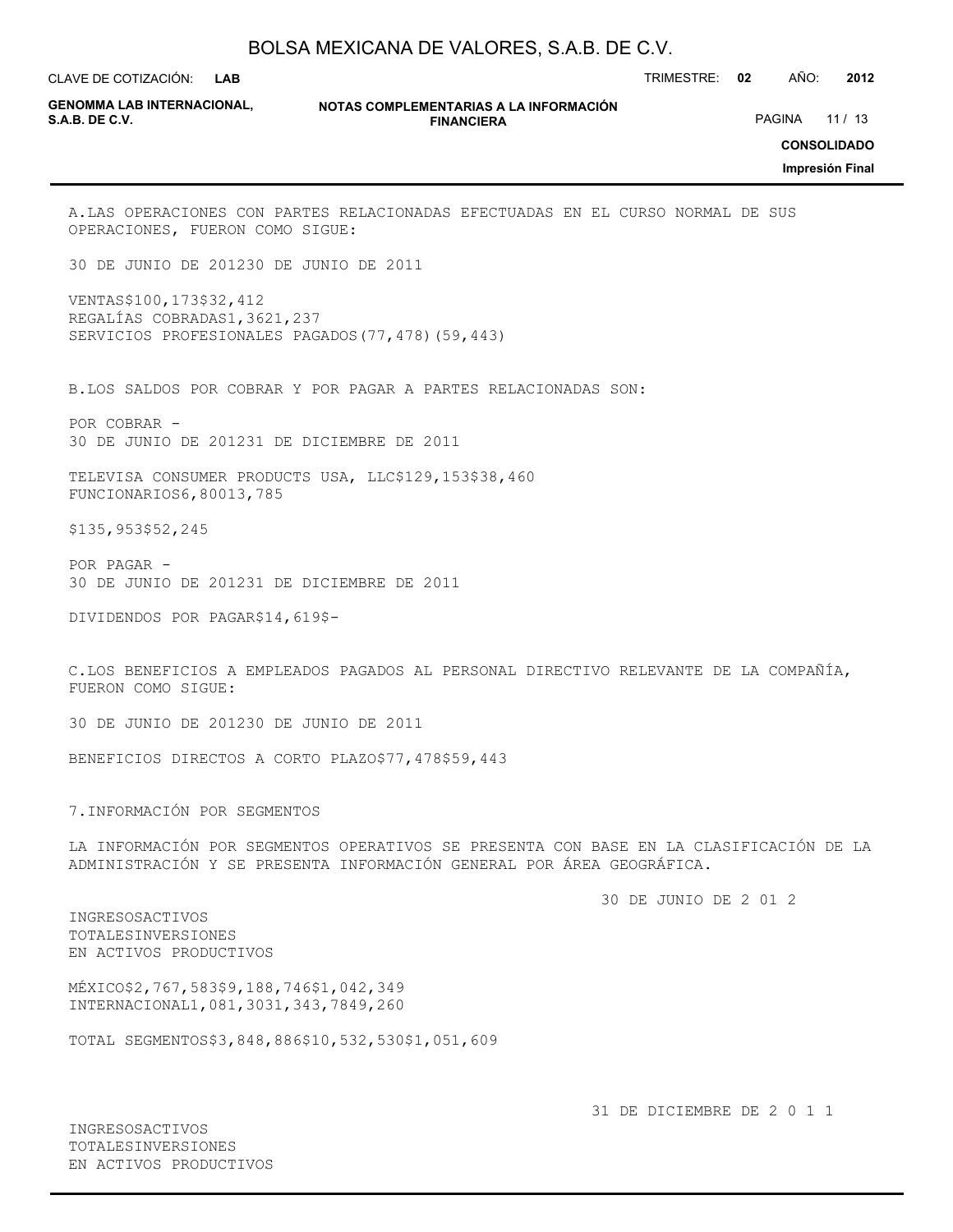**LAB**

CLAVE DE COTIZACIÓN: TRIMESTRE: **02** AÑO: **2012**

**GENOMMA LAB INTERNACIONAL,**

**NOTAS COMPLEMENTARIAS A LA INFORMACIÓN FINANCIERA S.A.B. DE C.V.** PAGINA 21 / 13

**CONSOLIDADO**

**Impresión Final**

A.LAS OPERACIONES CON PARTES RELACIONADAS EFECTUADAS EN EL CURSO NORMAL DE SUS OPERACIONES, FUERON COMO SIGUE:

30 DE JUNIO DE 201230 DE JUNIO DE 2011

VENTAS\$100,173\$32,412 REGALÍAS COBRADAS1,3621,237 SERVICIOS PROFESIONALES PAGADOS(77,478)(59,443)

B.LOS SALDOS POR COBRAR Y POR PAGAR A PARTES RELACIONADAS SON:

POR COBRAR - 30 DE JUNIO DE 201231 DE DICIEMBRE DE 2011

TELEVISA CONSUMER PRODUCTS USA, LLC\$129,153\$38,460 FUNCIONARIOS6,80013,785

\$135,953\$52,245

POR PAGAR - 30 DE JUNIO DE 201231 DE DICIEMBRE DE 2011

DIVIDENDOS POR PAGAR\$14,619\$-

C.LOS BENEFICIOS A EMPLEADOS PAGADOS AL PERSONAL DIRECTIVO RELEVANTE DE LA COMPAÑÍA, FUERON COMO SIGUE:

30 DE JUNIO DE 201230 DE JUNIO DE 2011

BENEFICIOS DIRECTOS A CORTO PLAZO\$77,478\$59,443

7.INFORMACIÓN POR SEGMENTOS

LA INFORMACIÓN POR SEGMENTOS OPERATIVOS SE PRESENTA CON BASE EN LA CLASIFICACIÓN DE LA ADMINISTRACIÓN Y SE PRESENTA INFORMACIÓN GENERAL POR ÁREA GEOGRÁFICA.

30 DE JUNIO DE 2 01 2

INGRESOSACTIVOS TOTALESINVERSIONES EN ACTIVOS PRODUCTIVOS

MÉXICO\$2,767,583\$9,188,746\$1,042,349 INTERNACIONAL1,081,3031,343,7849,260

TOTAL SEGMENTOS\$3,848,886\$10,532,530\$1,051,609

INGRESOSACTIVOS TOTALESINVERSIONES EN ACTIVOS PRODUCTIVOS 31 DE DICIEMBRE DE 2 0 1 1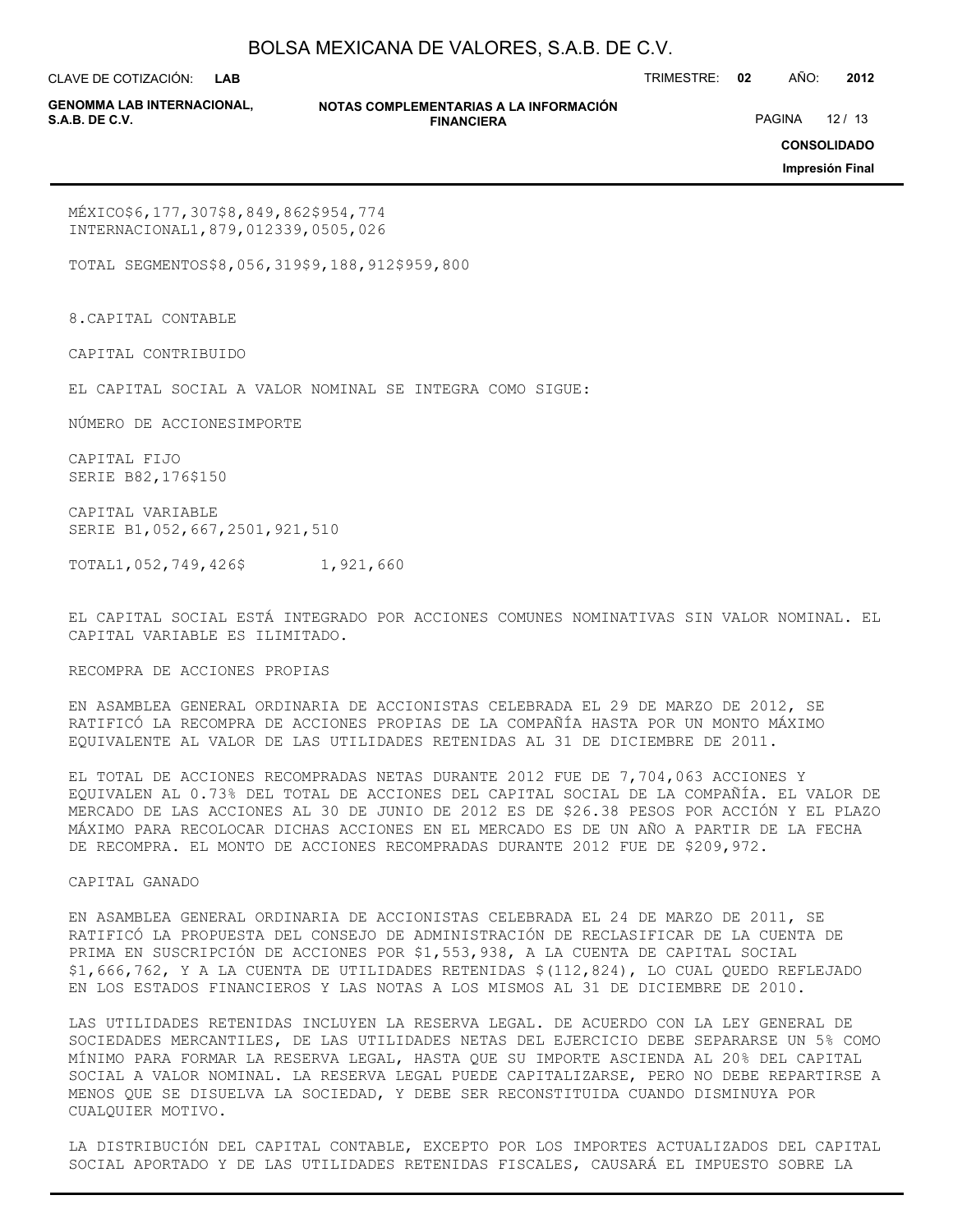**LAB**

CLAVE DE COTIZACIÓN: TRIMESTRE: **02** AÑO: **2012**

**GENOMMA LAB INTERNACIONAL,**

**NOTAS COMPLEMENTARIAS A LA INFORMACIÓN FINANCIERA**

PAGINA 12 / 13

**CONSOLIDADO**

**Impresión Final**

MÉXICO\$6,177,307\$8,849,862\$954,774 INTERNACIONAL1,879,012339,0505,026

TOTAL SEGMENTOS\$8,056,319\$9,188,912\$959,800

8.CAPITAL CONTABLE

CAPITAL CONTRIBUIDO

EL CAPITAL SOCIAL A VALOR NOMINAL SE INTEGRA COMO SIGUE:

NÚMERO DE ACCIONESIMPORTE

CAPITAL FIJO SERIE B82,176\$150

CAPITAL VARIABLE SERIE B1,052,667,2501,921,510

TOTAL1,052,749,426\$ 1,921,660

EL CAPITAL SOCIAL ESTÁ INTEGRADO POR ACCIONES COMUNES NOMINATIVAS SIN VALOR NOMINAL. EL CAPITAL VARIABLE ES ILIMITADO.

RECOMPRA DE ACCIONES PROPIAS

EN ASAMBLEA GENERAL ORDINARIA DE ACCIONISTAS CELEBRADA EL 29 DE MARZO DE 2012, SE RATIFICÓ LA RECOMPRA DE ACCIONES PROPIAS DE LA COMPAÑÍA HASTA POR UN MONTO MÁXIMO EQUIVALENTE AL VALOR DE LAS UTILIDADES RETENIDAS AL 31 DE DICIEMBRE DE 2011.

EL TOTAL DE ACCIONES RECOMPRADAS NETAS DURANTE 2012 FUE DE 7,704,063 ACCIONES Y EQUIVALEN AL 0.73% DEL TOTAL DE ACCIONES DEL CAPITAL SOCIAL DE LA COMPAÑÍA. EL VALOR DE MERCADO DE LAS ACCIONES AL 30 DE JUNIO DE 2012 ES DE \$26.38 PESOS POR ACCIÓN Y EL PLAZO MÁXIMO PARA RECOLOCAR DICHAS ACCIONES EN EL MERCADO ES DE UN AÑO A PARTIR DE LA FECHA DE RECOMPRA. EL MONTO DE ACCIONES RECOMPRADAS DURANTE 2012 FUE DE \$209,972.

CAPITAL GANADO

EN ASAMBLEA GENERAL ORDINARIA DE ACCIONISTAS CELEBRADA EL 24 DE MARZO DE 2011, SE RATIFICÓ LA PROPUESTA DEL CONSEJO DE ADMINISTRACIÓN DE RECLASIFICAR DE LA CUENTA DE PRIMA EN SUSCRIPCIÓN DE ACCIONES POR \$1,553,938, A LA CUENTA DE CAPITAL SOCIAL \$1,666,762, Y A LA CUENTA DE UTILIDADES RETENIDAS \$(112,824), LO CUAL QUEDO REFLEJADO EN LOS ESTADOS FINANCIEROS Y LAS NOTAS A LOS MISMOS AL 31 DE DICIEMBRE DE 2010.

LAS UTILIDADES RETENIDAS INCLUYEN LA RESERVA LEGAL. DE ACUERDO CON LA LEY GENERAL DE SOCIEDADES MERCANTILES, DE LAS UTILIDADES NETAS DEL EJERCICIO DEBE SEPARARSE UN 5% COMO MÍNIMO PARA FORMAR LA RESERVA LEGAL, HASTA QUE SU IMPORTE ASCIENDA AL 20% DEL CAPITAL SOCIAL A VALOR NOMINAL. LA RESERVA LEGAL PUEDE CAPITALIZARSE, PERO NO DEBE REPARTIRSE A MENOS QUE SE DISUELVA LA SOCIEDAD, Y DEBE SER RECONSTITUIDA CUANDO DISMINUYA POR CUALQUIER MOTIVO.

LA DISTRIBUCIÓN DEL CAPITAL CONTABLE, EXCEPTO POR LOS IMPORTES ACTUALIZADOS DEL CAPITAL SOCIAL APORTADO Y DE LAS UTILIDADES RETENIDAS FISCALES, CAUSARÁ EL IMPUESTO SOBRE LA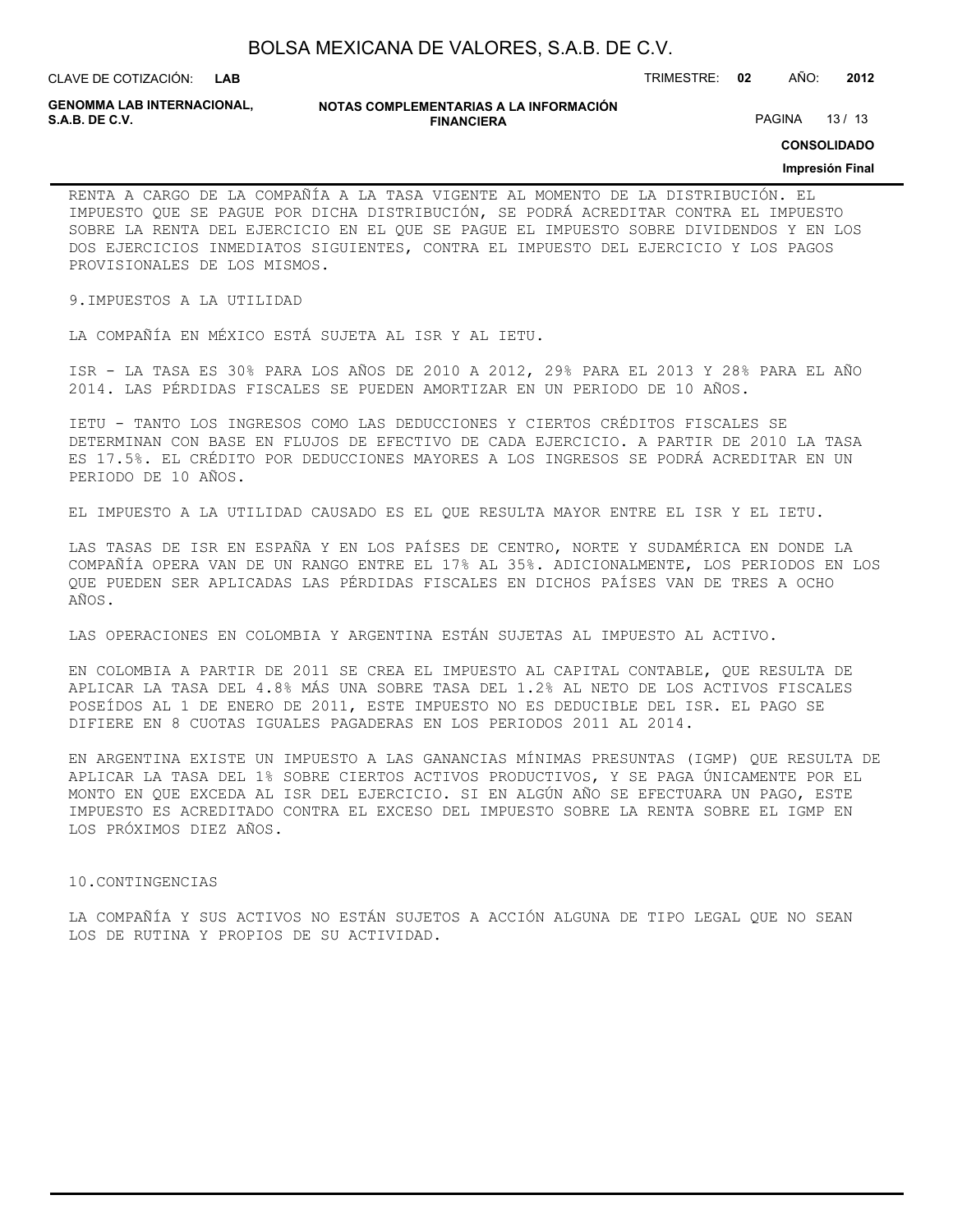| BOLSA MEXICANA DE VALORES, S.A.B. DE C.V. |  |  |
|-------------------------------------------|--|--|
|-------------------------------------------|--|--|

CLAVE DE COTIZACIÓN: TRIMESTRE: **02** AÑO: **2012 LAB**

**GENOMMA LAB INTERNACIONAL,**

**NOTAS COMPLEMENTARIAS A LA INFORMACIÓN FINANCIERA**

PAGINA 13/13

**CONSOLIDADO**

#### **Impresión Final**

RENTA A CARGO DE LA COMPAÑÍA A LA TASA VIGENTE AL MOMENTO DE LA DISTRIBUCIÓN. EL IMPUESTO QUE SE PAGUE POR DICHA DISTRIBUCIÓN, SE PODRÁ ACREDITAR CONTRA EL IMPUESTO SOBRE LA RENTA DEL EJERCICIO EN EL QUE SE PAGUE EL IMPUESTO SOBRE DIVIDENDOS Y EN LOS DOS EJERCICIOS INMEDIATOS SIGUIENTES, CONTRA EL IMPUESTO DEL EJERCICIO Y LOS PAGOS PROVISIONALES DE LOS MISMOS.

9.IMPUESTOS A LA UTILIDAD

LA COMPAÑÍA EN MÉXICO ESTÁ SUJETA AL ISR Y AL IETU.

ISR - LA TASA ES 30% PARA LOS AÑOS DE 2010 A 2012, 29% PARA EL 2013 Y 28% PARA EL AÑO 2014. LAS PÉRDIDAS FISCALES SE PUEDEN AMORTIZAR EN UN PERIODO DE 10 AÑOS.

IETU - TANTO LOS INGRESOS COMO LAS DEDUCCIONES Y CIERTOS CRÉDITOS FISCALES SE DETERMINAN CON BASE EN FLUJOS DE EFECTIVO DE CADA EJERCICIO. A PARTIR DE 2010 LA TASA ES 17.5%. EL CRÉDITO POR DEDUCCIONES MAYORES A LOS INGRESOS SE PODRÁ ACREDITAR EN UN PERIODO DE 10 AÑOS.

EL IMPUESTO A LA UTILIDAD CAUSADO ES EL QUE RESULTA MAYOR ENTRE EL ISR Y EL IETU.

LAS TASAS DE ISR EN ESPAÑA Y EN LOS PAÍSES DE CENTRO, NORTE Y SUDAMÉRICA EN DONDE LA COMPAÑÍA OPERA VAN DE UN RANGO ENTRE EL 17% AL 35%. ADICIONALMENTE, LOS PERIODOS EN LOS QUE PUEDEN SER APLICADAS LAS PÉRDIDAS FISCALES EN DICHOS PAÍSES VAN DE TRES A OCHO AÑOS.

LAS OPERACIONES EN COLOMBIA Y ARGENTINA ESTÁN SUJETAS AL IMPUESTO AL ACTIVO.

EN COLOMBIA A PARTIR DE 2011 SE CREA EL IMPUESTO AL CAPITAL CONTABLE, QUE RESULTA DE APLICAR LA TASA DEL 4.8% MÁS UNA SOBRE TASA DEL 1.2% AL NETO DE LOS ACTIVOS FISCALES POSEÍDOS AL 1 DE ENERO DE 2011, ESTE IMPUESTO NO ES DEDUCIBLE DEL ISR. EL PAGO SE DIFIERE EN 8 CUOTAS IGUALES PAGADERAS EN LOS PERIODOS 2011 AL 2014.

EN ARGENTINA EXISTE UN IMPUESTO A LAS GANANCIAS MÍNIMAS PRESUNTAS (IGMP) QUE RESULTA DE APLICAR LA TASA DEL 1% SOBRE CIERTOS ACTIVOS PRODUCTIVOS, Y SE PAGA ÚNICAMENTE POR EL MONTO EN QUE EXCEDA AL ISR DEL EJERCICIO. SI EN ALGÚN AÑO SE EFECTUARA UN PAGO, ESTE IMPUESTO ES ACREDITADO CONTRA EL EXCESO DEL IMPUESTO SOBRE LA RENTA SOBRE EL IGMP EN LOS PRÓXIMOS DIEZ AÑOS.

#### 10.CONTINGENCIAS

LA COMPAÑÍA Y SUS ACTIVOS NO ESTÁN SUJETOS A ACCIÓN ALGUNA DE TIPO LEGAL QUE NO SEAN LOS DE RUTINA Y PROPIOS DE SU ACTIVIDAD.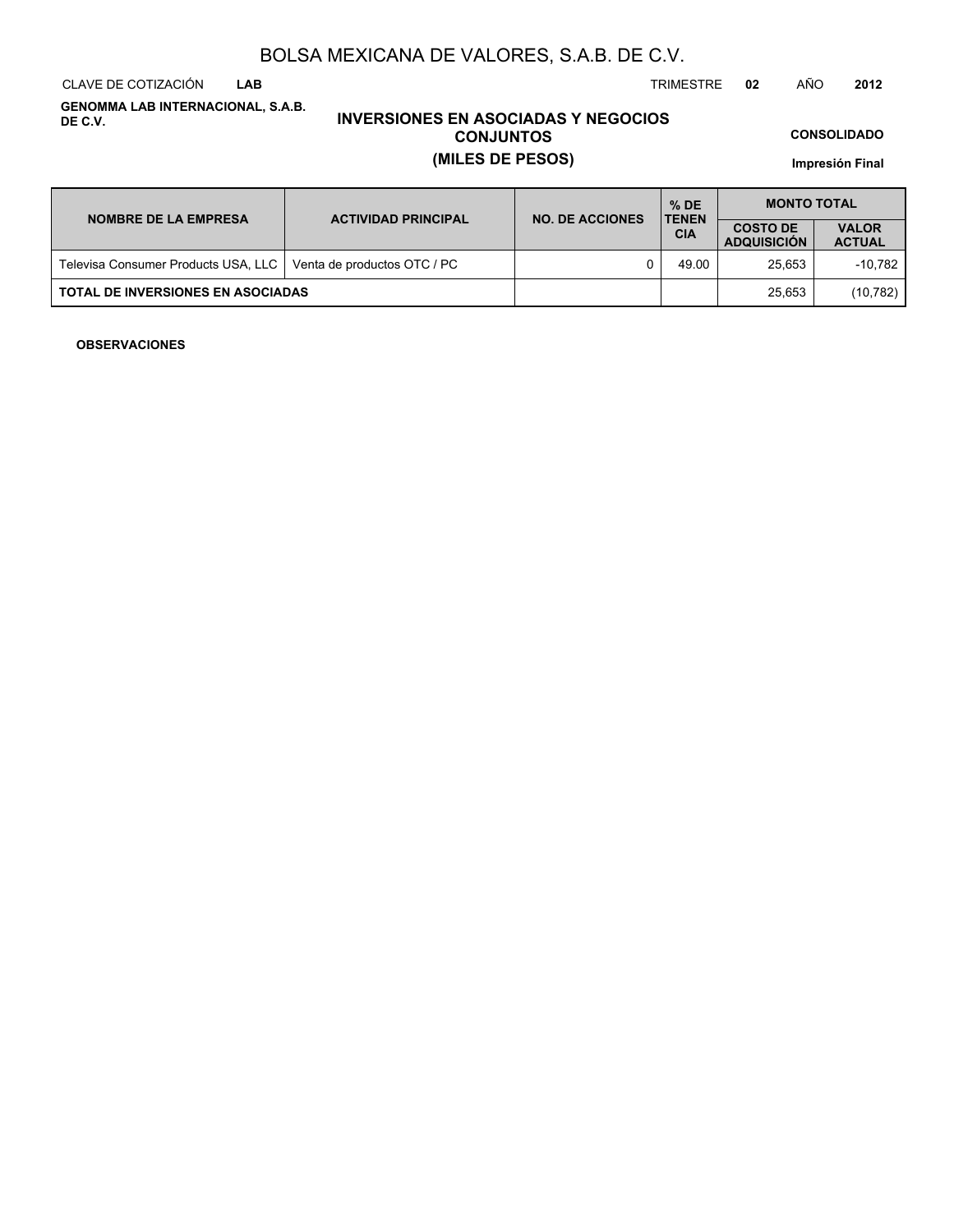CLAVE DE COTIZACIÓN TRIMESTRE **02** AÑO **2012 LAB**

**GENOMMA LAB INTERNACIONAL, S.A.B. DE C.V.**

## **INVERSIONES EN ASOCIADAS Y NEGOCIOS CONJUNTOS (MILES DE PESOS)**

**CONSOLIDADO**

**Impresión Final**

| <b>NOMBRE DE LA EMPRESA</b>              | <b>ACTIVIDAD PRINCIPAL</b>  | <b>NO. DE ACCIONES</b> | $%$ DE<br><b>TENEN</b> | <b>MONTO TOTAL</b>                    |                               |  |
|------------------------------------------|-----------------------------|------------------------|------------------------|---------------------------------------|-------------------------------|--|
|                                          |                             |                        | <b>CIA</b>             | <b>COSTO DE</b><br><b>ADQUISICION</b> | <b>VALOR</b><br><b>ACTUAL</b> |  |
| Televisa Consumer Products USA, LLC      | Venta de productos OTC / PC |                        | 49.00                  | 25.653                                | -10.782                       |  |
| <b>TOTAL DE INVERSIONES EN ASOCIADAS</b> |                             |                        |                        | 25.653                                | (10, 782)                     |  |

### **OBSERVACIONES**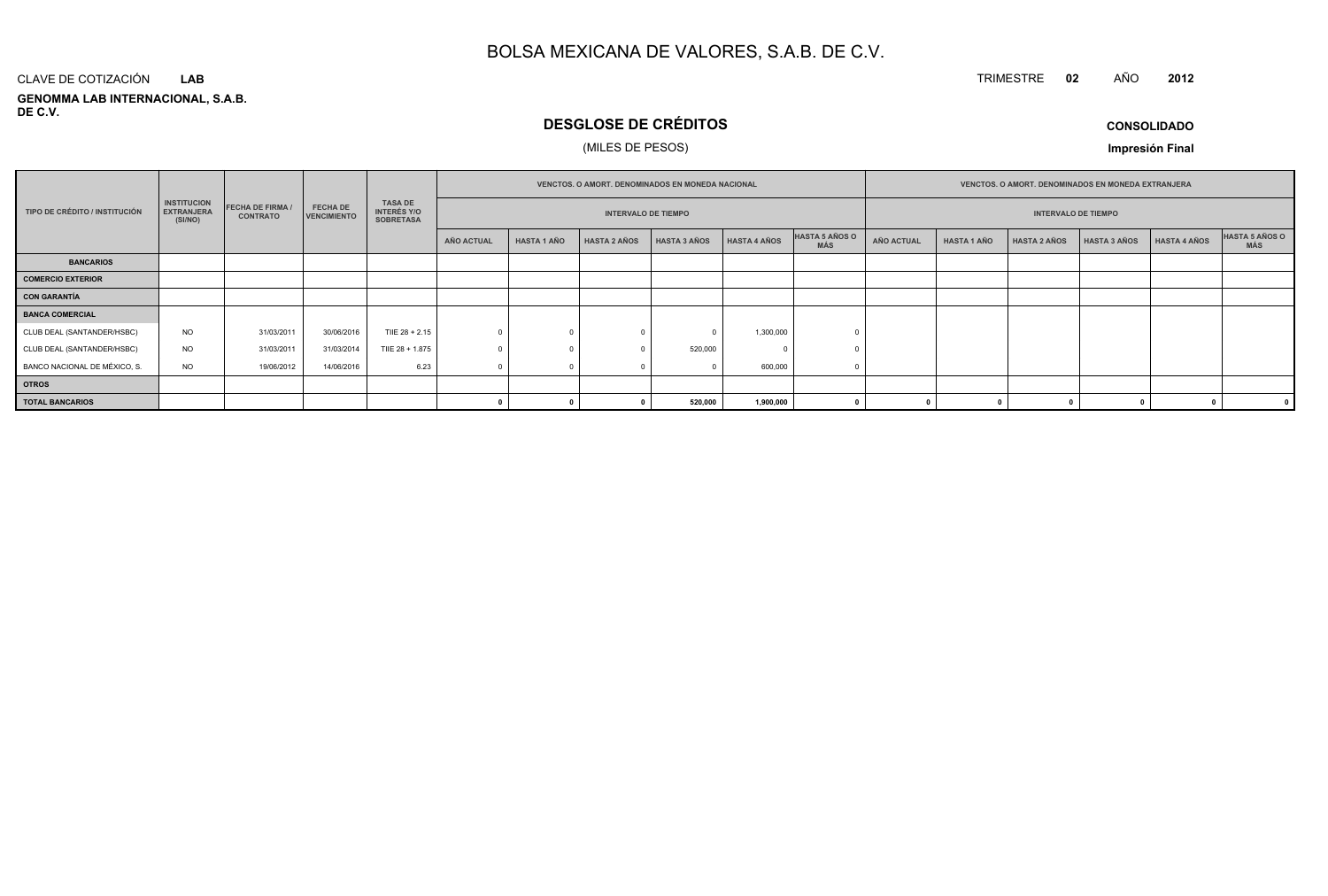#### **GENOMMA LAB INTERNACIONAL, S.A.B. DE C.V.**CLAVE DE COTIZACIÓN**LAB**

## **DESGLOSE DE CRÉDITOS**

## (MILES DE PESOS)

**CONSOLIDADO**

**<sup>2012</sup>**

**Impresión Final**

|                               |                                                    |                                            |                                       |                                                          |                                                          |                    |                     | <b>VENCTOS, O AMORT, DENOMINADOS EN MONEDA NACIONAL</b> |                     |                       | <b>VENCTOS, O AMORT, DENOMINADOS EN MONEDA EXTRANJERA</b> |                    |                     |                     |                     |                              |
|-------------------------------|----------------------------------------------------|--------------------------------------------|---------------------------------------|----------------------------------------------------------|----------------------------------------------------------|--------------------|---------------------|---------------------------------------------------------|---------------------|-----------------------|-----------------------------------------------------------|--------------------|---------------------|---------------------|---------------------|------------------------------|
| TIPO DE CRÉDITO / INSTITUCIÓN | <b>INSTITUCION</b><br><b>EXTRANJERA</b><br>(SI/NO) | <b>FECHA DE FIRMA /</b><br><b>CONTRATO</b> | <b>FECHA DE</b><br><b>VENCIMIENTO</b> | <b>TASA DE</b><br><b>INTERÉS Y/O</b><br><b>SOBRETASA</b> | <b>INTERVALO DE TIEMPO</b><br><b>INTERVALO DE TIEMPO</b> |                    |                     |                                                         |                     |                       |                                                           |                    |                     |                     |                     |                              |
|                               |                                                    |                                            |                                       |                                                          | <b>AÑO ACTUAL</b>                                        | <b>HASTA 1 AÑO</b> | <b>HASTA 2 AÑOS</b> | <b>HASTA 3 AÑOS</b>                                     | <b>HASTA 4 AÑOS</b> | HASTA 5 AÑOS O<br>MÁS | AÑO ACTUAL                                                | <b>HASTA 1 AÑO</b> | <b>HASTA 2 AÑOS</b> | <b>HASTA 3 AÑOS</b> | <b>HASTA 4 AÑOS</b> | HASTA 5 AÑOS O<br><b>MÁS</b> |
| <b>BANCARIOS</b>              |                                                    |                                            |                                       |                                                          |                                                          |                    |                     |                                                         |                     |                       |                                                           |                    |                     |                     |                     |                              |
| <b>COMERCIO EXTERIOR</b>      |                                                    |                                            |                                       |                                                          |                                                          |                    |                     |                                                         |                     |                       |                                                           |                    |                     |                     |                     |                              |
| CON GARANTÍA                  |                                                    |                                            |                                       |                                                          |                                                          |                    |                     |                                                         |                     |                       |                                                           |                    |                     |                     |                     |                              |
| <b>BANCA COMERCIAL</b>        |                                                    |                                            |                                       |                                                          |                                                          |                    |                     |                                                         |                     |                       |                                                           |                    |                     |                     |                     |                              |
| CLUB DEAL (SANTANDER/HSBC)    | <b>NO</b>                                          | 31/03/2011                                 | 30/06/2016                            | TIIE 28 + 2.15                                           |                                                          |                    |                     |                                                         | 1,300,000           |                       |                                                           |                    |                     |                     |                     |                              |
| CLUB DEAL (SANTANDER/HSBC)    | <b>NO</b>                                          | 31/03/2011                                 | 31/03/2014                            | TIIE 28 + 1.875                                          |                                                          |                    |                     | 520,000                                                 |                     |                       |                                                           |                    |                     |                     |                     |                              |
| BANCO NACIONAL DE MÉXICO, S.  | <b>NO</b>                                          | 19/06/2012                                 | 14/06/2016                            | 6.23                                                     |                                                          |                    |                     |                                                         | 600,000             |                       |                                                           |                    |                     |                     |                     |                              |
| <b>OTROS</b>                  |                                                    |                                            |                                       |                                                          |                                                          |                    |                     |                                                         |                     |                       |                                                           |                    |                     |                     |                     |                              |
| <b>TOTAL BANCARIOS</b>        |                                                    |                                            |                                       |                                                          |                                                          |                    |                     | 520,000                                                 | 1,900,000           |                       |                                                           |                    |                     |                     |                     |                              |

TRIMESTRE **<sup>02</sup>** AÑO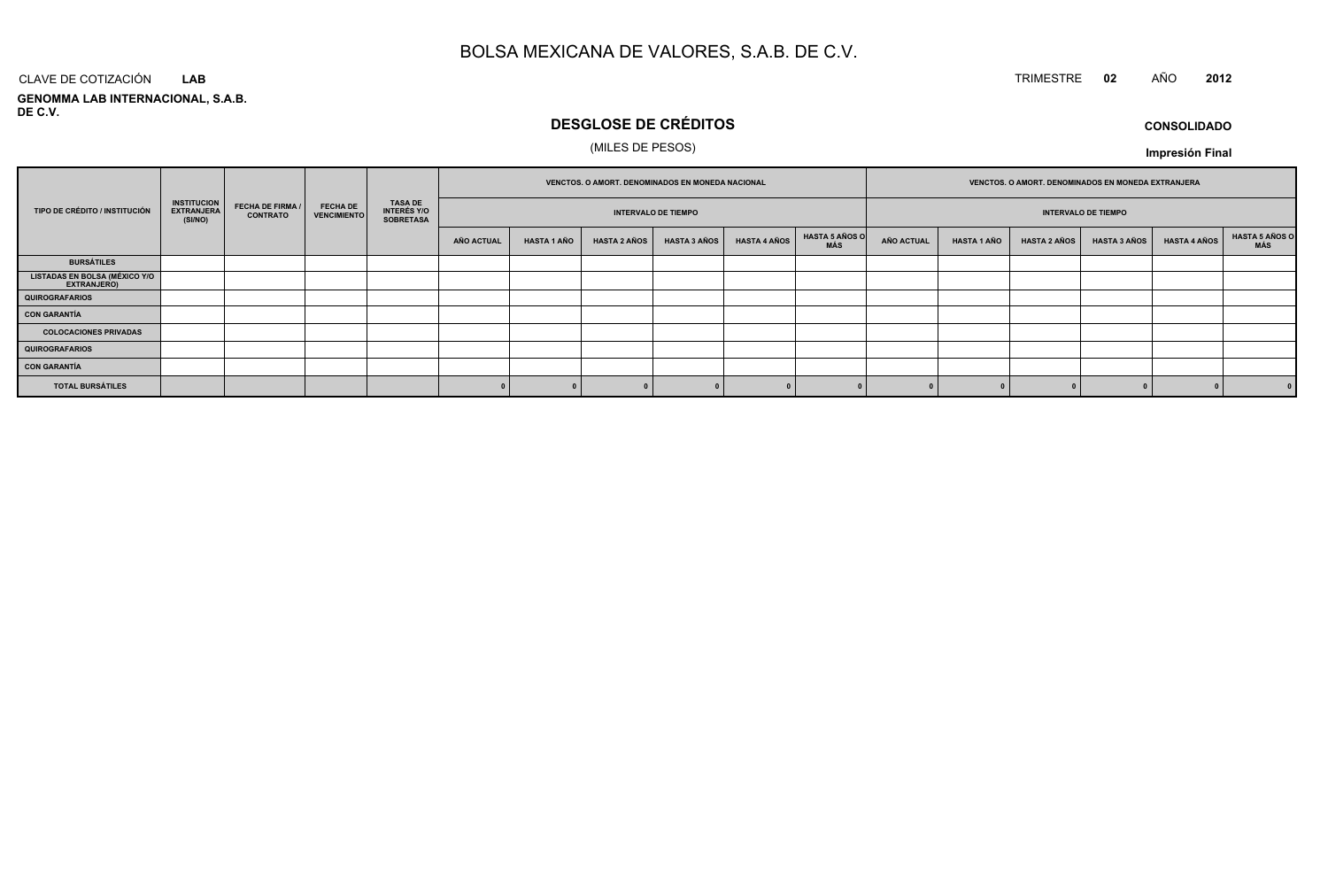## TRIMESTRE **<sup>02</sup>** AÑO **<sup>2012</sup>**

**GENOMMA LAB INTERNACIONAL, S.A.B. DE C.V.**CLAVE DE COTIZACIÓN**LAB**

## **DESGLOSE DE CRÉDITOS**

## (MILES DE PESOS)

**CONSOLIDADOImpresión Final**

|                                                      | <b>INSTITUCION</b><br><b>FECHA DE FIRMA /</b><br><b>FECHA DE</b><br><b>EXTRANJERA</b><br><b>VENCIMIENTO</b><br><b>CONTRATO</b><br>(SI/NO) |  |                                                          | VENCTOS. O AMORT. DENOMINADOS EN MONEDA NACIONAL |            |                    |                     | VENCTOS. O AMORT. DENOMINADOS EN MONEDA EXTRANJERA |                     |                              |                            |                    |                     |                     |                     |                       |
|------------------------------------------------------|-------------------------------------------------------------------------------------------------------------------------------------------|--|----------------------------------------------------------|--------------------------------------------------|------------|--------------------|---------------------|----------------------------------------------------|---------------------|------------------------------|----------------------------|--------------------|---------------------|---------------------|---------------------|-----------------------|
| TIPO DE CRÉDITO / INSTITUCIÓN                        |                                                                                                                                           |  | <b>TASA DE</b><br><b>INTERÉS Y/O</b><br><b>SOBRETASA</b> | <b>INTERVALO DE TIEMPO</b>                       |            |                    |                     |                                                    |                     |                              | <b>INTERVALO DE TIEMPO</b> |                    |                     |                     |                     |                       |
|                                                      |                                                                                                                                           |  |                                                          |                                                  | AÑO ACTUAL | <b>HASTA 1 AÑO</b> | <b>HASTA 2 AÑOS</b> | <b>HASTA 3 AÑOS</b>                                | <b>HASTA 4 AÑOS</b> | <b>HASTA 5 AÑOS O</b><br>MÁS | <b>AÑO ACTUAL</b>          | <b>HASTA 1 AÑO</b> | <b>HASTA 2 AÑOS</b> | <b>HASTA 3 AÑOS</b> | <b>HASTA 4 AÑOS</b> | HASTA 5 AÑOS C<br>MÁS |
| <b>BURSÁTILES</b>                                    |                                                                                                                                           |  |                                                          |                                                  |            |                    |                     |                                                    |                     |                              |                            |                    |                     |                     |                     |                       |
| <b>LISTADAS EN BOLSA (MÉXICO Y/O<br/>EXTRANJERO)</b> |                                                                                                                                           |  |                                                          |                                                  |            |                    |                     |                                                    |                     |                              |                            |                    |                     |                     |                     |                       |
| <b>QUIROGRAFARIOS</b>                                |                                                                                                                                           |  |                                                          |                                                  |            |                    |                     |                                                    |                     |                              |                            |                    |                     |                     |                     |                       |
| <b>CON GARANTÍA</b>                                  |                                                                                                                                           |  |                                                          |                                                  |            |                    |                     |                                                    |                     |                              |                            |                    |                     |                     |                     |                       |
| <b>COLOCACIONES PRIVADAS</b>                         |                                                                                                                                           |  |                                                          |                                                  |            |                    |                     |                                                    |                     |                              |                            |                    |                     |                     |                     |                       |
| <b>QUIROGRAFARIOS</b>                                |                                                                                                                                           |  |                                                          |                                                  |            |                    |                     |                                                    |                     |                              |                            |                    |                     |                     |                     |                       |
| <b>CON GARANTÍA</b>                                  |                                                                                                                                           |  |                                                          |                                                  |            |                    |                     |                                                    |                     |                              |                            |                    |                     |                     |                     |                       |
| <b>TOTAL BURSÁTILES</b>                              |                                                                                                                                           |  |                                                          |                                                  |            |                    |                     |                                                    |                     |                              |                            |                    |                     |                     |                     | 0                     |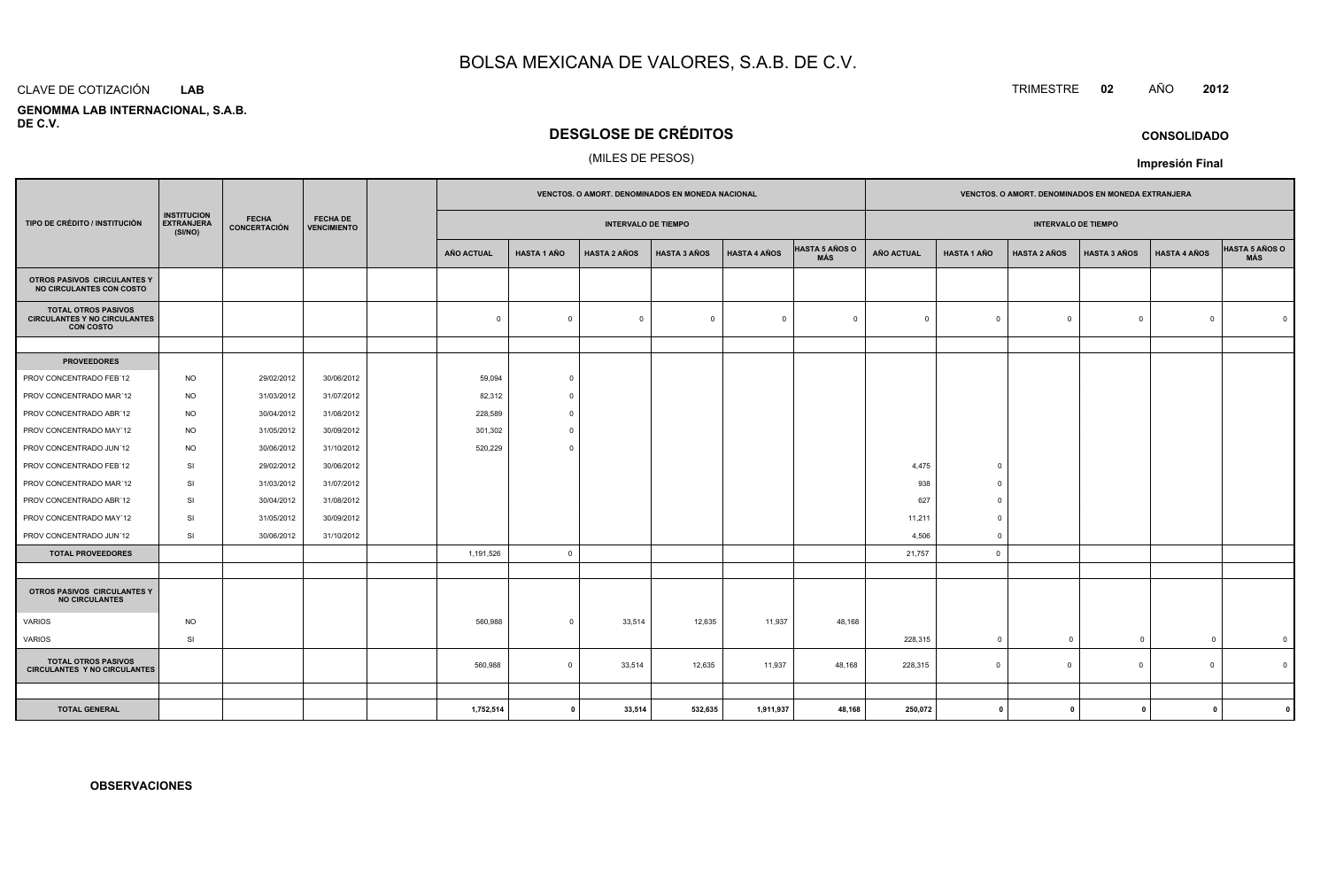#### CLAVE DE COTIZACIÓN**LAB**

 **GENOMMA LAB INTERNACIONAL, S.A.B.DE C.V.**

## **DESGLOSE DE CRÉDITOS**

### (MILES DE PESOS)

|                                                                                       |                                                    |                                     |                                       |                   |                         | VENCTOS. O AMORT. DENOMINADOS EN MONEDA NACIONAL |                     |                     |                              |                   |                    | VENCTOS. O AMORT. DENOMINADOS EN MONEDA EXTRANJERA |                     |                     |                              |
|---------------------------------------------------------------------------------------|----------------------------------------------------|-------------------------------------|---------------------------------------|-------------------|-------------------------|--------------------------------------------------|---------------------|---------------------|------------------------------|-------------------|--------------------|----------------------------------------------------|---------------------|---------------------|------------------------------|
| TIPO DE CRÉDITO / INSTITUCIÓN                                                         | <b>INSTITUCION</b><br><b>EXTRANJERA</b><br>(SI/NO) | <b>FECHA</b><br><b>CONCERTACIÓN</b> | <b>FECHA DE</b><br><b>VENCIMIENTO</b> |                   |                         | <b>INTERVALO DE TIEMPO</b>                       |                     |                     |                              |                   |                    | <b>INTERVALO DE TIEMPO</b>                         |                     |                     |                              |
|                                                                                       |                                                    |                                     |                                       | <b>AÑO ACTUAL</b> | <b>HASTA 1 AÑO</b>      | <b>HASTA 2 AÑOS</b>                              | <b>HASTA 3 AÑOS</b> | <b>HASTA 4 AÑOS</b> | <b>HASTA 5 AÑOS O</b><br>MÁS | <b>AÑO ACTUAL</b> | <b>HASTA 1 AÑO</b> | <b>HASTA 2 AÑOS</b>                                | <b>HASTA 3 AÑOS</b> | <b>HASTA 4 AÑOS</b> | <b>HASTA 5 AÑOS O</b><br>MÁS |
| OTROS PASIVOS CIRCULANTES Y<br><b>NO CIRCULANTES CON COSTO</b>                        |                                                    |                                     |                                       |                   |                         |                                                  |                     |                     |                              |                   |                    |                                                    |                     |                     |                              |
| <b>TOTAL OTROS PASIVOS</b><br><b>CIRCULANTES Y NO CIRCULANTES</b><br><b>CON COSTO</b> |                                                    |                                     |                                       | $\mathbf 0$       | $\mathbf 0$             | $\mathbf 0$                                      | $\overline{0}$      | $\overline{0}$      | $\overline{0}$               | $\Omega$          | $\circ$            | $\Omega$                                           | $\circ$             | $\Omega$            | $\Omega$                     |
|                                                                                       |                                                    |                                     |                                       |                   |                         |                                                  |                     |                     |                              |                   |                    |                                                    |                     |                     |                              |
| <b>PROVEEDORES</b>                                                                    |                                                    |                                     |                                       |                   |                         |                                                  |                     |                     |                              |                   |                    |                                                    |                     |                     |                              |
| PROV CONCENTRADO FEB'12                                                               | <b>NO</b>                                          | 29/02/2012                          | 30/06/2012                            | 59,094            | $\overline{0}$          |                                                  |                     |                     |                              |                   |                    |                                                    |                     |                     |                              |
| PROV CONCENTRADO MAR'12                                                               | <b>NO</b>                                          | 31/03/2012                          | 31/07/2012                            | 82,312            | $\Omega$                |                                                  |                     |                     |                              |                   |                    |                                                    |                     |                     |                              |
| PROV CONCENTRADO ABR'12                                                               | <b>NO</b>                                          | 30/04/2012                          | 31/08/2012                            | 228,589           | $\Omega$                |                                                  |                     |                     |                              |                   |                    |                                                    |                     |                     |                              |
| PROV CONCENTRADO MAY'12                                                               | <b>NO</b>                                          | 31/05/2012                          | 30/09/2012                            | 301,302           | $\overline{0}$          |                                                  |                     |                     |                              |                   |                    |                                                    |                     |                     |                              |
| PROV CONCENTRADO JUN'12                                                               | <b>NO</b>                                          | 30/06/2012                          | 31/10/2012                            | 520,229           | $\overline{0}$          |                                                  |                     |                     |                              |                   |                    |                                                    |                     |                     |                              |
| PROV CONCENTRADO FEB'12                                                               | SI                                                 | 29/02/2012                          | 30/06/2012                            |                   |                         |                                                  |                     |                     |                              | 4,475             | $\overline{0}$     |                                                    |                     |                     |                              |
| PROV CONCENTRADO MAR'12                                                               | SI                                                 | 31/03/2012                          | 31/07/2012                            |                   |                         |                                                  |                     |                     |                              | 938               | $\Omega$           |                                                    |                     |                     |                              |
| PROV CONCENTRADO ABR'12                                                               | SI                                                 | 30/04/2012                          | 31/08/2012                            |                   |                         |                                                  |                     |                     |                              | 627               | $\overline{0}$     |                                                    |                     |                     |                              |
| PROV CONCENTRADO MAY'12                                                               | SI                                                 | 31/05/2012                          | 30/09/2012                            |                   |                         |                                                  |                     |                     |                              | 11,211            | $\overline{0}$     |                                                    |                     |                     |                              |
| PROV CONCENTRADO JUN'12                                                               | SI                                                 | 30/06/2012                          | 31/10/2012                            |                   |                         |                                                  |                     |                     |                              | 4,506             | $\overline{0}$     |                                                    |                     |                     |                              |
| <b>TOTAL PROVEEDORES</b>                                                              |                                                    |                                     |                                       | 1,191,526         | $\overline{\mathbf{0}}$ |                                                  |                     |                     |                              | 21,757            | $\circ$            |                                                    |                     |                     |                              |
|                                                                                       |                                                    |                                     |                                       |                   |                         |                                                  |                     |                     |                              |                   |                    |                                                    |                     |                     |                              |
| OTROS PASIVOS CIRCULANTES Y<br><b>NO CIRCULANTES</b>                                  |                                                    |                                     |                                       |                   |                         |                                                  |                     |                     |                              |                   |                    |                                                    |                     |                     |                              |
| VARIOS                                                                                | <b>NO</b>                                          |                                     |                                       | 560,988           | $\overline{0}$          | 33,514                                           | 12,635              | 11,937              | 48,168                       |                   |                    |                                                    |                     |                     |                              |
| VARIOS                                                                                | SI                                                 |                                     |                                       |                   |                         |                                                  |                     |                     |                              | 228,315           | $\overline{0}$     | $\mathbf{0}$                                       | $\overline{0}$      | $\Omega$            | $\overline{\mathbf{0}}$      |
| <b>TOTAL OTROS PASIVOS</b><br><b>CIRCULANTES Y NO CIRCULANTES</b>                     |                                                    |                                     |                                       | 560,988           | $\overline{0}$          | 33,514                                           | 12,635              | 11,937              | 48,168                       | 228,315           | $\circ$            | $\overline{0}$                                     | $\mathbf{0}$        | $\overline{0}$      | $\overline{0}$               |
|                                                                                       |                                                    |                                     |                                       |                   |                         |                                                  |                     |                     |                              |                   |                    |                                                    |                     |                     |                              |
| <b>TOTAL GENERAL</b>                                                                  |                                                    |                                     |                                       | 1,752,514         | $\overline{\mathbf{0}}$ | 33,514                                           | 532,635             | 1,911,937           | 48,168                       | 250,072           | $\mathbf{0}$       | $\mathbf{0}$                                       | $^{\circ}$          | $\mathbf{0}$        |                              |

## **CONSOLIDADO**

**Impresión Final**

**OBSERVACIONES**

TRIMESTRE **<sup>02</sup>** AÑO **<sup>2012</sup>**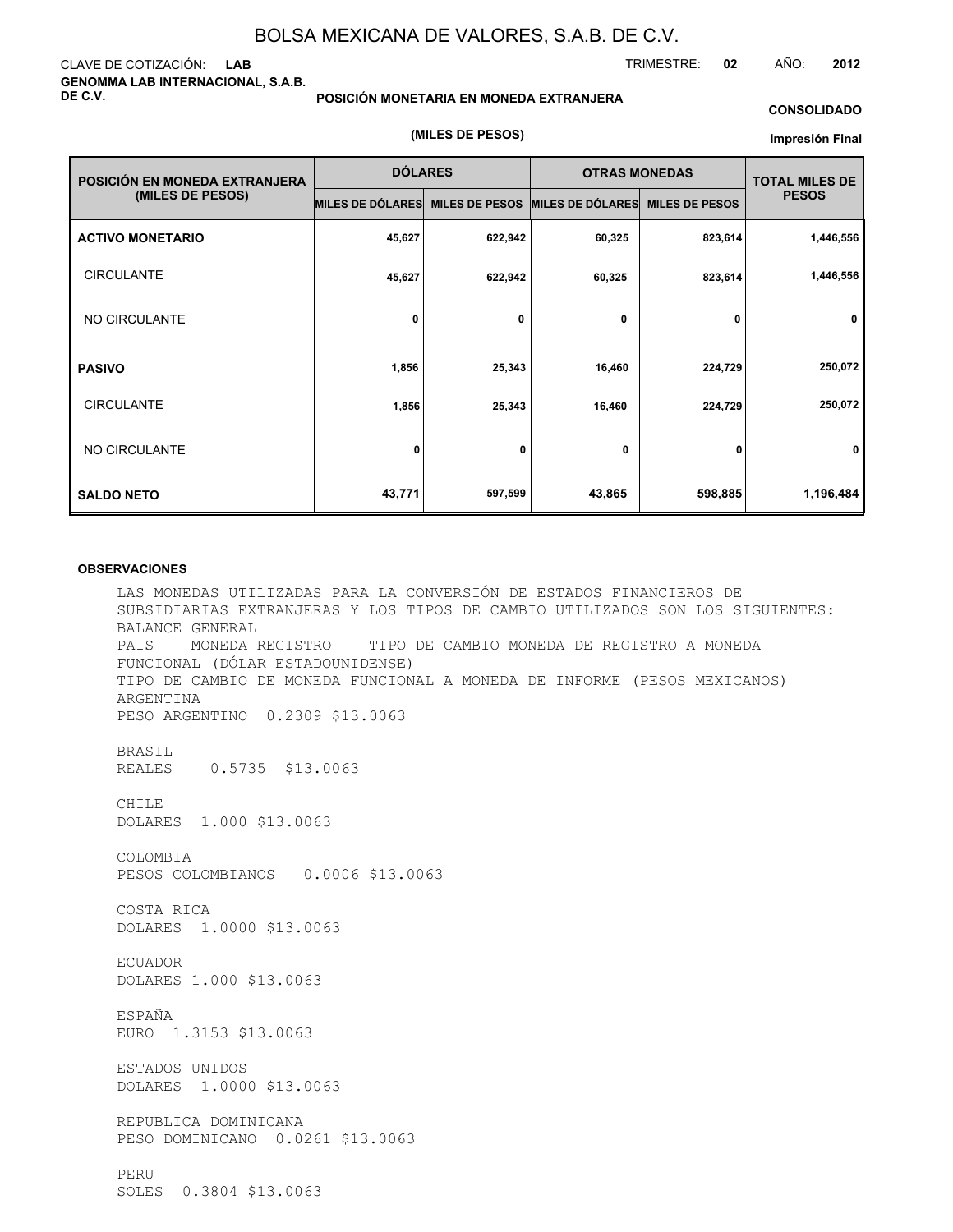### CLAVE DE COTIZACIÓN: **LAB GENOMMA LAB INTERNACIONAL, S.A.B. DE C.V.**

#### **POSICIÓN MONETARIA EN MONEDA EXTRANJERA**

**(MILES DE PESOS)**

#### **CONSOLIDADO**

#### **Impresión Final**

| POSICIÓN EN MONEDA EXTRANJERA | <b>DÓLARES</b>   |                       | <b>OTRAS MONEDAS</b>    | <b>TOTAL MILES DE</b> |              |
|-------------------------------|------------------|-----------------------|-------------------------|-----------------------|--------------|
| (MILES DE PESOS)              | MILES DE DÓLARES | <b>MILES DE PESOS</b> | <b>MILES DE DÓLARES</b> | <b>MILES DE PESOS</b> | <b>PESOS</b> |
| <b>ACTIVO MONETARIO</b>       | 45,627           | 622,942               | 60,325                  | 823,614               | 1,446,556    |
| <b>CIRCULANTE</b>             | 45,627           | 622,942               | 60,325                  | 823,614               | 1,446,556    |
| NO CIRCULANTE                 | 0                | 0                     | 0                       | 0                     | $\mathbf 0$  |
| <b>PASIVO</b>                 | 1,856            | 25,343                | 16,460                  | 224,729               | 250,072      |
| <b>CIRCULANTE</b>             | 1,856            | 25,343                | 16,460                  | 224,729               | 250,072      |
| NO CIRCULANTE                 | 0                | 0                     | 0                       | 0                     | $\mathbf{0}$ |
| <b>SALDO NETO</b>             | 43,771           | 597,599               | 43,865                  | 598,885               | 1,196,484    |

#### **OBSERVACIONES**

LAS MONEDAS UTILIZADAS PARA LA CONVERSIÓN DE ESTADOS FINANCIEROS DE SUBSIDIARIAS EXTRANJERAS Y LOS TIPOS DE CAMBIO UTILIZADOS SON LOS SIGUIENTES: BALANCE GENERAL PAIS MONEDA REGISTRO TIPO DE CAMBIO MONEDA DE REGISTRO A MONEDA FUNCIONAL (DÓLAR ESTADOUNIDENSE) TIPO DE CAMBIO DE MONEDA FUNCIONAL A MONEDA DE INFORME (PESOS MEXICANOS) ARGENTINA PESO ARGENTINO 0.2309 \$13.0063 BRASIL REALES 0.5735 \$13.0063 CHILE DOLARES 1.000 \$13.0063 COLOMBIA PESOS COLOMBIANOS 0.0006 \$13.0063 COSTA RICA DOLARES 1.0000 \$13.0063 ECUADOR DOLARES 1.000 \$13.0063 ESPAÑA EURO 1.3153 \$13.0063 ESTADOS UNIDOS DOLARES 1.0000 \$13.0063 REPUBLICA DOMINICANA PESO DOMINICANO 0.0261 \$13.0063 PERU SOLES 0.3804 \$13.0063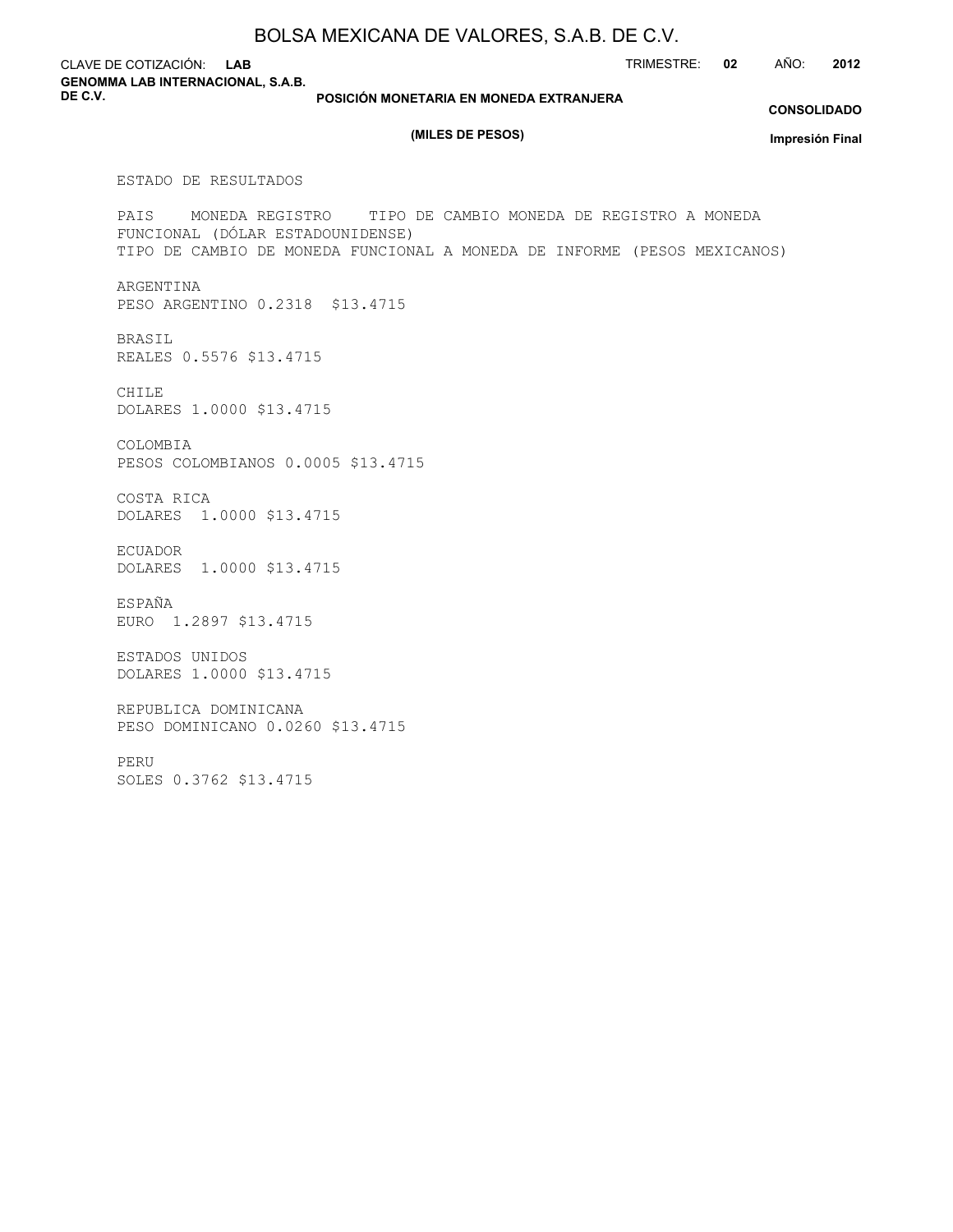CLAVE DE COTIZACIÓN: **LAB GENOMMA LAB INTERNACIONAL, S.A.B. DE C.V.**

**POSICIÓN MONETARIA EN MONEDA EXTRANJERA**

#### **CONSOLIDADO**

TRIMESTRE: **02** AÑO: **2012**

#### **(MILES DE PESOS)**

**Impresión Final**

ESTADO DE RESULTADOS

PAIS MONEDA REGISTRO TIPO DE CAMBIO MONEDA DE REGISTRO A MONEDA FUNCIONAL (DÓLAR ESTADOUNIDENSE) TIPO DE CAMBIO DE MONEDA FUNCIONAL A MONEDA DE INFORME (PESOS MEXICANOS)

ARGENTINA PESO ARGENTINO 0.2318 \$13.4715

BRASIL REALES 0.5576 \$13.4715

CHILE DOLARES 1.0000 \$13.4715

COLOMBIA PESOS COLOMBIANOS 0.0005 \$13.4715

COSTA RICA DOLARES 1.0000 \$13.4715

ECUADOR DOLARES 1.0000 \$13.4715

ESPAÑA EURO 1.2897 \$13.4715

ESTADOS UNIDOS DOLARES 1.0000 \$13.4715

REPUBLICA DOMINICANA PESO DOMINICANO 0.0260 \$13.4715

PERU

SOLES 0.3762 \$13.4715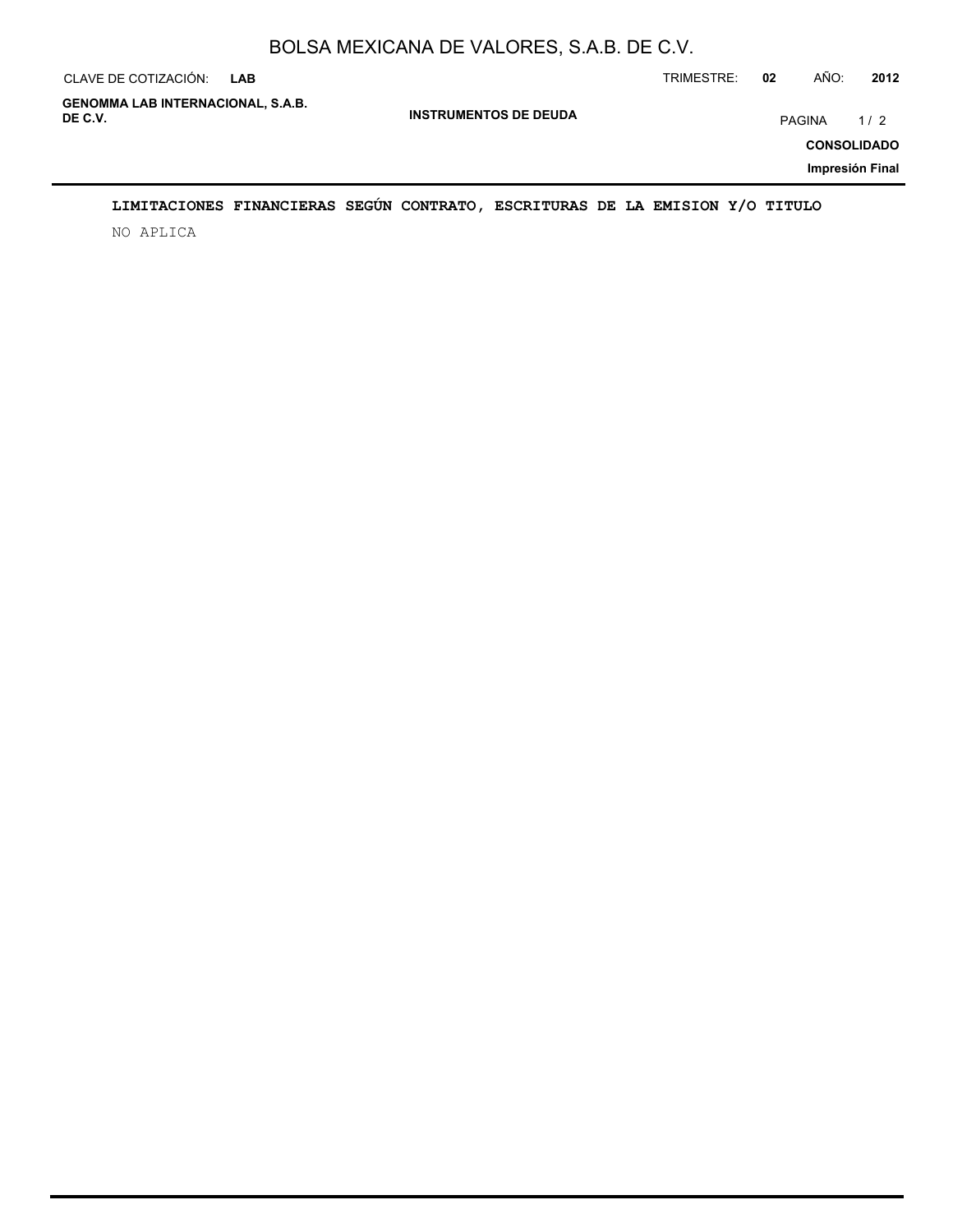| CLAVE DE COTIZACIÓN:                                | <b>LAB</b> |                              | TRIMESTRE: | 02     | AÑO: | 2012                      |
|-----------------------------------------------------|------------|------------------------------|------------|--------|------|---------------------------|
| <b>GENOMMA LAB INTERNACIONAL, S.A.B.</b><br>DE C.V. |            | <b>INSTRUMENTOS DE DEUDA</b> |            | PAGINA |      | 1/2<br><b>CONSOLIDADO</b> |
|                                                     |            |                              |            |        |      | Impresión Final           |

## **LIMITACIONES FINANCIERAS SEGÚN CONTRATO, ESCRITURAS DE LA EMISION Y/O TITULO**

NO APLICA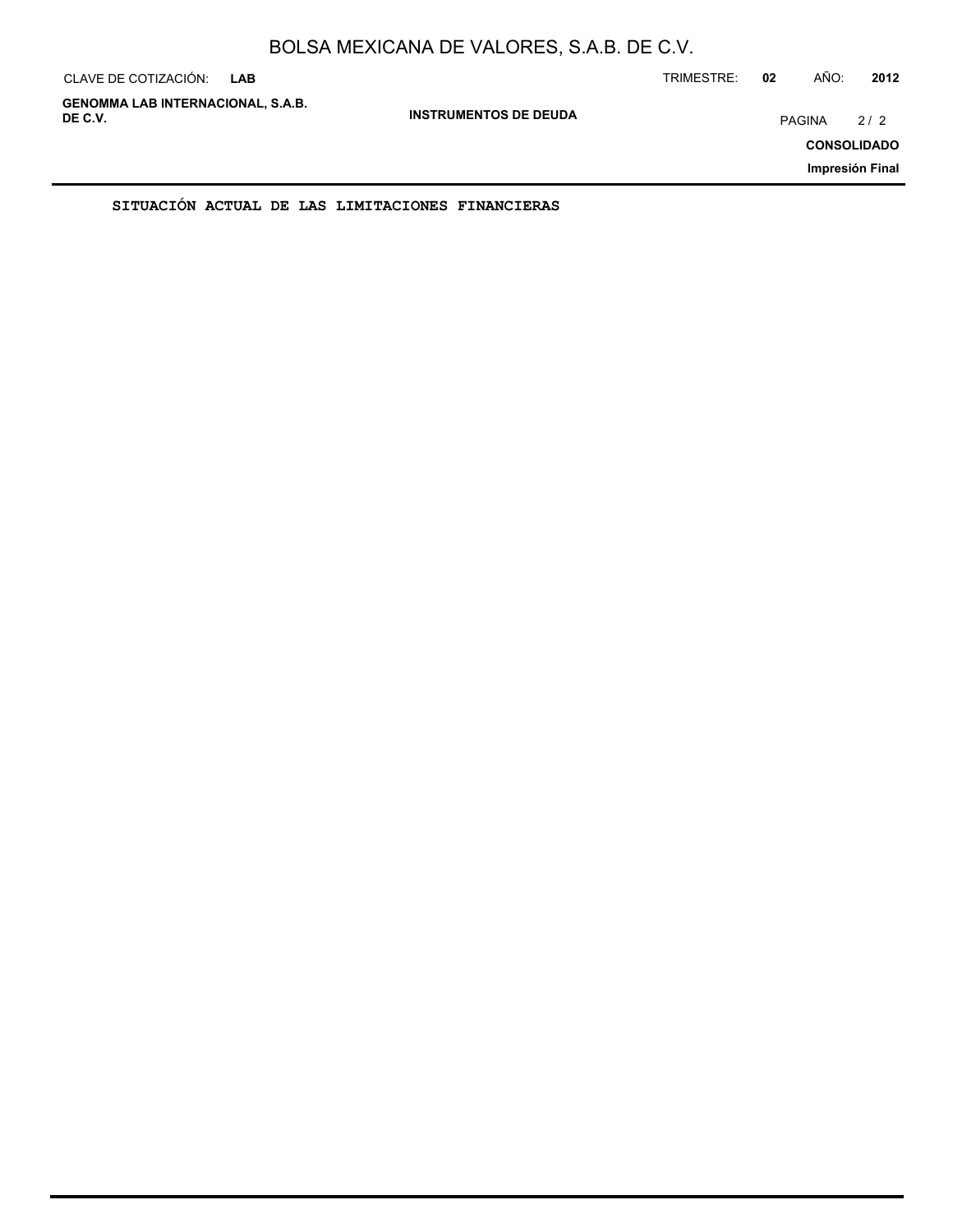| CLAVE DE COTIZACIÓN:                                | <b>LAB</b> |                              | TRIMESTRE: | 02            | AÑO: | 2012                                         |
|-----------------------------------------------------|------------|------------------------------|------------|---------------|------|----------------------------------------------|
| <b>GENOMMA LAB INTERNACIONAL, S.A.B.</b><br>DE C.V. |            | <b>INSTRUMENTOS DE DEUDA</b> |            | <b>PAGINA</b> |      | 2/2<br><b>CONSOLIDADO</b><br>Impresión Final |
|                                                     |            |                              |            |               |      |                                              |

**SITUACIÓN ACTUAL DE LAS LIMITACIONES FINANCIERAS**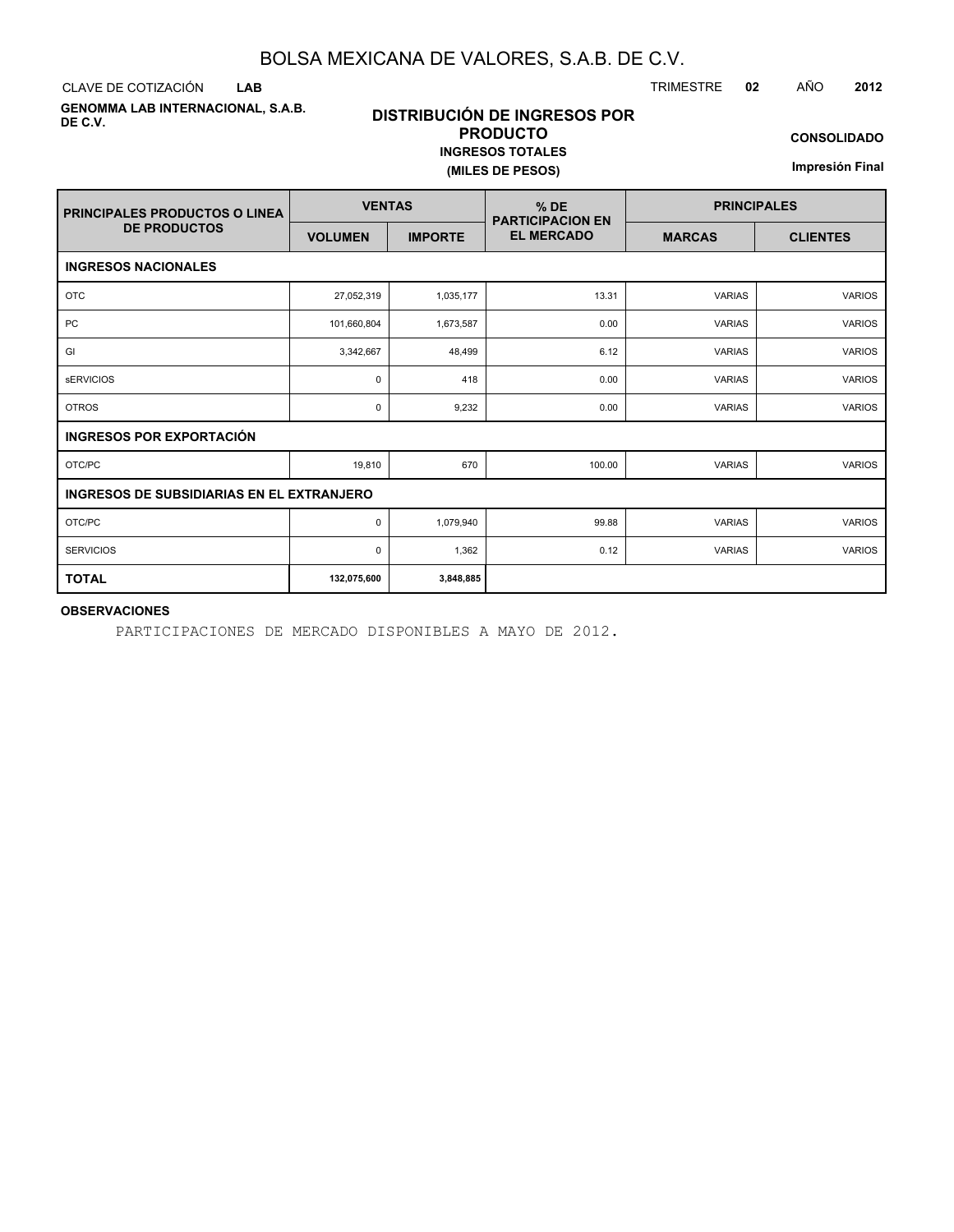CLAVE DE COTIZACIÓN TRIMESTRE **02** AÑO **2012 LAB**

**GENOMMA LAB INTERNACIONAL, S.A.B. DE C.V.**

## **DISTRIBUCIÓN DE INGRESOS POR PRODUCTO INGRESOS TOTALES (MILES DE PESOS)**

**CONSOLIDADO**

**Impresión Final**

| <b>PRINCIPALES PRODUCTOS O LINEA</b>             | <b>VENTAS</b>  |                | $%$ DE<br><b>PARTICIPACION EN</b> | <b>PRINCIPALES</b> |                 |  |  |
|--------------------------------------------------|----------------|----------------|-----------------------------------|--------------------|-----------------|--|--|
| <b>DE PRODUCTOS</b>                              | <b>VOLUMEN</b> | <b>IMPORTE</b> | <b>EL MERCADO</b>                 | <b>MARCAS</b>      | <b>CLIENTES</b> |  |  |
| <b>INGRESOS NACIONALES</b>                       |                |                |                                   |                    |                 |  |  |
| <b>OTC</b>                                       | 27,052,319     | 1,035,177      | 13.31                             | <b>VARIAS</b>      | <b>VARIOS</b>   |  |  |
| <b>PC</b>                                        | 101,660,804    | 1,673,587      | 0.00                              | <b>VARIAS</b>      | <b>VARIOS</b>   |  |  |
| GI                                               | 3,342,667      | 48,499         | 6.12                              | <b>VARIAS</b>      | <b>VARIOS</b>   |  |  |
| <b>sERVICIOS</b>                                 | 0              | 418            | 0.00                              | <b>VARIAS</b>      | <b>VARIOS</b>   |  |  |
| <b>OTROS</b>                                     | 0              | 9,232          | 0.00                              | <b>VARIAS</b>      | <b>VARIOS</b>   |  |  |
| <b>INGRESOS POR EXPORTACIÓN</b>                  |                |                |                                   |                    |                 |  |  |
| OTC/PC                                           | 19,810         | 670            | 100.00                            | <b>VARIAS</b>      | <b>VARIOS</b>   |  |  |
| <b>INGRESOS DE SUBSIDIARIAS EN EL EXTRANJERO</b> |                |                |                                   |                    |                 |  |  |
| OTC/PC                                           | 0              | 1,079,940      | 99.88                             | <b>VARIAS</b>      | <b>VARIOS</b>   |  |  |
| <b>SERVICIOS</b>                                 | 0              | 1,362          | 0.12                              | <b>VARIAS</b>      | <b>VARIOS</b>   |  |  |
| <b>TOTAL</b>                                     | 132,075,600    | 3,848,885      |                                   |                    |                 |  |  |

#### **OBSERVACIONES**

PARTICIPACIONES DE MERCADO DISPONIBLES A MAYO DE 2012.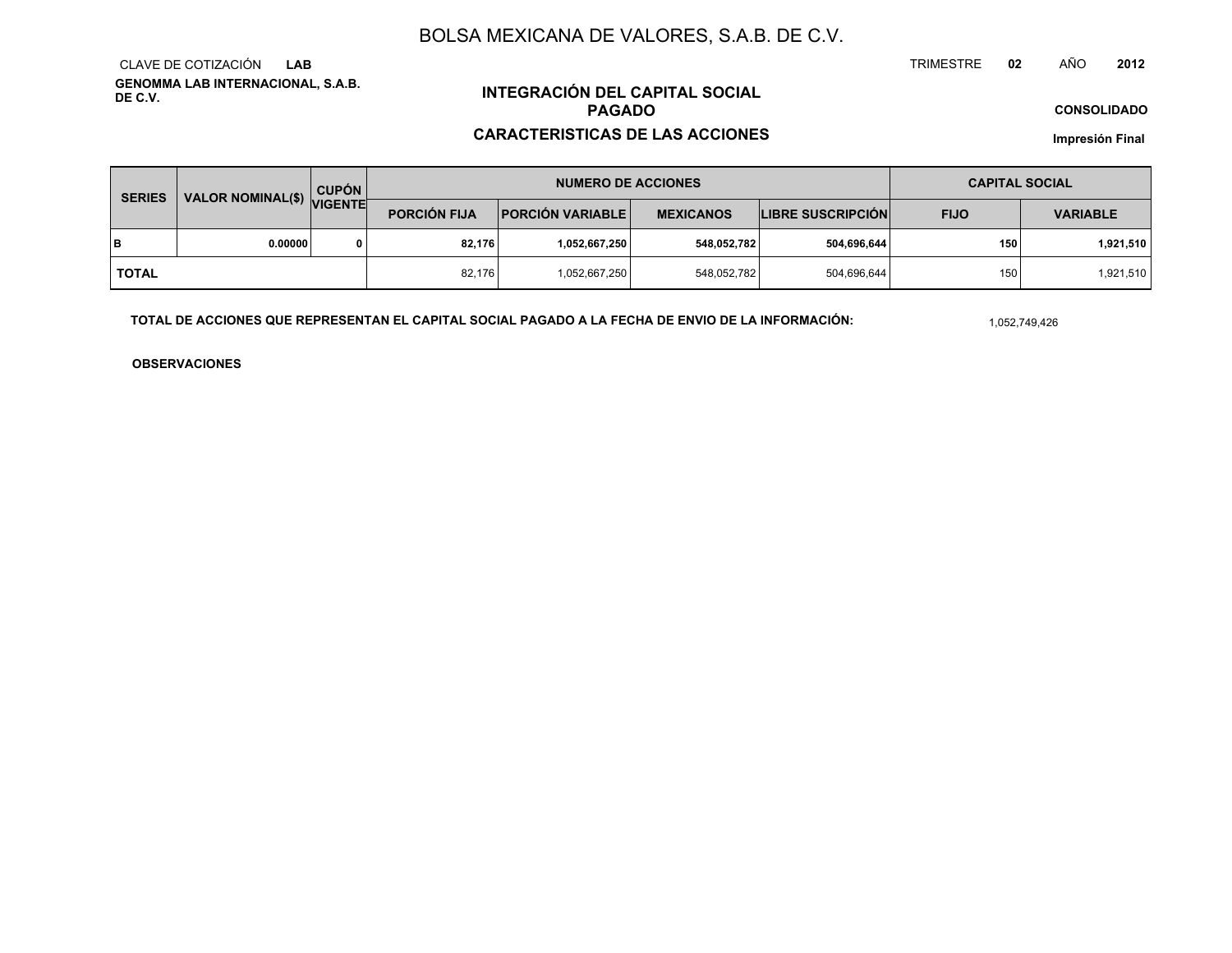**GENOMMA LAB INTERNACIONAL, S.A.B. DE C.V.**CLAVE DE COTIZACIÓN**LAB**

## **INTEGRACIÓN DEL CAPITAL SOCIALPAGADO**

### **CARACTERISTICAS DE LAS ACCIONES**

**CONSOLIDADO**

**Impresión Final**

| VALOR NOMINAL(\$) VIGENTE<br><b>SERIES</b> |         | <b>CUPÓN</b> |                     | <b>NUMERO DE ACCIONES</b> | <b>CAPITAL SOCIAL</b> |                          |             |                 |
|--------------------------------------------|---------|--------------|---------------------|---------------------------|-----------------------|--------------------------|-------------|-----------------|
|                                            |         |              | <b>PORCIÓN FIJA</b> | <b>PORCIÓN VARIABLE  </b> | <b>MEXICANOS</b>      | <b>LIBRE SUSCRIPCIÓN</b> | <b>FIJO</b> | <b>VARIABLE</b> |
| lв                                         | 0.00000 | $\Omega$     | 82.176              | 1,052,667,250             | 548,052,782           | 504,696,644              | 150         | 1,921,510       |
| <b>TOTAL</b>                               |         |              | 82,176              | 1,052,667,250             | 548,052,782           | 504,696,644              | 150         | 1,921,510       |

**TOTAL DE ACCIONES QUE REPRESENTAN EL CAPITAL SOCIAL PAGADO A LA FECHA DE ENVIO DE LA INFORMACIÓN:**

1,052,749,426

TRIMESTRE

**OBSERVACIONES**

 **<sup>02</sup>** AÑO**<sup>2012</sup>**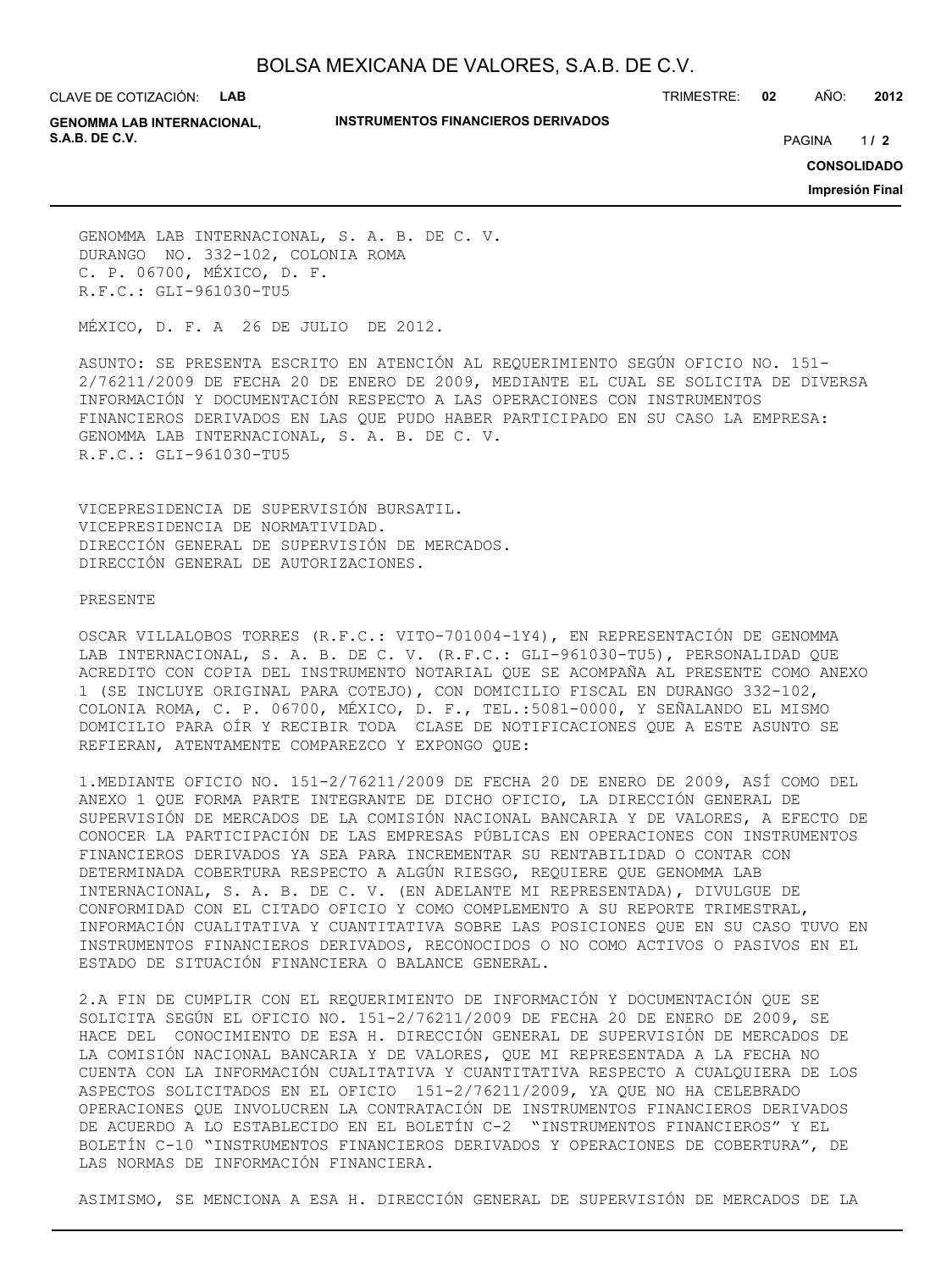CLAVE DE COTIZACIÓN: **LAB**

#### **INSTRUMENTOS FINANCIEROS DERIVADOS**

TRIMESTRE: **02** AÑO: **2012**

**GENOMMA LAB INTERNACIONAL, S.A.B. DE C.V.** PAGINA **/ 2**

 $1/2$ 

**CONSOLIDADO**

**Impresión Final**

GENOMMA LAB INTERNACIONAL, S. A. B. DE C. V. DURANGO NO. 332-102, COLONIA ROMA C. P. 06700, MÉXICO, D. F. R.F.C.: GLI-961030-TU5

MÉXICO, D. F. A 26 DE JULIO DE 2012.

ASUNTO: SE PRESENTA ESCRITO EN ATENCIÓN AL REQUERIMIENTO SEGÚN OFICIO NO. 151- 2/76211/2009 DE FECHA 20 DE ENERO DE 2009, MEDIANTE EL CUAL SE SOLICITA DE DIVERSA INFORMACIÓN Y DOCUMENTACIÓN RESPECTO A LAS OPERACIONES CON INSTRUMENTOS FINANCIEROS DERIVADOS EN LAS QUE PUDO HABER PARTICIPADO EN SU CASO LA EMPRESA: GENOMMA LAB INTERNACIONAL, S. A. B. DE C. V. R.F.C.: GLI-961030-TU5

VICEPRESIDENCIA DE SUPERVISIÓN BURSATIL. VICEPRESIDENCIA DE NORMATIVIDAD. DIRECCIÓN GENERAL DE SUPERVISIÓN DE MERCADOS. DIRECCIÓN GENERAL DE AUTORIZACIONES.

#### PRESENTE

OSCAR VILLALOBOS TORRES (R.F.C.: VITO-701004-1Y4), EN REPRESENTACIÓN DE GENOMMA LAB INTERNACIONAL, S. A. B. DE C. V. (R.F.C.: GLI-961030-TU5), PERSONALIDAD QUE ACREDITO CON COPIA DEL INSTRUMENTO NOTARIAL QUE SE ACOMPAÑA AL PRESENTE COMO ANEXO 1 (SE INCLUYE ORIGINAL PARA COTEJO), CON DOMICILIO FISCAL EN DURANGO 332-102, COLONIA ROMA, C. P. 06700, MÉXICO, D. F., TEL.:5081-0000, Y SEÑALANDO EL MISMO DOMICILIO PARA OÍR Y RECIBIR TODA CLASE DE NOTIFICACIONES QUE A ESTE ASUNTO SE REFIERAN, ATENTAMENTE COMPAREZCO Y EXPONGO QUE:

1.MEDIANTE OFICIO NO. 151-2/76211/2009 DE FECHA 20 DE ENERO DE 2009, ASÍ COMO DEL ANEXO 1 QUE FORMA PARTE INTEGRANTE DE DICHO OFICIO, LA DIRECCIÓN GENERAL DE SUPERVISIÓN DE MERCADOS DE LA COMISIÓN NACIONAL BANCARIA Y DE VALORES, A EFECTO DE CONOCER LA PARTICIPACIÓN DE LAS EMPRESAS PÚBLICAS EN OPERACIONES CON INSTRUMENTOS FINANCIEROS DERIVADOS YA SEA PARA INCREMENTAR SU RENTABILIDAD O CONTAR CON DETERMINADA COBERTURA RESPECTO A ALGÚN RIESGO, REQUIERE QUE GENOMMA LAB INTERNACIONAL, S. A. B. DE C. V. (EN ADELANTE MI REPRESENTADA), DIVULGUE DE CONFORMIDAD CON EL CITADO OFICIO Y COMO COMPLEMENTO A SU REPORTE TRIMESTRAL, INFORMACIÓN CUALITATIVA Y CUANTITATIVA SOBRE LAS POSICIONES QUE EN SU CASO TUVO EN INSTRUMENTOS FINANCIEROS DERIVADOS, RECONOCIDOS O NO COMO ACTIVOS O PASIVOS EN EL ESTADO DE SITUACIÓN FINANCIERA O BALANCE GENERAL.

2.A FIN DE CUMPLIR CON EL REQUERIMIENTO DE INFORMACIÓN Y DOCUMENTACIÓN QUE SE SOLICITA SEGÚN EL OFICIO NO. 151-2/76211/2009 DE FECHA 20 DE ENERO DE 2009, SE HACE DEL CONOCIMIENTO DE ESA H. DIRECCIÓN GENERAL DE SUPERVISIÓN DE MERCADOS DE LA COMISIÓN NACIONAL BANCARIA Y DE VALORES, QUE MI REPRESENTADA A LA FECHA NO CUENTA CON LA INFORMACIÓN CUALITATIVA Y CUANTITATIVA RESPECTO A CUALQUIERA DE LOS ASPECTOS SOLICITADOS EN EL OFICIO 151-2/76211/2009, YA QUE NO HA CELEBRADO OPERACIONES QUE INVOLUCREN LA CONTRATACIÓN DE INSTRUMENTOS FINANCIEROS DERIVADOS DE ACUERDO A LO ESTABLECIDO EN EL BOLETÍN C-2 "INSTRUMENTOS FINANCIEROS" Y EL BOLETÍN C-10 "INSTRUMENTOS FINANCIEROS DERIVADOS Y OPERACIONES DE COBERTURA", DE LAS NORMAS DE INFORMACIÓN FINANCIERA.

ASIMISMO, SE MENCIONA A ESA H. DIRECCIÓN GENERAL DE SUPERVISIÓN DE MERCADOS DE LA